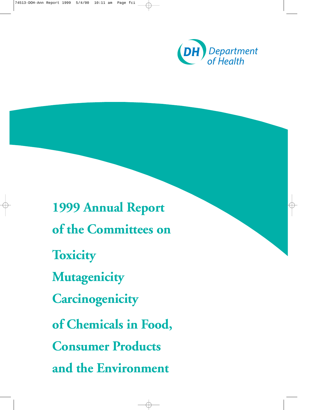

**1999 Annual Report of the Committees on Toxicity Mutagenicity Carcinogenicity of Chemicals in Food, Consumer Products and the Environment**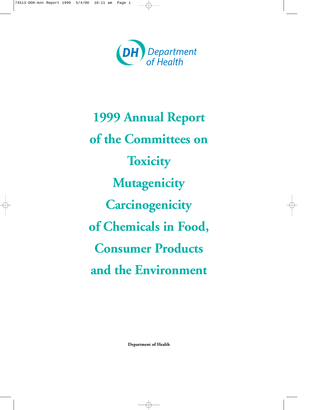

**1999 Annual Report of the Committees on Toxicity Mutagenicity Carcinogenicity of Chemicals in Food, Consumer Products and the Environment**

**Department of Health**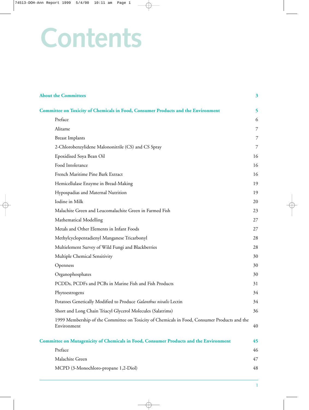# **Contents**

| <b>About the Committees</b>                                                                                 | 3  |
|-------------------------------------------------------------------------------------------------------------|----|
| <b>Committee on Toxicity of Chemicals in Food, Consumer Products and the Environment</b>                    | 5  |
| Preface                                                                                                     | 6  |
| Alitame                                                                                                     | 7  |
| <b>Breast Implants</b>                                                                                      | 7  |
| 2-Chlorobenzylidene Malononitrile (CS) and CS Spray                                                         | 7  |
| Epoxidised Soya Bean Oil                                                                                    | 16 |
| Food Intolerance                                                                                            | 16 |
| French Maritime Pine Bark Extract                                                                           | 16 |
| Hemicellulase Enzyme in Bread-Making                                                                        | 19 |
| Hypospadias and Maternal Nutrition                                                                          | 19 |
| Iodine in Milk                                                                                              | 20 |
| Malachite Green and Leucomalachite Green in Farmed Fish                                                     | 23 |
| Mathematical Modelling                                                                                      | 27 |
| Metals and Other Elements in Infant Foods                                                                   | 27 |
| Methylcyclopentadienyl Manganese Tricarbonyl                                                                | 28 |
| Multielement Survey of Wild Fungi and Blackberries                                                          | 28 |
| Multiple Chemical Sensitivity                                                                               | 30 |
| Openness                                                                                                    | 30 |
| Organophosphates                                                                                            | 30 |
| PCDDs, PCDFs and PCBs in Marine Fish and Fish Products                                                      | 31 |
| Phytoestrogens                                                                                              | 34 |
| Potatoes Genetically Modified to Produce Galanthus nivalis Lectin                                           | 34 |
| Short and Long Chain Triacyl Glycerol Molecules (Salatrims)                                                 | 36 |
| 1999 Membership of the Committee on Toxicity of Chemicals in Food, Consumer Products and the<br>Environment | 40 |
| <b>Committee on Mutagenicity of Chemicals in Food, Consumer Products and the Environment</b>                | 45 |
| Preface                                                                                                     | 46 |
| Malachite Green                                                                                             | 47 |
| MCPD (3-Monochloro-propane 1,2-Diol)                                                                        | 48 |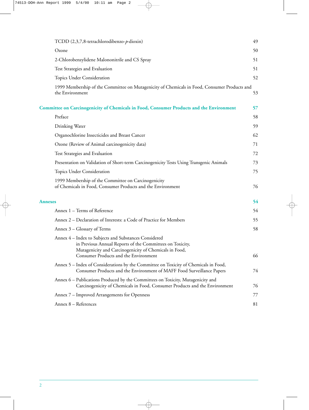| TCDD (2,3,7,8-tetrachlorodibenzo-p-dioxin)                                                                                                                                                                            | 49 |
|-----------------------------------------------------------------------------------------------------------------------------------------------------------------------------------------------------------------------|----|
| Ozone                                                                                                                                                                                                                 | 50 |
| 2-Chlorobenzylidene Malononitrile and CS Spray                                                                                                                                                                        | 51 |
| Test Strategies and Evaluation                                                                                                                                                                                        | 51 |
| Topics Under Consideration                                                                                                                                                                                            | 52 |
| 1999 Membership of the Committee on Mutagenicity of Chemicals in Food, Consumer Products and<br>the Environment                                                                                                       | 53 |
| <b>Committee on Carcinogenicity of Chemicals in Food, Consumer Products and the Environment</b>                                                                                                                       | 57 |
| Preface                                                                                                                                                                                                               | 58 |
| Drinking Water                                                                                                                                                                                                        | 59 |
| Organochlorine Insecticides and Breast Cancer                                                                                                                                                                         | 62 |
| Ozone (Review of Animal carcinogenicity data)                                                                                                                                                                         | 71 |
| Test Strategies and Evaluation                                                                                                                                                                                        | 72 |
| Presentation on Validation of Short-term Carcinogenicity Tests Using Transgenic Animals                                                                                                                               | 73 |
| Topics Under Consideration                                                                                                                                                                                            | 75 |
| 1999 Membership of the Committee on Carcinogenicity<br>of Chemicals in Food, Consumer Products and the Environment                                                                                                    | 76 |
| <b>Annexes</b>                                                                                                                                                                                                        | 54 |
| Annex 1 - Terms of Reference                                                                                                                                                                                          | 54 |
| Annex 2 – Declaration of Interests: a Code of Practice for Members                                                                                                                                                    | 55 |
| Annex 3 – Glossary of Terms                                                                                                                                                                                           | 58 |
| Annex 4 - Index to Subjects and Substances Considered<br>in Previous Annual Reports of the Committees on Toxicity,<br>Mutagenicity and Carcinogenicity of Chemicals in Food,<br>Consumer Products and the Environment | 66 |
| Annex 5 - Index of Considerations by the Committee on Toxicity of Chemicals in Food,<br>Consumer Products and the Environment of MAFF Food Surveillance Papers                                                        | 74 |
| Annex 6 – Publications Produced by the Committees on Toxicity, Mutagenicity and<br>Carcinogenicity of Chemicals in Food, Consumer Products and the Environment                                                        | 76 |
| Annex 7 – Improved Arrangements for Openness                                                                                                                                                                          | 77 |
| Annex 8 - References                                                                                                                                                                                                  | 81 |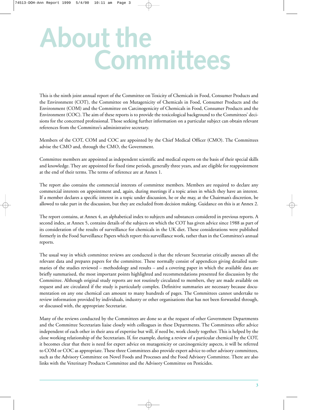# **About the Committees**

This is the ninth joint annual report of the Committee on Toxicity of Chemicals in Food, Consumer Products and the Environment (COT), the Committee on Mutagenicity of Chemicals in Food, Consumer Products and the Environment (COM) and the Committee on Carcinogenicity of Chemicals in Food, Consumer Products and the Environment (COC). The aim of these reports is to provide the toxicological background to the Committees' decisions for the concerned professional. Those seeking further information on a particular subject can obtain relevant references from the Committee's administrative secretary.

Members of the COT, COM and COC are appointed by the Chief Medical Officer (CMO). The Committees advise the CMO and, through the CMO, the Government.

Committee members are appointed as independent scientific and medical experts on the basis of their special skills and knowledge. They are appointed for fixed time periods, generally three years, and are eligible for reappointment at the end of their terms. The terms of reference are at Annex 1.

The report also contains the commercial interests of committee members. Members are required to declare any commercial interests on appointment and, again, during meetings if a topic arises in which they have an interest. If a member declares a specific interest in a topic under discussion, he or she may, at the Chairman's discretion, be allowed to take part in the discussion, but they are excluded from decision making. Guidance on this is at Annex 2.

The report contains, at Annex 4, an alphabetical index to subjects and substances considered in previous reports. A second index, at Annex 5, contains details of the subjects on which the COT has given advice since 1988 as part of its consideration of the results of surveillance for chemicals in the UK diet. These considerations were published formerly in the Food Surveillance Papers which report this surveillance work, rather than in the Committee's annual reports.

The usual way in which committee reviews are conducted is that the relevant Secretariat critically assesses all the relevant data and prepares papers for the committee. These normally consist of appendices giving detailed summaries of the studies reviewed – methodology and results – and a covering paper in which the available data are briefly summarised, the most important points highlighted and recommendations presented for discussion by the Committee. Although original study reports are not routinely circulated to members, they are made available on request and are circulated if the study is particularly complex. Definitive summaries are necessary because documentation on any one chemical can amount to many hundreds of pages. The Committees cannot undertake to review information provided by individuals, industry or other organisations that has not been forwarded through, or discussed with, the appropriate Secretariat.

Many of the reviews conducted by the Committees are done so at the request of other Government Departments and the Committee Secretariats liaise closely with colleagues in these Departments. The Committees offer advice independent of each other in their area of expertise but will, if need be, work closely together. This is helped by the close working relationship of the Secretariats. If, for example, during a review of a particular chemical by the COT, it becomes clear that there is need for expert advice on mutagenicity or carcinogenicity aspects, it will be referred to COM or COC as appropriate. These three Committees also provide expert advice to other advisory committees, such as the Advisory Committee on Novel Foods and Processes and the Food Advisory Committee. There are also links with the Veterinary Products Committee and the Advisory Committee on Pesticides.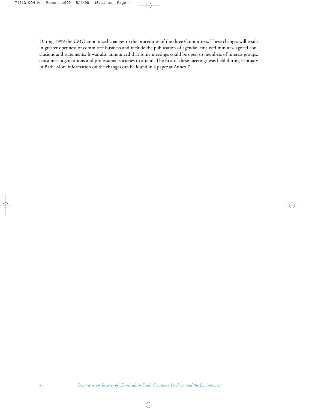During 1999 the CMO announced changes to the procedures of the three Committees. These changes will result in greater openness of committee business and include the publication of agendas, finalised minutes, agreed conclusions and statements. It was also announced that some meetings could be open to members of interest groups, consumer organisations and professional societies to attend. The first of these meetings was held during February in Bath. More information on the changes can be found in a paper at Annex 7.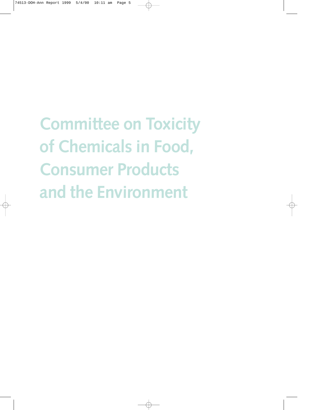**Committee on Toxicity of Chemicals in Food, Consumer Products and the Environment**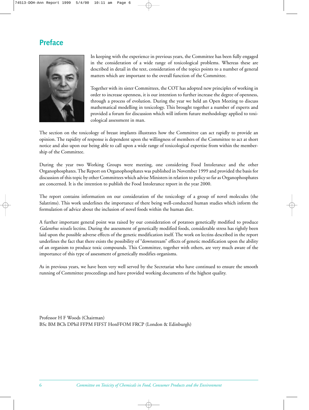## **Preface**



In keeping with the experience in previous years, the Committee has been fully engaged in the consideration of a wide range of toxicological problems. Whereas these are described in detail in the text, consideration of the topics points to a number of general matters which are important to the overall function of the Committee.

Together with its sister Committees, the COT has adopted new principles of working in order to increase openness, it is our intention to further increase the degree of openness, through a process of evolution. During the year we held an Open Meeting to discuss mathematical modelling in toxicology. This brought together a number of experts and provided a forum for discussion which will inform future methodology applied to toxicological assessment in man.

The section on the toxicology of breast implants illustrates how the Committee can act rapidly to provide an opinion. The rapidity of response is dependent upon the willingness of members of the Committee to act at short notice and also upon our being able to call upon a wide range of toxicological expertise from within the membership of the Committee.

During the year two Working Groups were meeting, one considering Food Intolerance and the other Organophosphates. The Report on Organophosphates was published in November 1999 and provided the basis for discussion of this topic by other Committees which advise Ministers in relation to policy so far as Organophosphates are concerned. It is the intention to publish the Food Intolerance report in the year 2000.

The report contains information on our consideration of the toxicology of a group of novel molecules (the Salatrims). This work underlines the importance of there being well-conducted human studies which inform the formulation of advice about the inclusion of novel foods within the human diet.

A further important general point was raised by our consideration of potatoes genetically modified to produce *Galanthus nivalis* lectins. During the assessment of genetically modified foods, considerable stress has rightly been laid upon the possible adverse effects of the genetic modification itself. The work on lectins described in the report underlines the fact that there exists the possibility of "downstream" effects of genetic modification upon the ability of an organism to produce toxic compounds. This Committee, together with others, are very much aware of the importance of this type of assessment of genetically modifies organisms.

As in previous years, we have been very well served by the Secretariat who have continued to ensure the smooth running of Committee proceedings and have provided working documents of the highest quality.

Professor H F Woods (Chairman) BSc BM BCh DPhil FFPM FIFST HonFFOM FRCP (London & Edinburgh)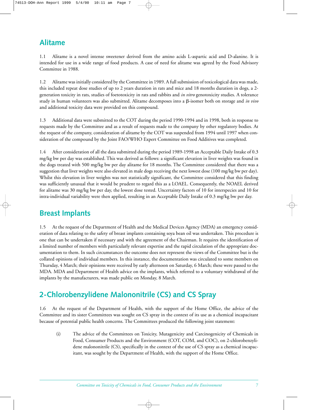# **Alitame**

1.1 Alitame is a novel intense sweetener derived from the amino acids L-aspartic acid and D-alanine. It is intended for use in a wide range of food products. A case of need for alitame was agreed by the Food Advisory Committee in 1988.

1.2 Alitame was initially considered by the Committee in 1989. A full submission of toxicological data was made, this included repeat dose studies of up to 2 years duration in rats and mice and 18 months duration in dogs, a 2 generation toxicity in rats, studies of foetotoxicity in rats and rabbits and *in vitro* genotoxicity studies. A tolerance study in human volunteers was also submitted. Alitame decomposes into a β-isomer both on storage and *in vivo* and additional toxicity data were provided on this compound.

1.3 Additional data were submitted to the COT during the period 1990-1994 and in 1998, both in response to requests made by the Committee and as a result of requests made to the company by other regulatory bodies. At the request of the company, consideration of alitame by the COT was suspended from 1994 until 1997 when consideration of the compound by the Joint FAO/WHO Expert Committee on Food Additives was completed.

1.4 After consideration of all the data submitted during the period 1989-1998 an Acceptable Daily Intake of 0.3 mg/kg bw per day was established. This was derived as follows: a significant elevation in liver weights was found in the dogs treated with 500 mg/kg bw per day alitame for 18 months. The Committee considered that there was a suggestion that liver weights were also elevated in male dogs receiving the next lowest dose (100 mg/kg bw per day). Whilst this elevation in liver weights was not statistically significant, the Committee considered that this finding was sufficiently unusual that it would be prudent to regard this as a LOAEL. Consequently, the NOAEL derived for alitame was 30 mg/kg bw per day, the lowest dose tested. Uncertainty factors of 10 for interspecies and 10 for intra-individual variability were then applied, resulting in an Acceptable Daily Intake of 0.3 mg/kg bw per day.

# **Breast Implants**

1.5 At the request of the Department of Health and the Medical Devices Agency (MDA) an emergency consideration of data relating to the safety of breast implants containing soya bean oil was undertaken. This procedure is one that can be undertaken if necessary and with the agreement of the Chairman. It requires the identification of a limited number of members with particularly relevant expertise and the rapid circulation of the appropriate documentation to them. In such circumstances the outcome does not represent the views of the Committee but is the collated opinions of individual members. In this instance, the documentation was circulated to some members on Thursday, 4 March; their opinions were received by early afternoon on Saturday, 6 March; these were passed to the MDA. MDA and Department of Health advice on the implants, which referred to a voluntary withdrawal of the implants by the manufacturers, was made public on Monday, 8 March.

# **2-Chlorobenzylidene Malononitrile (CS) and CS Spray**

1.6 At the request of the Department of Health, with the support of the Home Office, the advice of the Committee and its sister Committees was sought on CS spray in the context of its use as a chemical incapacitant because of potential public health concerns. The Committees produced the following joint statement:

(i) The advice of the Committees on Toxicity, Mutagenicity and Carcinogenicity of Chemicals in Food, Consumer Products and the Environment (COT, COM, and COC), on 2-chlorobenzylidene malononitrile (CS), specifically in the context of the use of CS spray as a chemical incapacitant, was sought by the Department of Health, with the support of the Home Office.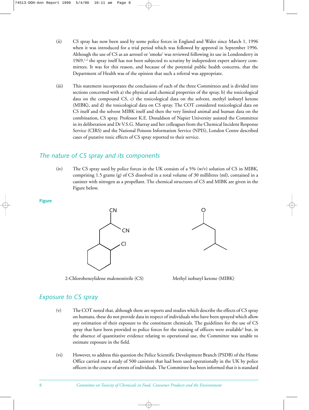- (ii) CS spray has now been used by some police forces in England and Wales since March 1, 1996 when it was introduced for a trial period which was followed by approval in September 1996. Although the use of CS as an aerosol or 'smoke' was reviewed following its use in Londonderry in  $1969,$ <sup>1,2</sup> the spray itself has not been subjected to scrutiny by independent expert advisory committees. It was for this reason, and because of the potential public health concerns, that the Department of Health was of the opinion that such a referral was appropriate.
- (iii) This statement incorporates the conclusions of each of the three Committees and is divided into sections concerned with a) the physical and chemical properties of the spray, b) the toxicological data on the compound CS, c) the toxicological data on the solvent, methyl isobutyl ketone (MIBK), and d) the toxicological data on CS spray. The COT considered toxicological data on CS itself and the solvent MIBK itself and then the very limited animal and human data on the combination, CS spray. Professor K.E. Donaldson of Napier University assisted the Committee in its deliberation and Dr V.S.G. Murray and her colleagues from the Chemical Incident Response Service (CIRS) and the National Poisons Information Service (NPIS), London Centre described cases of putative toxic effects of CS spray reported to their service.

#### *The nature of CS spray and its components*

(iv) The CS spray used by police forces in the UK consists of a 5% (w/v) solution of CS in MIBK, comprising 1.5 grams (g) of CS dissolved in a total volume of 30 millilitres (ml), contained in a canister with nitrogen as a propellant. The chemical structures of CS and MIBK are given in the Figure below.

#### **Figure**



2-Chlorobenzylidene malononitrile (CS) Methyl isobutyl ketone (MIBK)



## *Exposure to CS spray*

- (v) The COT noted that, although there are reports and studies which describe the effects of CS spray on humans, these do not provide data in respect of individuals who have been sprayed which allow any estimation of their exposure to the constituent chemicals. The guidelines for the use of CS spray that have been provided to police forces for the training of officers were available<sup>3</sup> but, in the absence of quantitative evidence relating to operational use, the Committee was unable to estimate exposure in the field.
- (vi) However, to address this question the Police Scientific Development Branch (PSDB) of the Home Office carried out a study of 500 canisters that had been used operationally in the UK by police officers in the course of arrests of individuals. The Committee has been informed that it is standard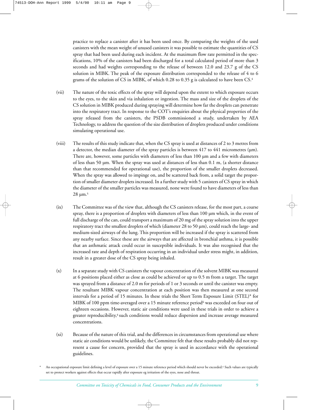practice to replace a canister after it has been used once. By comparing the weights of the used canisters with the mean weight of unused canisters it was possible to estimate the quantities of CS spray that had been used during each incident. At the maximum flow rate permitted in the specifications, 10% of the canisters had been discharged for a total calculated period of more than 3 seconds and had weights corresponding to the release of between 12.0 and 23.7 g of the CS solution in MIBK. The peak of the exposure distribution corresponded to the release of 4 to 6 grams of the solution of CS in MIBK, of which 0.28 to 0.35 g is calculated to have been CS.<sup>4</sup>

- (vii) The nature of the toxic effects of the spray will depend upon the extent to which exposure occurs to the eyes, to the skin and via inhalation or ingestion. The mass and size of the droplets of the CS solution in MIBK produced during spraying will determine how far the droplets can penetrate into the respiratory tract. In response to the COT's enquiries about the physical properties of the spray released from the canisters, the PSDB commissioned a study, undertaken by AEA Technology, to address the question of the size distribution of droplets produced under conditions simulating operational use.
- (viii) The results of this study indicate that, when the CS spray is used at distances of 2 to 3 metres from a detector, the median diameter of the spray particles is between  $417$  to  $441$  micrometres ( $\mu$ m). There are, however, some particles with diameters of less than 100 µm and a few with diameters of less than 50 µm. When the spray was used at distances of less than 0.1 m, (a shorter distance than that recommended for operational use), the proportion of the smaller droplets decreased. When the spray was allowed to impinge on, and be scattered back from, a solid target the proportion of smaller diameter droplets increased. In a further study with 5 canisters of CS spray in which the diameter of the smaller particles was measured, none were found to have diameters of less than  $28 \mu m.<sup>5</sup>$
- (ix) The Committee was of the view that, although the CS canisters release, for the most part, a coarse spray, there is a proportion of droplets with diameters of less than 100  $\mu$ m which, in the event of full discharge of the can, could transport a maximum of 20 mg of the spray solution into the upper respiratory tract the smallest droplets of which (diameter 28 to 50 µm), could reach the large- and medium-sized airways of the lung. This proportion will be increased if the spray is scattered from any nearby surface. Since these are the airways that are affected in bronchial asthma, it is possible that an asthmatic attack could occur in susceptible individuals. It was also recognised that the increased rate and depth of respiration occurring in an individual under stress might, in addition, result in a greater dose of the CS spray being inhaled.
- (x) In a separate study with CS canisters the vapour concentration of the solvent MIBK was measured at 6 positions placed either as close as could be achieved or up to 0.5 m from a target. The target was sprayed from a distance of 2.0 m for periods of 1 or 3 seconds or until the canister was empty. The resultant MIBK vapour concentration at each position was then measured at one second intervals for a period of 15 minutes. In these trials the Short Term Exposure Limit (STEL)\* for MIBK of 100 ppm time-averaged over a 15 minute reference period<sup>6</sup> was exceeded on four out of eighteen occasions. However, static air conditions were used in these trials in order to achieve a greater reproducibility,4 such conditions would reduce dispersion and increase average measured concentrations.
- (xi) Because of the nature of this trial, and the differences in circumstances from operational use where static air conditions would be unlikely, the Committee felt that these results probably did not represent a cause for concern, provided that the spray is used in accordance with the operational guidelines.

An occupational exposure limit defining a level of exposure over a 15 minute reference period which should never be exceeded.<sup>6</sup> Such values are typically set to protect workers against effects that occur rapidly after exposure eg irritation of the eyes, nose and throat.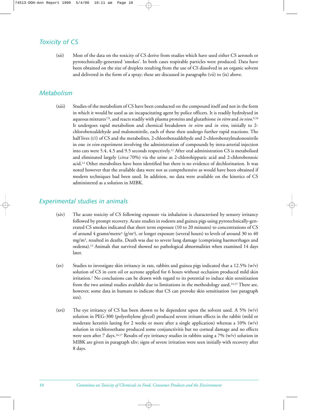## *Toxicity of CS*

(xii) Most of the data on the toxicity of CS derive from studies which have used either CS aerosols or pyrotechnically-generated 'smokes'. In both cases respirable particles were produced. Data have been obtained on the size of droplets resulting from the use of CS dissolved in an organic solvent and delivered in the form of a spray; these are discussed in paragraphs (vii) to (ix) above.

#### *Metabolism*

(xiii) Studies of the metabolism of CS have been conducted on the compound itself and not in the form in which it would be used as an incapacitating agent by police officers. It is readily hydrolysed in aqueous mixtures7,8, and reacts readily with plasma proteins and glutathione *in vitro* and *in vivo*. 9,10 It undergoes rapid metabolism and chemical breakdown *in vitro* and *in vivo*, initially to 2 chlorobenzaldehyde and malononitrile, each of these then undergo further rapid reactions. The half lives (t½) of CS and the metabolites, 2-chlorobenzaldehyde and 2-chlorobenzylmalononitrile in one *in vivo* experiment involving the administration of compounds by intra-arterial injection into cats were 5.4, 4.5 and 9.5 seconds respectively.11 After oral administration CS is metabolised and eliminated largely (*circa* 70%) via the urine as 2-chlorohippuric acid and 2-chlorobenzoic acid.12 Other metabolites have been identified but there is no evidence of dechlorination. It was noted however that the available data were not as comprehensive as would have been obtained if modern techniques had been used. In addition, no data were available on the kinetics of CS administered as a solution in MIBK.

#### *Experimental studies in animals*

- (xiv) The acute toxicity of CS following exposure via inhalation is characterised by sensory irritancy followed by prompt recovery. Acute studies in rodents and guinea pigs using pyrotechnically-generated CS smokes indicated that short term exposure (10 to 20 minutes) to concentrations of CS of around 4 grams/metre<sup>3</sup> (g/m<sup>3</sup>), or longer exposure (several hours) to levels of around 30 to 40 mg/m3, resulted in deaths. Death was due to severe lung damage (comprising haemorrhages and oedema).13 Animals that survived showed no pathological abnormalities when examined 14 days later.
- (xv) Studies to investigate skin irritancy in rats, rabbits and guinea pigs indicated that a 12.5% (w/v) solution of CS in corn oil or acetone applied for 6 hours without occlusion produced mild skin irritation.7 No conclusions can be drawn with regard to its potential to induce skin sensitisation from the two animal studies available due to limitations in the methodology used.14,15 There are, however, some data in humans to indicate that CS can provoke skin sensitisation (see paragraph xxx).
- (xvi) The eye irritancy of CS has been shown to be dependent upon the solvent used. A 5%  $(w/v)$ solution in PEG-300 (polyethylene glycol) produced severe irritant effects in the rabbit (mild or moderate keratitis lasting for 2 weeks or more after a single application) whereas a 10%  $(w/v)$ solution in trichloroethane produced some conjunctivitis but no corneal damage and no effects were seen after 7 days.16,17 Results of eye irritancy studies in rabbits using a 7% (w/v) solution in MIBK are given in paragraph xliv; signs of severe irritation were seen initially with recovery after 8 days.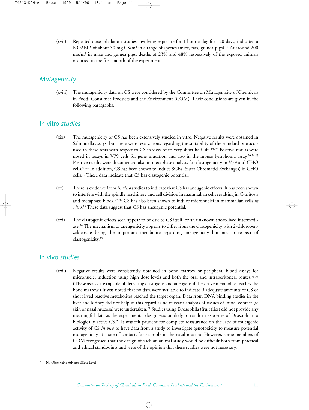(xvii) Repeated dose inhalation studies involving exposure for 1 hour a day for 120 days, indicated a NOAEL\* of about 30 mg  $CS/m^3$  in a range of species (mice, rats, guinea-pigs).<sup>18</sup> At around 200  $mg/m<sup>3</sup>$  in mice and guinea pigs, deaths of 23% and 48% respectively of the exposed animals occurred in the first month of the experiment.

## *Mutagenicity*

(xviii) The mutagenicity data on CS were considered by the Committee on Mutagenicity of Chemicals in Food, Consumer Products and the Environment (COM). Their conclusions are given in the following paragraphs.

#### In vitro *studies*

- (xix) The mutagenicity of CS has been extensively studied in vitro. Negative results were obtained in Salmonella assays, but there were reservations regarding the suitability of the standard protocols used in these tests with respect to CS in view of its very short half life.19–23 Positive results were noted in assays in V79 cells for gene mutation and also in the mouse lymphoma assay.20,24,25 Positive results were documented also in metaphase analysis for clastogenicity in V79 and CHO cells.20,26 In addition, CS has been shown to induce SCEs (Sister Chromatid Exchanges) in CHO cells.20 These data indicate that CS has clastogenic potential.
- (xx) There is evidence from *in vitro* studies to indicate that CS has aneugenic effects. It has been shown to interfere with the spindle machinery and cell division in mammalian cells resulting in C-mitosis and metaphase block.27–32 CS has also been shown to induce micronuclei in mammalian cells *in vitro*. <sup>25</sup> These data suggest that CS has aneugenic potential.
- (xxi) The clastogenic effects seen appear to be due to CS itself, or an unknown short-lived intermediate.26 The mechanism of aneugenicity appears to differ from the clastogenicity with 2-chlorobenzaldehyde being the important metabolite regarding aneugenicity but not in respect of clastogenicity.29

## In vivo *studies*

- (xxii) Negative results were consistently obtained in bone marrow or peripheral blood assays for micronuclei induction using high dose levels and both the oral and intraperitoneal routes.23,33 (These assays are capable of detecting clastogens and aneugens if the active metabolite reaches the bone marrow.) It was noted that no data were available to indicate if adequate amounts of CS or short lived reactive metabolites reached the target organ. Data from DNA binding studies in the liver and kidney did not help in this regard as no relevant analysis of tissues of initial contact (ie skin or nasal mucosa) were undertaken.21 Studies using Drosophila (fruit flies) did not provide any meaningful data as the experimental design was unlikely to result in exposure of Drosophila to biologically active CS.23 It was felt prudent for complete reassurance on the lack of mutagenic activity of CS *in vivo* to have data from a study to investigate genotoxicity to measure potential mutagenicity at a site of contact, for example in the nasal mucosa. However, some members of COM recognised that the design of such an animal study would be difficult both from practical and ethical standpoints and were of the opinion that these studies were not necessary.
- No Observable Adverse Effect Level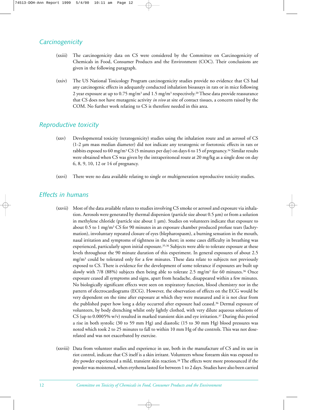## *Carcinogenicity*

- (xxiii) The carcinogenicity data on CS were considered by the Committee on Carcinogenicity of Chemicals in Food, Consumer Products and the Environment (COC). Their conclusions are given in the following paragraph.
- (xxiv) The US National Toxicology Program carcinogenicity studies provide no evidence that CS had any carcinogenic effects in adequately conducted inhalation bioassays in rats or in mice following 2 year exposure at up to 0.75 mg/m<sup>3</sup> and 1.5 mg/m<sup>3</sup> respectively.<sup>20</sup> These data provide reassurance that CS does not have mutagenic activity *in vivo* at site of contact tissues, a concern raised by the COM. No further work relating to CS is therefore needed in this area.

## *Reproductive toxicity*

- (xxv) Developmental toxicity (teratogenicity) studies using the inhalation route and an aerosol of CS (1-2 µm mass median diameter) did not indicate any teratogenic or foetotoxic effects in rats or rabbits exposed to 60 mg/m3 CS (5 minutes per day) on days 6 to 15 of pregnancy.34 Similar results were obtained when CS was given by the intraperitoneal route at 20 mg/kg as a single dose on day 6, 8, 9, 10, 12 or 14 of pregnancy.
- (xxvi) There were no data available relating to single or multigeneration reproductive toxicity studies.

#### *Effects in humans*

- (xxvii) Most of the data available relates to studies involving CS smoke or aerosol and exposure via inhalation. Aerosols were generated by thermal dispersion (particle size about 0.5 µm) or from a solution in methylene chloride (particle size about 1 µm). Studies on volunteers indicate that exposure to about 0.5 to 1 mg/m3 CS for 90 minutes in an exposure chamber produced profuse tears (lachrymation), involuntary repeated closure of eyes (blepharospasm), a burning sensation in the mouth, nasal irritation and symptoms of tightness in the chest; in some cases difficulty in breathing was experienced, particularly upon initial exposure.<sup>35,36</sup> Subjects were able to tolerate exposure at these levels throughout the 90 minute duration of this experiment. In general exposures of about 2.5  $mg/m<sup>3</sup>$  could be tolerated only for a few minutes. These data relate to subjects not previously exposed to CS. There is evidence for the development of some tolerance if exposures are built up slowly with 7/8 (88%) subjects then being able to tolerate 2.5 mg/m<sup>3</sup> for 60 minutes.<sup>36</sup> Once exposure ceased all symptoms and signs, apart from headache, disappeared within a few minutes. No biologically significant effects were seen on respiratory function, blood chemistry nor in the pattern of electrocardiograms (ECG). However, the observation of effects on the ECG would be very dependent on the time after exposure at which they were measured and it is not clear from the published paper how long a delay occurred after exposure had ceased.36 Dermal exposure of volunteers, by body drenching whilst only lightly clothed, with very dilute aqueous solutions of CS (up to 0.0005% w/v) resulted in marked transient skin and eye irritation.37 During this period a rise in both systolic (30 to 59 mm Hg) and diastolic (15 to 30 mm Hg) blood pressures was noted which took 2 to 25 minutes to fall to within 10 mm Hg of the controls. This was not doserelated and was not exacerbated by exercise.
- (xxviii) Data from volunteer studies and experience in use, both in the manufacture of CS and its use in riot control, indicate that CS itself is a skin irritant. Volunteers whose forearm skin was exposed to dry powder experienced a mild, transient skin reaction.38 The effects were more pronounced if the powder was moistened, when erythema lasted for between 1 to 2 days. Studies have also been carried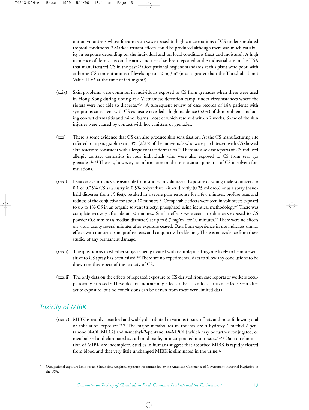out on volunteers whose forearm skin was exposed to high concentrations of CS under simulated tropical conditions.39 Marked irritant effects could be produced although there was much variability in response depending on the individual and on local conditions (heat and moisture). A high incidence of dermatitis on the arms and neck has been reported at the industrial site in the USA that manufactured CS in the past.39 Occupational hygiene standards at this plant were poor, with airborne CS concentrations of levels up to 12 mg/m3 (much greater than the Threshold Limit Value  $TLV^*$  at the time of 0.4 mg/m<sup>3</sup>).

- (xxix) Skin problems were common in individuals exposed to CS from grenades when these were used in Hong Kong during rioting at a Vietnamese detention camp, under circumstances where the rioters were not able to disperse.40,41 A subsequent review of case records of 184 patients with symptoms consistent with CS exposure revealed a high incidence (52%) of skin problems including contact dermatitis and minor burns, most of which resolved within 2 weeks. Some of the skin injuries were caused by contact with hot canisters or grenades.
- (xxx) There is some evidence that CS can also produce skin sensitisation. At the CS manufacturing site referred to in paragraph xxviii, 8% (2/25) of the individuals who were patch tested with CS showed skin reactions consistent with allergic contact dermatitis.39There are also case reports of CS-induced allergic contact dermatitis in four individuals who were also exposed to CS from tear gas grenades.42–44 There is, however, no information on the sensitisation potential of CS in solvent formulations.
- (xxxi) Data on eye irritancy are available from studies in volunteers. Exposure of young male volunteers to 0.1 or 0.25% CS as a slurry in 0.5% polysorbate, either directly (0.25 ml drop) or as a spray (handheld disperser from 15 feet), resulted in a severe pain response for a few minutes, profuse tears and redness of the conjuctiva for about 10 minutes.45 Comparable effects were seen in volunteers exposed to up to 1% CS in an organic solvent (trioctyl phosphate) using identical methodology.<sup>46</sup> There was complete recovery after about 30 minutes. Similar effects were seen in volunteers exposed to CS powder (0.8 mm mass median diameter) at up to 6.7 mg/m<sup>3</sup> for 10 minutes.<sup>47</sup> There were no effects on visual acuity several minutes after exposure ceased. Data from experience in use indicates similar effects with transient pain, profuse tears and conjunctival reddening. There is no evidence from these studies of any permanent damage.
- (xxxii) The question as to whether subjects being treated with neuroleptic drugs are likely to be more sensitive to CS spray has been raised.<sup>48</sup> There are no experimental data to allow any conclusions to be drawn on this aspect of the toxicity of CS.
- (xxxiii) The only data on the effects of repeated exposure to CS derived from case reports of workers occupationally exposed.2 These do not indicate any effects other than local irritant effects seen after acute exposure, but no conclusions can be drawn from these very limited data.

## *Toxicity of MIBK*

(xxxiv) MIBK is readily absorbed and widely distributed in various tissues of rats and mice following oral or inhalation exposure.49,50 The major metabolites in rodents are 4-hydroxy-4-methyl-2-pentanone (4-OHMIBK) and 4-methyl-2-pentanol (4-MPOL) which may be further conjugated, or metabolised and eliminated as carbon dioxide, or incorporated into tissues.50,51 Data on elimination of MIBK are incomplete. Studies in humans suggest that absorbed MIBK is rapidly cleared from blood and that very little unchanged MIBK is eliminated in the urine.<sup>52</sup>

<sup>\*</sup> Occupational exposure limit, for an 8 hour time weighted exposure, recommended by the American Conference of Government Industrial Hygienists in the USA.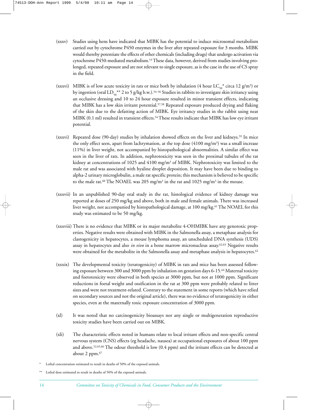- (xxxv) Studies using hens have indicated that MIBK has the potential to induce microsomal metabolism carried out by cytochrome P450 enzymes in the liver after repeated exposure for 3 months. MIBK would thereby potentiate the effects of other chemicals (including drugs) that undergo activation via cytochrome P450-mediated metabolism.53These data, however, derived from studies involving prolonged, repeated exposure and are not relevant to single exposure, as is the case in the use of CS spray in the field.
- (xxxvi) MIBK is of low acute toxicity in rats or mice both by inhalation (4 hour LC<sub>50</sub><sup>\*</sup> circa 12 g/m<sup>3</sup>) or by ingestion (oral LD<sub>50</sub><sup>\*\*</sup> 2 to 5 g/kg b.w.).<sup>54–56</sup> Studies in rabbits to investigate skin irritancy using an occlusive dressing and 10 to 24 hour exposure resulted in minor transient effects, indicating that MIBK has a low skin irritant potential.57,58 Repeated exposure produced drying and flaking of the skin due to the defatting action of MIBK. Eye irritancy studies in the rabbit using neat MIBK (0.1 ml) resulted in transient effects.<sup>54</sup>These results indicate that MIBK has low eye irritant potential.
- (xxxvi) Repeated dose (90-day) studies by inhalation showed effects on the liver and kidneys.59 In mice the only effect seen, apart from lachrymation, at the top dose  $(4100 \text{ mg/m}^3)$  was a small increase (11%) in liver weight, not accompanied by histopathological abnormalities. A similar effect was seen in the liver of rats. In addition, nephrotoxicity was seen in the proximal tubules of the rat kidney at concentrations of 1025 and 4100 mg/m<sup>3</sup> of MIBK. Nephrotoxicity was limited to the male rat and was associated with hyaline droplet deposition. It may have been due to binding to alpha-2 urinary microglobulin, a male rat specific protein; this mechanism is believed to be specific to the male rat.<sup>60</sup> The NOAEL was 205 mg/m<sup>3</sup> in the rat and 1025 mg/m<sup>3</sup> in the mouse.
- (xxxvii) In an unpublished 90-day oral study in the rat, histological evidence of kidney damage was reported at doses of 250 mg/kg and above, both in male and female animals. There was increased liver weight, not accompanied by histopathological damage, at 100 mg/kg.<sup>61</sup> The NOAEL for this study was estimated to be 50 mg/kg.
- (xxxviii) There is no evidence that MIBK or its major metabolite 4-OHMIBK have any genotoxic properties. Negative results were obtained with MIBK in the Salmonella assay, a metaphase analysis for clastogenicity in hepatocytes, a mouse lymphoma assay, an unscheduled DNA synthesis (UDS) assay in hepatocytes and also *in vivo* in a bone marrow micronucleus assay.62,63 Negative results were obtained for the metabolite in the Salmonella assay and metaphase analysis in hepatocytes.<sup>62</sup>
- (xxxix) The developmental toxicity (teratogenicity) of MIBK in rats and mice has been assessed following exposure between 300 and 3000 ppm by inhalation on gestation days 6-15.64 Maternal toxicity and foetotoxicity were observed in both species at 3000 ppm, but not at 1000 ppm. Significant reductions in foetal weight and ossification in the rat at 300 ppm were probably related to litter sizes and were not treatment-related. Contrary to the statement in some reports (which have relied on secondary sources and not the original article), there was no evidence of teratogenicity in either species, even at the maternally toxic exposure concentration of 3000 ppm.
- (xl) It was noted that no carcinogenicity bioassays nor any single or multigeneration reproductive toxicity studies have been carried out on MIBK.
- (xli) The characteristic effects noted in humans relate to local irritant effects and non-specific central nervous system (CNS) effects (eg headache, nausea) at occupational exposures of about 100 ppm and above.52,65,66 The odour threshold is low (0.4 ppm) and the irritant effects can be detected at about 2 ppm.67
- Lethal concentration estimated to result in deaths of 50% of the exposed animals.

Lethal dose estimated to result in deaths of 50% of the exposed animals.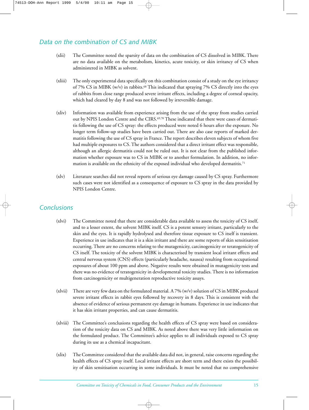## *Data on the combination of CS and MIBK*

- (xlii) The Committee noted the sparsity of data on the combination of CS dissolved in MIBK. There are no data available on the metabolism, kinetics, acute toxicity, or skin irritancy of CS when administered in MIBK as solvent.
- (xliii) The only experimental data specifically on this combination consist of a study on the eye irritancy of 7% CS in MIBK (w/v) in rabbits.68 This indicated that spraying 7% CS directly into the eyes of rabbits from close range produced severe irritant effects, including a degree of corneal opacity, which had cleared by day 8 and was not followed by irreversible damage.
- (xliv) Information was available from experience arising from the use of the spray from studies carried out by NPIS London Centre and the CIRS.<sup>69,70</sup> These indicated that there were cases of dermatitis following the use of CS spray: the effects produced were noted 6 hours after the exposure. No longer term follow-up studies have been carried out. There are also case reports of marked dermatitis following the use of CS spray in France. The report describes eleven subjects of whom five had multiple exposures to CS. The authors considered that a direct irritant effect was responsible, although an allergic dermatitis could not be ruled out. It is not clear from the published information whether exposure was to CS in MIBK or to another formulation. In addition, no information is available on the ethnicity of the exposed individual who developed dermatitis.<sup>71</sup>
- (xlv) Literature searches did not reveal reports of serious eye damage caused by CS spray. Furthermore such cases were not identified as a consequence of exposure to CS spray in the data provided by NPIS London Centre.

## *Conclusions*

- (xlvi) The Committee noted that there are considerable data available to assess the toxicity of CS itself, and to a lesser extent, the solvent MIBK itself. CS is a potent sensory irritant, particularly to the skin and the eyes. It is rapidly hydrolysed and therefore tissue exposure to CS itself is transient. Experience in use indicates that it is a skin irritant and there are some reports of skin sensitisation occurring. There are no concerns relating to the mutagenicity, carcinogenicity or teratogenicity of CS itself. The toxicity of the solvent MIBK is characterised by transient local irritant effects and central nervous system (CNS) effects (particularly headache, nausea) resulting from occupational exposures of about 100 ppm and above. Negative results were obtained in mutagenicity tests and there was no evidence of teratogenicity in developmental toxicity studies. There is no information from carcinogenicity or multigeneration reproductive toxicity assays.
- (xlvii) There are very few data on the formulated material. A 7% (w/v) solution of CS in MIBK produced severe irritant effects in rabbit eyes followed by recovery in 8 days. This is consistent with the absence of evidence of serious permanent eye damage in humans. Experience in use indicates that it has skin irritant properties, and can cause dermatitis.
- (xlviii) The Committee's conclusions regarding the health effects of CS spray were based on consideration of the toxicity data on CS and MIBK. As noted above there was very little information on the formulated product. The Committee's advice applies to all individuals exposed to CS spray during its use as a chemical incapacitant.
- (xlix) The Committee considered that the available data did not, in general, raise concerns regarding the health effects of CS spray itself. Local irritant effects are short term and there exists the possibility of skin sensitisation occurring in some individuals. It must be noted that no comprehensive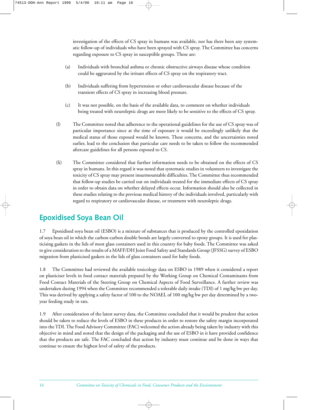investigation of the effects of CS spray in humans was available, nor has there been any systematic follow-up of individuals who have been sprayed with CS spray. The Committee has concerns regarding exposure to CS spray in susceptible groups. These are:

- (a) Individuals with bronchial asthma or chronic obstructive airways disease whose condition could be aggravated by the irritant effects of CS spray on the respiratory tract.
- (b) Individuals suffering from hypertension or other cardiovascular disease because of the transient effects of CS spray in increasing blood pressure.
- (c) It was not possible, on the basis of the available data, to comment on whether individuals being treated with neuroleptic drugs are more likely to be sensitive to the effects of CS spray.
- (l) The Committee noted that adherence to the operational guidelines for the use of CS spray was of particular importance since at the time of exposure it would be exceedingly unlikely that the medical status of those exposed would be known. These concerns, and the uncertainties noted earlier, lead to the conclusion that particular care needs to be taken to follow the recommended aftercare guidelines for all persons exposed to CS.
- (li) The Committee considered that further information needs to be obtained on the effects of CS spray in humans. In this regard it was noted that systematic studies in volunteers to investigate the toxicity of CS spray may present insurmountable difficulties. The Committee thus recommended that follow-up studies be carried out on individuals treated for the immediate effects of CS spray in order to obtain data on whether delayed effects occur. Information should also be collected in these studies relating to the previous medical history of the individuals involved, particularly with regard to respiratory or cardiovascular disease, or treatment with neuroleptic drugs.

# **Epoxidised Soya Bean Oil**

1.7 Epoxidised soya bean oil (ESBO) is a mixture of substances that is produced by the controlled epoxidation of soya bean oil in which the carbon-carbon double bonds are largely converted to epoxy groups. It is used for plasticising gaskets in the lids of most glass containers used in this country for baby foods. The Committee was asked to give consideration to the results of a MAFF/DH Joint Food Safety and Standards Group (JFSSG) survey of ESBO migration from plasticised gaskets in the lids of glass containers used for baby foods.

1.8 The Committee had reviewed the available toxicology data on ESBO in 1989 when it considered a report on plasticiser levels in food contact materials prepared by the Working Group on Chemical Contaminants from Food Contact Materials of the Steering Group on Chemical Aspects of Food Surveillance. A further review was undertaken during 1994 when the Committee recommended a tolerable daily intake (TDI) of 1 mg/kg bw per day. This was derived by applying a safety factor of 100 to the NOAEL of 100 mg/kg bw per day determined by a twoyear feeding study in rats.

1.9 After consideration of the latest survey data, the Committee concluded that it would be prudent that action should be taken to reduce the levels of ESBO in these products in order to restore the safety margin incorporated into the TDI. The Food Advisory Committee (FAC) welcomed the action already being taken by industry with this objective in mind and noted that the design of the packaging and the use of ESBO in it have provided confidence that the products are safe. The FAC concluded that action by industry must continue and be done in ways that continue to ensure the highest level of safety of the products.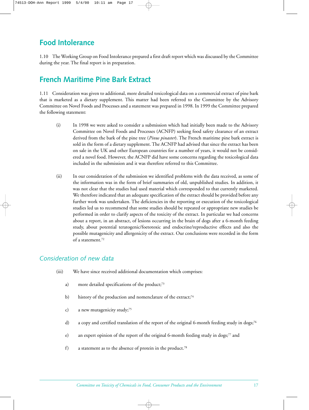# **Food Intolerance**

1.10 The Working Group on Food Intolerance prepared a first draft report which was discussed by the Committee during the year. The final report is in preparation.

# **French Maritime Pine Bark Extract**

1.11 Consideration was given to additional, more detailed toxicological data on a commercial extract of pine bark that is marketed as a dietary supplement. This matter had been referred to the Committee by the Advisory Committee on Novel Foods and Processes and a statement was prepared in 1998. In 1999 the Committee prepared the following statement:

- (i) In 1998 we were asked to consider a submission which had initially been made to the Advisory Committee on Novel Foods and Processes (ACNFP) seeking food safety clearance of an extract derived from the bark of the pine tree (*Pinus pinaster*). The French maritime pine bark extract is sold in the form of a dietary supplement. The ACNFP had advised that since the extract has been on sale in the UK and other European countries for a number of years, it would not be considered a novel food. However, the ACNFP did have some concerns regarding the toxicological data included in the submission and it was therefore referred to this Committee.
- (ii) In our consideration of the submission we identified problems with the data received, as some of the information was in the form of brief summaries of old, unpublished studies. In addition, it was not clear that the studies had used material which corresponded to that currently marketed. We therefore indicated that an adequate specification of the extract should be provided before any further work was undertaken. The deficiencies in the reporting or execution of the toxicological studies led us to recommend that some studies should be repeated or appropriate new studies be performed in order to clarify aspects of the toxicity of the extract. In particular we had concerns about a report, in an abstract, of lesions occurring in the brain of dogs after a 6-month feeding study, about potential teratogenic/foetotoxic and endocrine/reproductive effects and also the possible mutagenicity and allergenicity of the extract. Our conclusions were recorded in the form of a statement.72

## *Consideration of new data*

- (iii) We have since received additional documentation which comprises:
	- a) more detailed specifications of the product;<sup>73</sup>
	- b) history of the production and nomenclature of the extract;<sup>74</sup>
	- c) a new mutagenicity study;<sup>75</sup>
	- d) a copy and certified translation of the report of the original 6-month feeding study in dogs;<sup>76</sup>
	- e) an expert opinion of the report of the original 6-month feeding study in dogs;<sup>77</sup> and
	- f) a statement as to the absence of protein in the product.78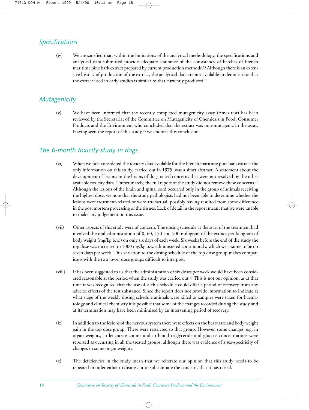## *Specifications*

(iv) We are satisfied that, within the limitations of the analytical methodology, the specifications and analytical data submitted provide adequate assurance of the consistency of batches of French maritime pine bark extract prepared by current production methods.73 Although there is an extensive history of production of the extract, the analytical data are not available to demonstrate that the extract used in early studies is similar to that currently produced.74

## *Mutagenicity*

(v) We have been informed that the recently completed mutagenicity assay (Ames test) has been reviewed by the Secretariat of the Committee on Mutagenicity of Chemicals in Food, Consumer Products and the Environment who concluded that the extract was non-mutagenic in the assay. Having seen the report of this study,<sup>75</sup> we endorse this conclusion.

## *The 6-month toxicity study in dogs*

- (vi) When we first considered the toxicity data available for the French maritime pine bark extract the only information on this study, carried out in 1975, was a short abstract. A statement about the development of lesions in the brains of dogs raised concerns that were not resolved by the other available toxicity data. Unfortunately, the full report of the study did not remove these concerns.76 Although the lesions of the brain and spinal cord occurred only in the group of animals receiving the highest dose, we note that the study pathologists had not been able to determine whether the lesions were treatment-related or were artefactual, possibly having resulted from some difference in the post mortem processing of the tissues. Lack of detail in the report meant that we were unable to make any judgement on this issue.
- (vii) Other aspects of this study were of concern. The dosing schedule at the start of the treatment had involved the oral administration of 0, 60, 150 and 500 milligram of the extract per kilogram of body weight (mg/kg b.w.) on only six days of each week. Six weeks before the end of the study the top dose was increased to 1000 mg/kg b.w. administered continuously, which we assume to be on seven days per week. This variation to the dosing schedule of the top dose group makes comparisons with the two lower dose groups difficult to interpret.
- (viii) It has been suggested to us that the administration of six doses per week would have been considered reasonable at the period when the study was carried out.<sup>77</sup> This is not our opinion, as at that time it was recognised that the use of such a schedule could offer a period of recovery from any adverse effects of the test substance. Since the report does not provide information to indicate at what stage of the weekly dosing schedule animals were killed or samples were taken for haematology and clinical chemistry it is possible that some of the changes recorded during the study and at its termination may have been minimised by an intervening period of recovery.
- (ix) In addition to the lesions of the nervous system there were effects on the heart rate and body weight gain in the top dose group. These were restricted to that group. However, some changes, e.g. in organ weights, in leucocyte counts and in blood triglyceride and glucose concentrations were reported as occurring in all the treated groups, although there was evidence of a sex-specificity of changes in some organ weights.
- (x) The deficiencies in the study mean that we reiterate our opinion that this study needs to be repeated in order either to dismiss or to substantiate the concerns that it has raised.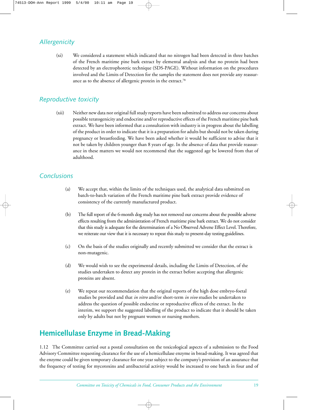## *Allergenicity*

(xi) We considered a statement which indicated that no nitrogen had been detected in three batches of the French maritime pine bark extract by elemental analysis and that no protein had been detected by an electrophoretic technique (SDS-PAGE). Without information on the procedures involved and the Limits of Detection for the samples the statement does not provide any reassurance as to the absence of allergenic protein in the extract.78

## *Reproductive toxicity*

(xii) Neither new data nor original full study reports have been submitted to address our concerns about possible teratogenicity and endocrine and/or reproductive effects of the French maritime pine bark extract. We have been informed that a consultation with industry is in progress about the labelling of the product in order to indicate that it is a preparation for adults but should not be taken during pregnancy or breastfeeding. We have been asked whether it would be sufficient to advise that it not be taken by children younger than 8 years of age. In the absence of data that provide reassurance in these matters we would not recommend that the suggested age be lowered from that of adulthood.

## *Conclusions*

- (a) We accept that, within the limits of the techniques used, the analytical data submitted on batch-to-batch variation of the French maritime pine bark extract provide evidence of consistency of the currently manufactured product.
- (b) The full report of the 6-month dog study has not removed our concerns about the possible adverse effects resulting from the administration of French maritime pine bark extract. We do not consider that this study is adequate for the determination of a No Observed Adverse Effect Level. Therefore, we reiterate our view that it is necessary to repeat this study to present-day testing guidelines.
- (c) On the basis of the studies originally and recently submitted we consider that the extract is non-mutagenic.
- (d) We would wish to see the experimental details, including the Limits of Detection, of the studies undertaken to detect any protein in the extract before accepting that allergenic proteins are absent.
- (e) We repeat our recommendation that the original reports of the high dose embryo-foetal studies be provided and that *in vitro* and/or short-term *in vivo* studies be undertaken to address the question of possible endocrine or reproductive effects of the extract. In the interim, we support the suggested labelling of the product to indicate that it should be taken only by adults but not by pregnant women or nursing mothers.

# **Hemicellulase Enzyme in Bread-Making**

1.12 The Committee carried out a postal consultation on the toxicological aspects of a submission to the Food Advisory Committee requesting clearance for the use of a hemicellulase enzyme in bread-making. It was agreed that the enzyme could be given temporary clearance for one year subject to the company's provision of an assurance that the frequency of testing for mycotoxins and antibacterial activity would be increased to one batch in four and of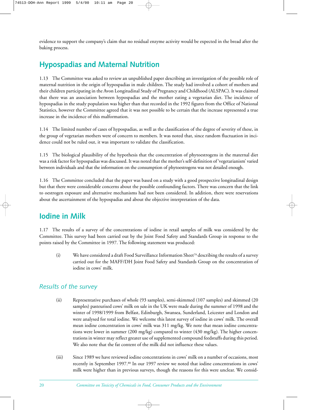evidence to support the company's claim that no residual enzyme activity would be expected in the bread after the baking process.

# **Hypospadias and Maternal Nutrition**

1.13 The Committee was asked to review an unpublished paper describing an investigation of the possible role of maternal nutrition in the origin of hypospadias in male children. The study had involved a cohort of mothers and their children participating in the Avon Longitudinal Study of Pregnancy and Childhood (ALSPAC). It was claimed that there was an association between hypospadias and the mother eating a vegetarian diet. The incidence of hypospadias in the study population was higher than that recorded in the 1992 figures from the Office of National Statistics, however the Committee agreed that it was not possible to be certain that the increase represented a true increase in the incidence of this malformation.

1.14 The limited number of cases of hypospadias, as well as the classification of the degree of severity of these, in the group of vegetarian mothers were of concern to members. It was noted that, since random fluctuation in incidence could not be ruled out, it was important to validate the classification.

1.15 The biological plausibility of the hypothesis that the concentration of phytoestrogens in the maternal diet was a risk factor for hypospadias was discussed. It was noted that the mother's self-definition of 'vegetarianism' varied between individuals and that the information on the consumption of phytoestrogens was not detailed enough.

1.16 The Committee concluded that the paper was based on a study with a good prospective longitudinal design but that there were considerable concerns about the possible confounding factors. There was concern that the link to oestrogen exposure and alternative mechanisms had not been considered. In addition, there were reservations about the ascertainment of the hypospadias and about the objective interpretation of the data.

## **Iodine in Milk**

1.17 The results of a survey of the concentrations of iodine in retail samples of milk was considered by the Committee. This survey had been carried out by the Joint Food Safety and Standards Group in response to the points raised by the Committee in 1997. The following statement was produced:

(i) We have considered a draft Food Surveillance Information Sheet79 describing the results of a survey carried out for the MAFF/DH Joint Food Safety and Standards Group on the concentration of iodine in cows' milk.

## *Results of the survey*

- (ii) Representative purchases of whole (93 samples), semi-skimmed (107 samples) and skimmed (20 samples) pasteurised cows' milk on sale in the UK were made during the summer of 1998 and the winter of 1998/1999 from Belfast, Edinburgh, Swansea, Sunderland, Leicester and London and were analysed for total iodine. We welcome this latest survey of iodine in cows' milk. The overall mean iodine concentration in cows' milk was 311 mg/kg. We note that mean iodine concentrations were lower in summer (200 mg/kg) compared to winter (430 mg/kg). The higher concentrations in winter may reflect greater use of supplemented compound feedstuffs during this period. We also note that the fat content of the milk did not influence these values.
- (iii) Since 1989 we have reviewed iodine concentrations in cows' milk on a number of occasions, most recently in September 1997.80 In our 1997 review we noted that iodine concentrations in cows' milk were higher than in previous surveys, though the reasons for this were unclear. We consid-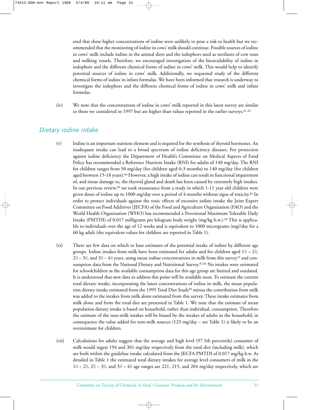ered that these higher concentrations of iodine were unlikely to pose a risk to health but we recommended that the monitoring of iodine in cows' milk should continue. Possible sources of iodine in cows' milk include iodine in the animal diets and the iodophors used as sterilants of cow teats and milking vessels. Therefore, we encouraged investigation of the bioavailability of iodine in iodophors and the different chemical forms of iodine in cows' milk. This would help to identify potential sources of iodine in cows' milk. Additionally, we requested study of the different chemical forms of iodine in infant formulas. We have been informed that research is underway to investigate the iodophors and the different chemical forms of iodine in cows' milk and infant formulas.

(iv) We note that the concentrations of iodine in cows' milk reported in this latest survey are similar to those we considered in 1997 but are higher than values reported in the earlier surveys.<sup>81-83</sup>

#### *Dietary iodine intake*

- (v) Iodine is an important nutrient element and is required for the synthesis of thyroid hormones. An inadequate intake can lead to a broad spectrum of iodine deficiency diseases. For protection against iodine deficiency the Department of Health's Committee on Medical Aspects of Food Policy has recommended a Reference Nutrient Intake (RNI) for adults of 140 mg/day. The RNI for children ranges from 50 mg/day (for children aged 0-3 months) to 140 mg/day (for children aged between 15-18 years).84 However, a high intake of iodine can result in functional impairment of, and tissue damage to, the thyroid gland and death has been caused by extremely high intakes. In our previous review.80 we took reassurance from a study in which 1-11 year old children were given doses of iodine up to 1000 mg/day over a period of 4 months without signs of toxicity.<sup>85</sup> In order to protect individuals against the toxic effects of excessive iodine intake the Joint Expert Committee on Food Additives (JECFA) of the Food and Agriculture Organization (FAO) and the World Health Organization (WHO) has recommended a Provisional Maximum Tolerable Daily Intake (PMTDI) of 0.017 milligrams per kilogram body weight (mg/kg b.w.).86 This is applicable to individuals over the age of 12 weeks and is equivalent to 1000 micrograms (mg)/day for a 60 kg adult (the equivalent values for children are reported in Table 1).
- (vi) There are few data on which to base estimates of the potential intake of iodine by different age groups. Iodine intakes from milk have been estimated for adults and for children aged 1½ – 2½,  $2\%-3\%$ , and  $3\%-4\%$  years, using mean iodine concentrations in milk from this survey<sup>79</sup> and consumption data from the National Dietary and Nutritional Survey.<sup>87,88</sup> No intakes were estimated for schoolchildren as the available consumption data for this age group are limited and outdated. It is understood that new data to address this point will be available soon. To estimate the current total dietary intake, incorporating the latest concentrations of iodine in milk, the mean population dietary intake estimated from the 1995 Total Diet Study<sup>89</sup> minus the contribution from milk was added to the intakes from milk alone estimated from this survey. These intake estimates from milk alone and from the total diet are presented in Table 1. We note that the estimate of mean population dietary intake is based on household, rather than individual, consumption. Therefore the estimate of the non-milk intakes will be biased by the intakes of adults in the household; in consequence the value added for non-milk sources (123 mg/day – see Table 1) is likely to be an overestimate for children.
- (vii) Calculations for adults suggest that the average and high level (97.5th percentile) consumer of milk would ingest 194 and 301 mg/day respectively from the total diet (including milk), which are both within the guideline intake calculated from the JECFA PMTDI of 0.017 mg/kg b.w. As detailed in Table 1 the estimated total dietary intakes for average level consumers of milk in the  $1\frac{1}{2} - 2\frac{1}{2}, 2\frac{1}{2} - 3\frac{1}{2}$ , and  $3\frac{1}{2} - 4\frac{1}{2}$  age ranges are 221, 215, and 204 mg/day respectively, which are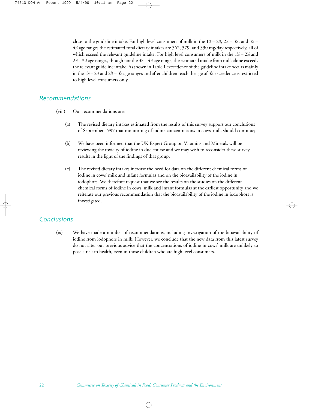close to the guideline intake. For high level consumers of milk in the  $1\%-2\%$ ,  $2\%-3\%$ , and  $3\% 4\%$  age ranges the estimated total dietary intakes are 362, 379, and 330 mg/day respectively, all of which exceed the relevant guideline intake. For high level consumers of milk in the  $1\%-2\%$  and 2½ – 3½ age ranges, though not the 3½ – 4½ age range, the estimated intake from milk alone exceeds the relevant guideline intake. As shown in Table 1 exceedence of the guideline intake occurs mainly in the 1½ – 2½ and 2½ – 3½ age ranges and after children reach the age of 3½ exceedence is restricted to high level consumers only.

#### *Recommendations*

- (viii) Our recommendations are:
	- (a) The revised dietary intakes estimated from the results of this survey support our conclusions of September 1997 that monitoring of iodine concentrations in cows' milk should continue;
	- (b) We have been informed that the UK Expert Group on Vitamins and Minerals will be reviewing the toxicity of iodine in due course and we may wish to reconsider these survey results in the light of the findings of that group;
	- (c) The revised dietary intakes increase the need for data on the different chemical forms of iodine in cows' milk and infant formulas and on the bioavailability of the iodine in iodophors. We therefore request that we see the results on the studies on the different chemical forms of iodine in cows' milk and infant formulas at the earliest opportunity and we reiterate our previous recommendation that the bioavailability of the iodine in iodophors is investigated.

## *Conclusions*

(ix) We have made a number of recommendations, including investigation of the bioavailability of iodine from iodophors in milk. However, we conclude that the new data from this latest survey do not alter our previous advice that the concentrations of iodine in cows' milk are unlikely to pose a risk to health, even in those children who are high level consumers.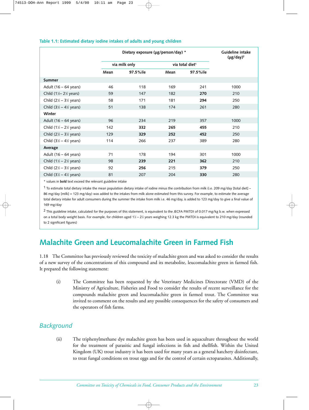#### **Table 1.1: Estimated dietary iodine intakes of adults and young children**

|                                                              |      | Dietary exposure (µg/person/day) * |      |                             |      |  |
|--------------------------------------------------------------|------|------------------------------------|------|-----------------------------|------|--|
|                                                              |      | via milk only                      |      | via total diet <sup>1</sup> |      |  |
|                                                              | Mean | 97.5%ile                           | Mean | 97.5%ile                    |      |  |
| <b>Summer</b>                                                |      |                                    |      |                             |      |  |
| Adult $(16 - 64$ years)                                      | 46   | 118                                | 169  | 241                         | 1000 |  |
| Child $(1\text{\textdegree}-2\text{\textdegree}\textdegree)$ | 59   | 147                                | 182  | 270                         | 210  |  |
| Child $(2\frac{1}{2} - 3\frac{1}{2})$ years)                 | 58   | 171                                | 181  | 294                         | 250  |  |
| Child $(3\frac{1}{2} - 4\frac{1}{2})$ years)                 | 51   | 138                                | 174  | 261                         | 280  |  |
| Winter                                                       |      |                                    |      |                             |      |  |
| Adult $(16 - 64$ years)                                      | 96   | 234                                | 219  | 357                         | 1000 |  |
| Child $(1\frac{1}{2} - 2\frac{1}{2})$ years)                 | 142  | 332                                | 265  | 455                         | 210  |  |
| Child $(2\frac{1}{2} - 3\frac{1}{2})$ years)                 | 129  | 329                                | 252  | 452                         | 250  |  |
| Child $(3\frac{1}{2} - 4\frac{1}{2})$ years)                 | 114  | 266                                | 237  | 389                         | 280  |  |
| Average                                                      |      |                                    |      |                             |      |  |
| Adult $(16 - 64$ years)                                      | 71   | 178                                | 194  | 301                         | 1000 |  |
| Child $(1\frac{1}{2} - 2\frac{1}{2})$ years)                 | 98   | 239                                | 221  | 362                         | 210  |  |
| Child $(2\frac{1}{2} - 3\frac{1}{2})$ years)                 | 92   | 256                                | 215  | 379                         | 250  |  |
| Child $(3\frac{1}{2} - 4\frac{1}{2})$ years)                 | 81   | 207                                | 204  | 330                         | 280  |  |

\* values in **bold** text exceed the relevant guideline intake

 $1$  To estimate total dietary intake the mean population dietary intake of iodine minus the contribution from milk (i.e. 209 mg/day [total diet] – 86 mg/day [milk] = 123 mg/day) was added to the intakes from milk alone estimated from this survey. For example, to estimate the average total dietary intake for adult consumers during the summer the intake from milk i.e. 46 mg/day, is added to 123 mg/day to give a final value of 169 mg/day

<sup>2</sup> This guideline intake, calculated for the purposes of this statement, is equivalent to the JECFA PMTDI of 0.017 mg/kg b.w. when expressed on a total body weight basis. For example, for children aged 1½ – 2½ years weighing 12.3 kg the PMTDI is equivalent to 210 mg/day (rounded to 2 significant figures)

## **Malachite Green and Leucomalachite Green in Farmed Fish**

1.18 The Committee has previously reviewed the toxicity of malachite green and was asked to consider the results of a new survey of the concentrations of this compound and its metabolite, leucomalachite green in farmed fish. It prepared the following statement:

(i) The Committee has been requested by the Veterinary Medicines Directorate (VMD) of the Ministry of Agriculture, Fisheries and Food to consider the results of recent surveillance for the compounds malachite green and leucomalachite green in farmed trout. The Committee was invited to comment on the results and any possible consequences for the safety of consumers and the operators of fish farms.

## *Background*

(ii) The triphenylmethane dye malachite green has been used in aquaculture throughout the world for the treatment of parasitic and fungal infections in fish and shellfish. Within the United Kingdom (UK) trout industry it has been used for many years as a general hatchery disinfectant, to treat fungal conditions on trout eggs and for the control of certain ectoparasites. Additionally,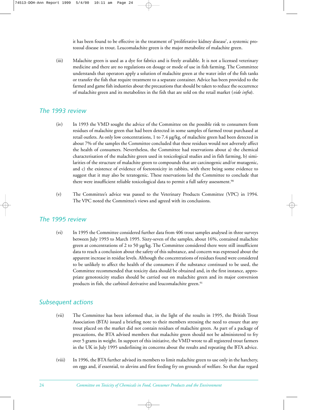it has been found to be effective in the treatment of 'proliferative kidney disease', a systemic protozoal disease in trout. Leucomalachite green is the major metabolite of malachite green.

(iii) Malachite green is used as a dye for fabrics and is freely available. It is not a licensed veterinary medicine and there are no regulations on dosage or mode of use in fish farming. The Committee understands that operators apply a solution of malachite green at the water inlet of the fish tanks or transfer the fish that require treatment to a separate container. Advice has been provided to the farmed and game fish industries about the precautions that should be taken to reduce the occurrence of malachite green and its metabolites in the fish that are sold on the retail market (*vide infra*).

#### *The 1993 review*

- (iv) In 1993 the VMD sought the advice of the Committee on the possible risk to consumers from residues of malachite green that had been detected in some samples of farmed trout purchased at retail outlets. As only low concentrations, 1 to 7.4 µg/kg, of malachite green had been detected in about 7% of the samples the Committee concluded that these residues would not adversely affect the health of consumers. Nevertheless, the Committee had reservations about a) the chemical characterisation of the malachite green used in toxicological studies and in fish farming, b) similarities of the structure of malachite green to compounds that are carcinogenic and/or mutagenic, and c) the existence of evidence of foetotoxicity in rabbits, with there being some evidence to suggest that it may also be teratogenic. These reservations led the Committee to conclude that there were insufficient reliable toxicological data to permit a full safety assessment.<sup>90</sup>
- (v) The Committee's advice was passed to the Veterinary Products Committee (VPC) in 1994. The VPC noted the Committee's views and agreed with its conclusions.

#### *The 1995 review*

(vi) In 1995 the Committee considered further data from 406 trout samples analysed in three surveys between July 1993 to March 1995. Sixty-seven of the samples, about 16%, contained malachite green at concentrations of 2 to 50 µg/kg. The Committee considered there were still insufficient data to reach a conclusion about the safety of this substance, and concern was expressed about the apparent increase in residue levels. Although the concentrations of residues found were considered to be unlikely to affect the health of the consumers if the substance continued to be used, the Committee recommended that toxicity data should be obtained and, in the first instance, appropriate genotoxicity studies should be carried out on malachite green and its major conversion products in fish, the carbinol derivative and leucomalachite green.<sup>91</sup>

## *Subsequent actions*

- (vii) The Committee has been informed that, in the light of the results in 1995, the British Trout Association (BTA) issued a briefing note to their members stressing the need to ensure that any trout placed on the market did not contain residues of malachite green. As part of a package of precautions, the BTA advised members that malachite green should not be administered to fry over 5 grams in weight. In support of this initiative, the VMD wrote to all registered trout farmers in the UK in July 1995 underlining its concerns about the results and repeating the BTA advice.
- (viii) In 1996, the BTA further advised its members to limit malachite green to use only in the hatchery, on eggs and, if essential, to alevins and first feeding fry on grounds of welfare. So that due regard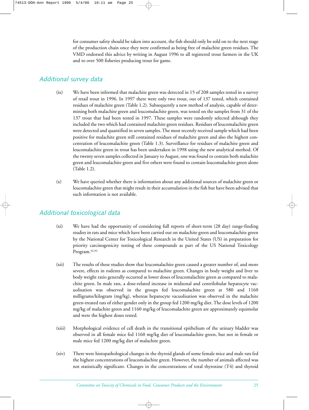for consumer safety should be taken into account, the fish should only be sold on to the next stage of the production chain once they were confirmed as being free of malachite green residues. The VMD endorsed this advice by writing in August 1996 to all registered trout farmers in the UK and to over 500 fisheries producing trout for game.

## *Additional survey data*

- (ix) We have been informed that malachite green was detected in 15 of 208 samples tested in a survey of retail trout in 1996. In 1997 there were only two trout, out of 137 tested, which contained residues of malachite green (Table 1.2). Subsequently a new method of analysis, capable of determining both malachite green and leucomalachite green, was tested on the samples from 31 of the 137 trout that had been tested in 1997. These samples were randomly selected although they included the two which had contained malachite green residues. Residues of leucomalachite green were detected and quantified in seven samples. The most recently received sample which had been positive for malachite green still contained residues of malachite green and also the highest concentration of leucomalachite green (Table 1.3). Surveillance for residues of malachite green and leucomalachite green in trout has been undertaken in 1998 using the new analytical method. Of the twenty seven samples collected in January to August, one was found to contain both malachite green and leucomalachite green and five others were found to contain leucomalachite green alone (Table 1.2).
- (x) We have queried whether there is information about any additional sources of malachite green or leucomalachite green that might result in their accumulation in the fish but have been advised that such information is not available.

## *Additional toxicological data*

- (xi) We have had the opportunity of considering full reports of short-term (28 day) range-finding studies in rats and mice which have been carried out on malachite green and leucomalachite green by the National Center for Toxicological Research in the United States (US) in preparation for priority carcinogenicity testing of these compounds as part of the US National Toxicology Program.92,93
- (xii) The results of these studies show that leucomalachite green caused a greater number of, and more severe, effects in rodents as compared to malachite green. Changes in body weight and liver to body weight ratio generally occurred at lower doses of leucomalachite green as compared to malachite green. In male rats, a dose-related increase in midzonal and centrilobular hepatocyte vacuolisation was observed in the groups fed leucomalachite green at 580 and 1160 milligrams/kilogram (mg/kg), whereas hepatocyte vacuolisation was observed in the malachite green-treated rats of either gender only in the group fed 1200 mg/kg diet. The dose levels of 1200 mg/kg of malachite green and 1160 mg/kg of leucomalachite green are approximately equimolar and were the highest doses tested.
- (xiii) Morphological evidence of cell death in the transitional epithelium of the urinary bladder was observed in all female mice fed 1160 mg/kg diet of leucomalachite green, but not in female or male mice fed 1200 mg/kg diet of malachite green.
- (xiv) There were histopathological changes in the thyroid glands of some female mice and male rats fed the highest concentrations of leucomalachite green. However, the number of animals affected was not statistically significant. Changes in the concentrations of total thyroxine (T4) and thyroid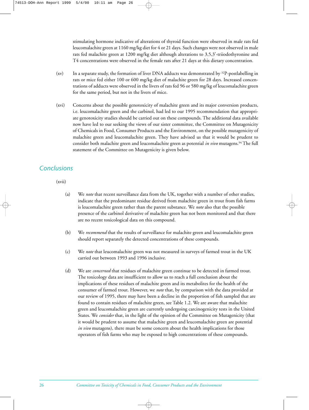stimulating hormone indicative of alterations of thyroid function were observed in male rats fed leucomalachite green at 1160 mg/kg diet for 4 or 21 days. Such changes were not observed in male rats fed malachite green at 1200 mg/kg diet although alterations to 3,5,3'-triiodothyronine and T4 concentrations were observed in the female rats after 21 days at this dietary concentration.

- (xv) In a separate study, the formation of liver DNA adducts was demonstrated by 32P-postlabelling in rats or mice fed either 100 or 600 mg/kg diet of malachite green for 28 days. Increased concentrations of adducts were observed in the livers of rats fed 96 or 580 mg/kg of leucomalachite green for the same period, but not in the livers of mice.
- (xvi) Concerns about the possible genotoxicity of malachite green and its major conversion products, i.e. leucomalachite green and the carbinol, had led to our 1995 recommendation that appropriate genotoxicity studies should be carried out on these compounds. The additional data available now have led to our seeking the views of our sister committee, the Committee on Mutagenicity of Chemicals in Food, Consumer Products and the Environment, on the possible mutagenicity of malachite green and leucomalachite green. They have advised us that it would be prudent to consider both malachite green and leucomalachite green as potential *in vivo* mutagens.94 The full statement of the Committee on Mutagenicity is given below.

## *Conclusions*

(xvii)

- (a) We *note* that recent surveillance data from the UK, together with a number of other studies, indicate that the predominant residue derived from malachite green in trout from fish farms is leucomalachite green rather than the parent substance. We *note* also that the possible presence of the carbinol derivative of malachite green has not been monitored and that there are no recent toxicological data on this compound.
- (b) We *recommend* that the results of surveillance for malachite green and leucomalachite green should report separately the detected concentrations of these compounds.
- (c) We *note* that leucomalachite green was not measured in surveys of farmed trout in the UK carried out between 1993 and 1996 inclusive.
- (d) We are *concerned* that residues of malachite green continue to be detected in farmed trout. The toxicology data are insufficient to allow us to reach a full conclusion about the implications of these residues of malachite green and its metabolites for the health of the consumer of farmed trout. However, we *note* that, by comparison with the data provided at our review of 1995, there may have been a decline in the proportion of fish sampled that are found to contain residues of malachite green, see Table 1.2. We are aware that malachite green and leucomalachite green are currently undergoing carcinogenicity tests in the United States. We *consider* that, in the light of the opinion of the Committee on Mutagenicity (that it would be prudent to assume that malachite green and leucomalachite green are potential *in vivo* mutagens), there must be some concern about the health implications for those operators of fish farms who may be exposed to high concentrations of these compounds.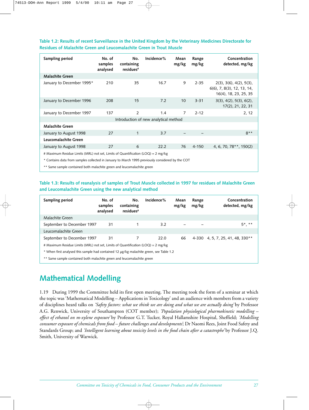**Table 1.2: Results of recent Surveillance in the United Kingdom by the Veterinary Medicines Directorate for Residues of Malachite Green and Leucomalachite Green in Trout Muscle**

| Sampling period                                                                                  | No. of<br>samples<br>analysed | No.<br>containing<br>residues# | Incidence% | Mean<br>mg/kg  | Range<br>mg/kg | Concentration<br>detected, mg/kg                                                              |  |
|--------------------------------------------------------------------------------------------------|-------------------------------|--------------------------------|------------|----------------|----------------|-----------------------------------------------------------------------------------------------|--|
| <b>Malachite Green</b>                                                                           |                               |                                |            |                |                |                                                                                               |  |
| January to December 1995*                                                                        | 210                           | 35                             | 16.7       | 9              | $2 - 35$       | $2(3)$ , $3(6)$ , $4(2)$ , $5(3)$ ,<br>$6(6)$ , 7, 8(3), 12, 13, 14,<br>16(4), 18, 23, 25, 35 |  |
| January to December 1996                                                                         | 208                           | 15                             | 7.2        | 10             | $3 - 31$       | 3(3), 4(2), 5(3), 6(2),<br>17(2), 21, 22, 31                                                  |  |
| January to December 1997                                                                         | 137                           | $\overline{2}$                 | 1.4        | $\overline{7}$ | $2 - 12$       | 2, 12                                                                                         |  |
| Introduction of new analytical method                                                            |                               |                                |            |                |                |                                                                                               |  |
| <b>Malachite Green</b>                                                                           |                               |                                |            |                |                |                                                                                               |  |
| January to August 1998                                                                           | 27                            | $\mathbf{1}$                   | 3.7        |                |                | $R^*$                                                                                         |  |
| Leucomalachite Green                                                                             |                               |                                |            |                |                |                                                                                               |  |
| January to August 1998                                                                           | 27                            | 6                              | 22.2       | 76             | $4 - 150$      | 4, 6, 70, 78 $**$ , 150(2)                                                                    |  |
| # Maximum Residue Limits (MRL) not set, Limits of Quantification (LOQ) = 2 mg/kg                 |                               |                                |            |                |                |                                                                                               |  |
| * Contains data from samples collected in January to March 1995 previously considered by the COT |                               |                                |            |                |                |                                                                                               |  |

\*\* Same sample contained both malachite green and leucomalachite green

**Table 1.3: Results of reanalysis of samples of Trout Muscle collected in 1997 for residues of Malachite Green and Leucomalachite Green using the new analytical method**

| Sampling period                                                                         | No. of<br>samples<br>analysed | No.<br>containing<br>residues# | Incidence%    | Mean<br>mg/kg | Range<br>mg/kg | Concentration<br>detected, mg/kg |
|-----------------------------------------------------------------------------------------|-------------------------------|--------------------------------|---------------|---------------|----------------|----------------------------------|
| Malachite Green                                                                         |                               |                                |               |               |                |                                  |
| September to December 1997                                                              | 31                            |                                | $3.2^{\circ}$ |               |                | $5^*$ . **                       |
| Leucomalachite Green                                                                    |                               |                                |               |               |                |                                  |
| September to December 1997                                                              | 31                            | 7                              | 22.0          | 66            |                | 4-330 4, 5, 7, 25, 41, 48, 330** |
| # Maximum Residue Limits (MRL) not set, Limits of Quantification (LOQ) = 2 mg/kg        |                               |                                |               |               |                |                                  |
| * When first analysed this sample had contained 12 µg/kg malachite green, see Table 1.2 |                               |                                |               |               |                |                                  |
| ** Same sample contained both malachite green and leucomalachite green                  |                               |                                |               |               |                |                                  |

# **Mathematical Modelling**

1.19 During 1999 the Committee held its first open meeting. The meeting took the form of a seminar at which the topic was 'Mathematical Modelling – Applications in Toxicology' and an audience with members from a variety of disciplines heard talks on *'Safety factors: what we think we are doing and what we are actually doing'* by Professor A.G. Renwick, University of Southampton (COT member); *'Population physiological pharmokinetic modelling – effect of ethanol on m-xylene exposure'* by Professor G.T. Tucker, Royal Hallamshire Hospital, Sheffield; *'Modelling consumer exposure of chemicals from food – future challenges and developments'*; Dr Naomi Rees, Joint Food Safety and Standards Group; and *'Intelligent learning about toxicity levels in the food chain after a catastrophe'* by Professor J.Q. Smith, University of Warwick.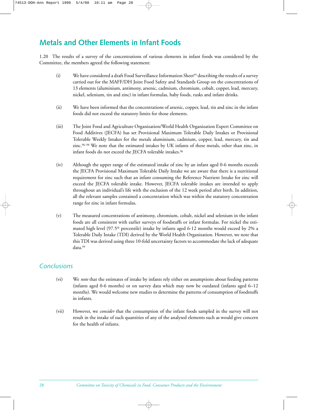# **Metals and Other Elements in Infant Foods**

1.20 The results of a survey of the concentrations of various elements in infant foods was considered by the Committee, the members agreed the following statement:

- (i) We have considered a draft Food Surveillance Information Sheet<sup>95</sup> describing the results of a survey carried out for the MAFF/DH Joint Food Safety and Standards Group on the concentrations of 13 elements (aluminium, antimony, arsenic, cadmium, chromium, cobalt, copper, lead, mercury, nickel, selenium, tin and zinc) in infant formulas, baby foods, rusks and infant drinks.
- (ii) We have been informed that the concentrations of arsenic, copper, lead, tin and zinc in the infant foods did not exceed the statutory limits for those elements.
- (iii) The Joint Food and Agriculture Organization/World Health Organization Expert Committee on Food Additives (JECFA) has set Provisional Maximum Tolerable Daily Intakes or Provisional Tolerable Weekly Intakes for the metals aluminium, cadmium, copper, lead, mercury, tin and zinc.96–98 We note that the estimated intakes by UK infants of these metals, other than zinc, in infant foods do not exceed the JECFA tolerable intakes.96
- (iv) Although the upper range of the estimated intake of zinc by an infant aged 0-6 months exceeds the JECFA Provisional Maximum Tolerable Daily Intake we are aware that there is a nutritional requirement for zinc such that an infant consuming the Reference Nutrient Intake for zinc will exceed the JECFA tolerable intake. However, JECFA tolerable intakes are intended to apply throughout an individual's life with the exclusion of the 12 week period after birth. In addition, all the relevant samples contained a concentration which was within the statutory concentration range for zinc in infant formulas.
- (v) The measured concentrations of antimony, chromium, cobalt, nickel and selenium in the infant foods are all consistent with earlier surveys of foodstuffs or infant formulas. For nickel the estimated high level  $(97.5<sup>th</sup>$  percentile) intake by infants aged 6-12 months would exceed by 2% a Tolerable Daily Intake (TDI) derived by the World Health Organization. However, we note that this TDI was derived using three 10-fold uncertainty factors to accommodate the lack of adequate data.99

## *Conclusions*

- (vi) We *note* that the estimates of intake by infants rely either on assumptions about feeding patterns (infants aged 0-6 months) or on survey data which may now be outdated (infants aged 6–12 months). We would welcome new studies to determine the patterns of consumption of foodstuffs in infants.
- (vii) However, we *consider* that the consumption of the infant foods sampled in the survey will not result in the intake of such quantities of any of the analysed elements such as would give concern for the health of infants.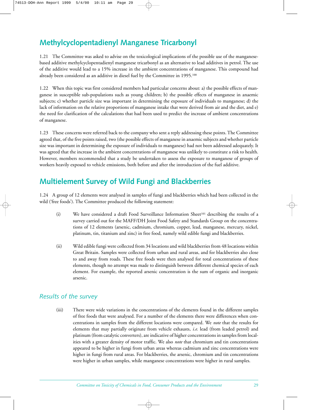# **Methylcyclopentadienyl Manganese Tricarbonyl**

1.21 The Committee was asked to advise on the toxicological implications of the possible use of the manganesebased additive methylcyclopentadienyl manganese tricarbonyl as an alternative to lead additives in petrol. The use of the additive would lead to a 15% increase in the ambient concentrations of manganese. This compound had already been considered as an additive in diesel fuel by the Committee in 1995.<sup>100</sup>

1.22 When this topic was first considered members had particular concerns about: a) the possible effects of manganese in susceptible sub-populations such as young children; b) the possible effects of manganese in anaemic subjects; c) whether particle size was important in determining the exposure of individuals to manganese; d) the lack of information on the relative proportions of manganese intake that were derived from air and the diet, and e) the need for clarification of the calculations that had been used to predict the increase of ambient concentrations of manganese.

1.23 These concerns were referred back to the company who sent a reply addressing these points. The Committee agreed that, of the five points raised, two (the possible effects of manganese in anaemic subjects and whether particle size was important in determining the exposure of individuals to manganese) had not been addressed adequately. It was agreed that the increase in the ambient concentrations of manganese was unlikely to constitute a risk to health. However, members recommended that a study be undertaken to assess the exposure to manganese of groups of workers heavily exposed to vehicle emissions, both before and after the introduction of the fuel additive.

# **Multielement Survey of Wild Fungi and Blackberries**

1.24 A group of 12 elements were analysed in samples of fungi and blackberries which had been collected in the wild ('free foods'). The Committee produced the following statement:

- (i) We have considered a draft Food Surveillance Information Sheet<sup>101</sup> describing the results of a survey carried out for the MAFF/DH Joint Food Safety and Standards Group on the concentrations of 12 elements (arsenic, cadmium, chromium, copper, lead, manganese, mercury, nickel, platinum, tin, titanium and zinc) in free food, namely wild edible fungi and blackberries.
- (ii) Wild edible fungi were collected from 34 locations and wild blackberries from 48 locations within Great Britain. Samples were collected from urban and rural areas, and for blackberries also close to and away from roads. These free foods were then analysed for total concentrations of these elements, though no attempt was made to distinguish between different chemical species of each element. For example, the reported arsenic concentration is the sum of organic and inorganic arsenic.

## *Results of the survey*

(iii) There were wide variations in the concentrations of the elements found in the different samples of free foods that were analysed. For a number of the elements there were differences when concentrations in samples from the different locations were compared. We *note* that the results for elements that may partially originate from vehicle exhausts, *i.e.* lead (from leaded petrol) and platinum (from catalytic converters), are indicative of higher concentrations in samples from localities with a greater density of motor traffic. We also *note* that chromium and tin concentrations appeared to be higher in fungi from urban areas whereas cadmium and zinc concentrations were higher in fungi from rural areas. For blackberries, the arsenic, chromium and tin concentrations were higher in urban samples, while manganese concentrations were higher in rural samples.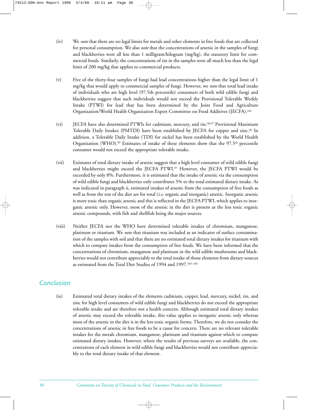- (iv) We *note* that there are no legal limits for metals and other elements in free foods that are collected for personal consumption. We also *note* that the concentrations of arsenic in the samples of fungi and blackberries were all less than 1 milligram/kilogram (mg/kg), the statutory limit for commercial foods. Similarly, the concentrations of tin in the samples were all much less than the legal limit of 200 mg/kg that applies to commercial products.
- (v) Five of the thirty-four samples of fungi had lead concentrations higher than the legal limit of 1 mg/kg that would apply to commercial samples of fungi. However, we *note* that total lead intake of individuals who are high level (97.5th percentile) consumers of both wild edible fungi and blackberries suggest that such individuals would not exceed the Provisional Tolerable Weekly Intake (PTWI) for lead that has been determined by the Joint Food and Agriculture Organization/World Health Organization Expert Committee on Food Additives (JECFA).102
- (vi) JECFA have also determined PTWIs for cadmium, mercury, and tin.96,97 Provisional Maximum Tolerable Daily Intakes (PMTDI) have been established by JECFA for copper and zinc.96 In addition, a Tolerable Daily Intake (TDI) for nickel has been established by the World Health Organization (WHO).<sup>99</sup> Estimates of intake of these elements show that the  $97.5<sup>th</sup>$  percentile consumer would not exceed the appropriate tolerable intake.
- (vii) Estimates of total dietary intake of arsenic suggest that a high level consumer of wild edible fungi and blackberries might exceed the JECFA PTWI.97 However, the JECFA PTWI would be exceeded by only 8%. Furthermore, it is estimated that the intake of arsenic via the consumption of wild edible fungi and blackberries only contributes 5% to the total estimated dietary intake. As was indicated in paragraph ii, estimated intakes of arsenic from the consumption of free foods as well as from the rest of the diet are for total (*i.e.* organic and inorganic) arsenic. Inorganic arsenic is more toxic than organic arsenic and this is reflected in the JECFA PTWI, which applies to inorganic arsenic only. However, most of the arsenic in the diet is present as the less toxic organic arsenic compounds, with fish and shellfish being the major sources.
- (viii) Neither JECFA nor the WHO have determined tolerable intakes of chromium, manganese, platinum or titanium. We *note* that titanium was included as an indicator of surface contamination of the samples with soil and that there are no estimated total dietary intakes for titanium with which to compare intakes from the consumption of free foods. We have been informed that the concentrations of chromium, manganese and platinum in the wild edible mushrooms and blackberries would not contribute appreciably to the total intake of those elements from dietary sources as estimated from the Total Diet Studies of 1994 and 1997.103–105

## *Conclusion*

(ix) Estimated total dietary intakes of the elements cadmium, copper, lead, mercury, nickel, tin, and zinc for high level consumers of wild edible fungi and blackberries do not exceed the appropriate tolerable intake and are therefore not a health concern. Although estimated total dietary intakes of arsenic may exceed the tolerable intake, this value applies to inorganic arsenic only whereas most of the arsenic in the diet is in the less toxic organic forms. Therefore, we do not consider the concentrations of arsenic in free foods to be a cause for concern. There are no relevant tolerable intakes for the metals chromium, manganese, platinum and titanium against which to compare estimated dietary intakes. However, where the results of previous surveys are available, the concentrations of each element in wild edible fungi and blackberries would not contribute appreciably to the total dietary intake of that element.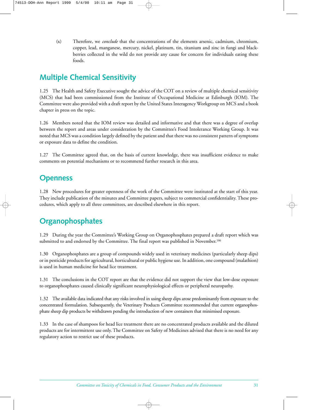(x) Therefore, we *conclude* that the concentrations of the elements arsenic, cadmium, chromium, copper, lead, manganese, mercury, nickel, platinum, tin, titanium and zinc in fungi and blackberries collected in the wild do not provide any cause for concern for individuals eating these foods.

# **Multiple Chemical Sensitivity**

1.25 The Health and Safety Executive sought the advice of the COT on a review of multiple chemical sensitivity (MCS) that had been commissioned from the Institute of Occupational Medicine at Edinburgh (IOM). The Committee were also provided with a draft report by the United States Interagency Workgroup on MCS and a book chapter in press on the topic.

1.26 Members noted that the IOM review was detailed and informative and that there was a degree of overlap between the report and areas under consideration by the Committee's Food Intolerance Working Group. It was noted that MCS was a condition largely defined by the patient and that there was no consistent pattern of symptoms or exposure data to define the condition.

1.27 The Committee agreed that, on the basis of current knowledge, there was insufficient evidence to make comments on potential mechanisms or to recommend further research in this area.

## **Openness**

1.28 New procedures for greater openness of the work of the Committee were instituted at the start of this year. They include publication of the minutes and Committee papers, subject to commercial confidentiality. These procedures, which apply to all three committees, are described elsewhere in this report.

# **Organophosphates**

1.29 During the year the Committee's Working Group on Organophosphates prepared a draft report which was submitted to and endorsed by the Committee. The final report was published in November.<sup>106</sup>

1.30 Organophosphates are a group of compounds widely used in veterinary medicines (particularly sheep dips) or in pesticide products for agricultural, horticultural or public hygiene use. In addition, one compound (malathion) is used in human medicine for head lice treatment.

1.31 The conclusions in the COT report are that the evidence did not support the view that low-dose exposure to organophosphates caused clinically significant neurophysiological effects or peripheral neuropathy.

1.32 The available data indicated that any risks involved in using sheep dips arose predominantly from exposure to the concentrated formulation. Subsequently, the Veterinary Products Committee recommended that current organophosphate sheep dip products be withdrawn pending the introduction of new containers that minimised exposure.

1.33 In the case of shampoos for head lice treatment there are no concentrated products available and the diluted products are for intermittent use only. The Committee on Safety of Medicines advised that there is no need for any regulatory action to restrict use of these products.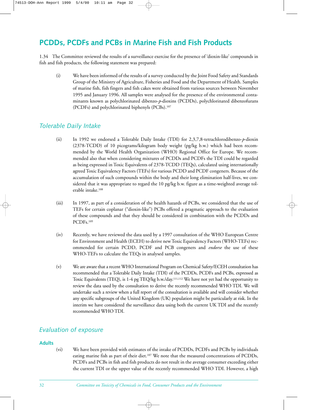# **PCDDs, PCDFs and PCBs in Marine Fish and Fish Products**

1.34 The Committee reviewed the results of a surveillance exercise for the presence of 'dioxin-like' compounds in fish and fish products, the following statement was prepared:

(i) We have been informed of the results of a survey conducted by the Joint Food Safety and Standards Group of the Ministry of Agriculture, Fisheries and Food and the Department of Health. Samples of marine fish, fish fingers and fish cakes were obtained from various sources between November 1995 and January 1996. All samples were analysed for the presence of the environmental contaminants known as polychlorinated dibenzo-*p*-dioxins (PCDDs), polychlorinated dibenzofurans (PCDFs) and polychlorinated biphenyls (PCBs).107

## *Tolerable Daily Intake*

- (ii) In 1992 we endorsed a Tolerable Daily Intake (TDI) for 2,3,7,8-tetrachlorodibenzo-*p*-dioxin (2378-TCDD) of 10 picograms/kilogram body weight (pg/kg b.w.) which had been recommended by the World Health Organization (WHO) Regional Office for Europe. We recommended also that when considering mixtures of PCDDs and PCDFs the TDI could be regarded as being expressed in Toxic Equivalents of 2378-TCDD (TEQs), calculated using internationally agreed Toxic Equivalency Factors (TEFs) for various PCDD and PCDF congeners. Because of the accumulation of such compounds within the body and their long elimination half-lives, we considered that it was appropriate to regard the 10 pg/kg b.w. figure as a time-weighted average tolerable intake.108
- (iii) In 1997, as part of a consideration of the health hazards of PCBs, we considered that the use of TEFs for certain coplanar ("dioxin-like") PCBs offered a pragmatic approach to the evaluation of these compounds and that they should be considered in combination with the PCDDs and PCDFs.109
- (iv) Recently, we have reviewed the data used by a 1997 consultation of the WHO European Centre for Environment and Health (ECEH) to derive new Toxic Equivalency Factors (WHO-TEFs) recommended for certain PCDD, PCDF and PCB congeners and *endorse* the use of these WHO-TEFs to calculate the TEQs in analysed samples.
- (v) We are aware that a recent WHO International Program on Chemical Safety/ECEH consultation has recommended that a Tolerable Daily Intake (TDI) of the PCDDs, PCDFs and PCBs, expressed as Toxic Equivalents (TEQ), is 1-4 pg TEQ/kg b.w./day.111,112 We have not yet had the opportunity to review the data used by the consultation to derive the recently recommended WHO TDI. We will undertake such a review when a full report of the consultation is available and will consider whether any specific subgroups of the United Kingdom (UK) population might be particularly at risk. In the interim we have considered the surveillance data using both the current UK TDI and the recently recommended WHO TDI.

# *Evaluation of exposure*

## **Adults**

(vi) We have been provided with estimates of the intake of PCDDs, PCDFs and PCBs by individuals eating marine fish as part of their diet.107 We note that the measured concentrations of PCDDs, PCDFs and PCBs in fish and fish products do not result in the average consumer exceeding either the current TDI or the upper value of the recently recommended WHO TDI. However, a high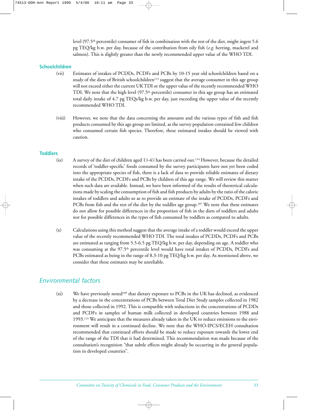level (97.5<sup>th</sup> percentile) consumer of fish in combination with the rest of the diet, might ingest 5.6 pg TEQ/kg b.w. per day, because of the contribution from oily fish (*e.g.* herring, mackerel and salmon). This is slightly greater than the newly recommended upper value of the WHO TDI.

#### **Schoolchildren**

- (vii) Estimates of intakes of PCDDs, PCDFs and PCBs by 10-15 year old schoolchildren based on a study of the diets of British schoolchildren<sup>113</sup> suggest that the average consumer in this age group will not exceed either the current UK TDI or the upper value of the recently recommended WHO TDI. We note that the high level  $(97.5<sup>th</sup>$  percentile) consumer in this age group has an estimated total daily intake of 4.7 pg TEQs/kg b.w. per day, just exceeding the upper value of the recently recommended WHO TDI.
- (viii) However, we note that the data concerning the amounts and the various types of fish and fish products consumed by this age group are limited, as the survey population contained few children who consumed certain fish species. Therefore, these estimated intakes should be viewed with caution.

#### **Toddlers**

- (ix) A survey of the diet of children aged  $1\frac{1}{2}4\frac{1}{2}$  has been carried out.<sup>114</sup> However, because the detailed records of 'toddler-specific' foods consumed by the survey participants have not yet been coded into the appropriate species of fish, there is a lack of data to provide reliable estimates of dietary intake of the PCDDs, PCDFs and PCBs by children of this age range. We will review this matter when such data are available. Instead, we have been informed of the results of theoretical calculations made by scaling the consumption of fish and fish products by adults by the ratio of the caloric intakes of toddlers and adults so as to provide an estimate of the intake of PCDDs, PCDFs and PCBs from fish and the rest of the diet by the toddler age group.107 We note that these estimates do not allow for possible differences in the proportion of fish in the diets of toddlers and adults nor for possible differences in the types of fish consumed by toddlers as compared to adults.
- (x) Calculations using this method suggest that the average intake of a toddler would exceed the upper value of the recently recommended WHO TDI. The total intakes of PCDDs, PCDFs and PCBs are estimated as ranging from 5.5-6.5 pg TEQ/kg b.w. per day, depending on age. A toddler who was consuming at the 97.5th percentile level would have total intakes of PCDDs, PCDFs and PCBs estimated as being in the range of 8.3-10 pg TEQ/kg b.w. per day. As mentioned above, we consider that these estimates may be unreliable.

# *Environmental factors*

(xi) We have previously noted<sup>109</sup> that dietary exposure to PCBs in the UK has declined, as evidenced by a decrease in the concentrations of PCBs between Total Diet Study samples collected in 1982 and those collected in 1992. This is compatible with reductions in the concentrations of PCDDs and PCDFs in samples of human milk collected in developed countries between 1988 and 1993.115 We anticipate that the measures already taken in the UK to reduce emissions to the environment will result in a continued decline. We note that the WHO-IPCS/ECEH consultation recommended that continued efforts should be made to reduce exposure towards the lower end of the range of the TDI that it had determined. This recommendation was made because of the consultation's recognition "that subtle effects might already be occurring in the general population in developed countries".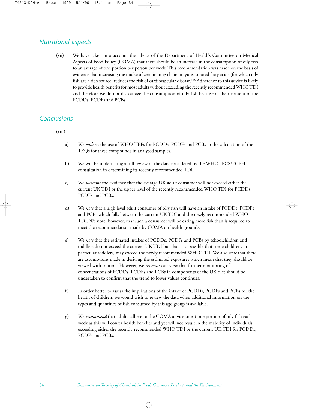# *Nutritional aspects*

(xii) We have taken into account the advice of the Department of Health's Committee on Medical Aspects of Food Policy (COMA) that there should be an increase in the consumption of oily fish to an average of one portion per person per week. This recommendation was made on the basis of evidence that increasing the intake of certain long chain polyunsaturated fatty acids (for which oily fish are a rich source) reduces the risk of cardiovascular disease.116 Adherence to this advice is likely to provide health benefits for most adults without exceeding the recently recommended WHO TDI and therefore we do not discourage the consumption of oily fish because of their content of the PCDDs, PCDFs and PCBs.

## *Conclusions*

 $(xiii)$ 

- a) We *endorse* the use of WHO-TEFs for PCDDs, PCDFs and PCBs in the calculation of the TEQs for these compounds in analysed samples.
- b) We will be undertaking a full review of the data considered by the WHO-IPCS/ECEH consultation in determining its recently recommended TDI.
- c) We *welcome* the evidence that the average UK adult consumer will not exceed either the current UK TDI or the upper level of the recently recommended WHO TDI for PCDDs, PCDFs and PCBs.
- d) We *note* that a high level adult consumer of oily fish will have an intake of PCDDs, PCDFs and PCBs which falls between the current UK TDI and the newly recommended WHO TDI. We note, however, that such a consumer will be eating more fish than is required to meet the recommendation made by COMA on health grounds.
- e) We *note* that the estimated intakes of PCDDs, PCDFs and PCBs by schoolchildren and toddlers do not exceed the current UK TDI but that it is possible that some children, in particular toddlers, may exceed the newly recommended WHO TDI. We also *note* that there are assumptions made in deriving the estimated exposures which mean that they should be viewed with caution. However, we *reiterate* our view that further monitoring of concentrations of PCDDs, PCDFs and PCBs in components of the UK diet should be undertaken to confirm that the trend to lower values continues.
- f) In order better to assess the implications of the intake of PCDDs, PCDFs and PCBs for the health of children, we would wish to review the data when additional information on the types and quantities of fish consumed by this age group is available.
- g) We *recommend* that adults adhere to the COMA advice to eat one portion of oily fish each week as this will confer health benefits and yet will not result in the majority of individuals exceeding either the recently recommended WHO TDI or the current UK TDI for PCDDs, PCDFs and PCBs.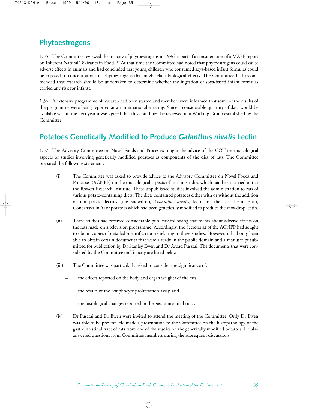# **Phytoestrogens**

1.35 The Committee reviewed the toxicity of phytoestrogens in 1996 as part of a consideration of a MAFF report on Inherent Natural Toxicants in Food.117 At that time the Committee had noted that phytoestrogens could cause adverse effects in animals and had concluded that young children who consumed soya-based infant formulas could be exposed to concentrations of phytoestrogens that might elicit biological effects. The Committee had recommended that research should be undertaken to determine whether the ingestion of soya-based infant formulas carried any risk for infants.

1.36 A extensive programme of research had been started and members were informed that some of the results of the programme were being reported at an international meeting. Since a considerable quantity of data would be available within the next year it was agreed that this could best be reviewed in a Working Group established by the Committee.

# **Potatoes Genetically Modified to Produce** *Galanthus nivalis* **Lectin**

1.37 The Advisory Committee on Novel Foods and Processes sought the advice of the COT on toxicological aspects of studies involving genetically modified potatoes as components of the diet of rats. The Committee prepared the following statement:

- (i) The Committee was asked to provide advice to the Advisory Committee on Novel Foods and Processes (ACNFP) on the toxicological aspects of certain studies which had been carried out at the Rowett Research Institute. These unpublished studies involved the administration to rats of various potato-containing diets. The diets contained potatoes either with or without the addition of non-potato lectins (the snowdrop, *Galanthus nivalis*, lectin or the jack bean lectin, Concanavalin A) or potatoes which had been genetically modified to produce the snowdrop lectin.
- (ii) These studies had received considerable publicity following statements about adverse effects on the rats made on a television programme. Accordingly, the Secretariat of the ACNFP had sought to obtain copies of detailed scientific reports relating to these studies. However, it had only been able to obtain certain documents that were already in the public domain and a manuscript submitted for publication by Dr Stanley Ewen and Dr Arpad Pusztai. The documents that were considered by the Committee on Toxicity are listed below.
- (iii) The Committee was particularly asked to consider the significance of:
	- the effects reported on the body and organ weights of the rats,
	- the results of the lymphocyte proliferation assay, and
	- the histological changes reported in the gastrointestinal tract.
- (iv) Dr Pusztai and Dr Ewen were invited to attend the meeting of the Committee. Only Dr Ewen was able to be present. He made a presentation to the Committee on the histopathology of the gastrointestinal tract of rats from one of the studies on the genetically modified potatoes. He also answered questions from Committee members during the subsequent discussions.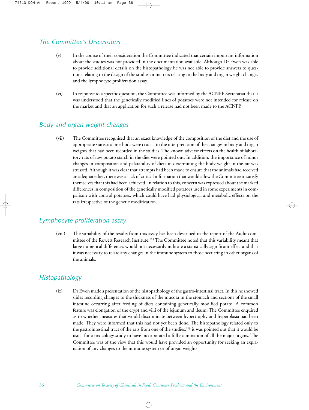# *The Committee's Discussions*

- (v) In the course of their consideration the Committee indicated that certain important information about the studies was not provided in the documentation available. Although Dr Ewen was able to provide additional details on the histopathology he was not able to provide answers to questions relating to the design of the studies or matters relating to the body and organ weight changes and the lymphocyte proliferation assay.
- (vi) In response to a specific question, the Committee was informed by the ACNFP Secretariat that it was understood that the genetically modified lines of potatoes were not intended for release on the market and that an application for such a release had not been made to the ACNFP.

# *Body and organ weight changes*

(vii) The Committee recognised that an exact knowledge of the composition of the diet and the use of appropriate statistical methods were crucial to the interpretation of the changes in body and organ weights that had been recorded in the studies. The known adverse effects on the health of laboratory rats of raw potato starch in the diet were pointed out. In addition, the importance of minor changes in composition and palatability of diets in determining the body weight in the rat was stressed. Although it was clear that attempts had been made to ensure that the animals had received an adequate diet, there was a lack of critical information that would allow the Committee to satisfy themselves that this had been achieved. In relation to this, concern was expressed about the marked differences in composition of the genetically modified potatoes used in some experiments in comparison with control potatoes, which could have had physiological and metabolic effects on the rats irrespective of the genetic modification.

# *Lymphocyte proliferation assay*

(viii) The variability of the results from this assay has been described in the report of the Audit committee of the Rowett Research Institute.118 The Committee noted that this variability meant that large numerical differences would not necessarily indicate a statistically significant effect and that it was necessary to relate any changes in the immune system to those occurring in other organs of the animals.

# *Histopathology*

(ix) Dr Ewen made a presentation of the histopathology of the gastro-intestinal tract. In this he showed slides recording changes to the thickness of the mucosa in the stomach and sections of the small intestine occurring after feeding of diets containing genetically modified potato. A common feature was elongation of the crypt and villi of the jejunum and ileum. The Committee enquired as to whether measures that would discriminate between hypertrophy and hyperplasia had been made. They were informed that this had not yet been done. The histopathology related only to the gastrointestinal tract of the rats from one of the studies,<sup>119</sup> it was pointed out that it would be usual for a toxicology study to have incorporated a full examination of all the major organs. The Committee was of the view that this would have provided an opportunity for seeking an explanation of any changes to the immune system or of organ weights.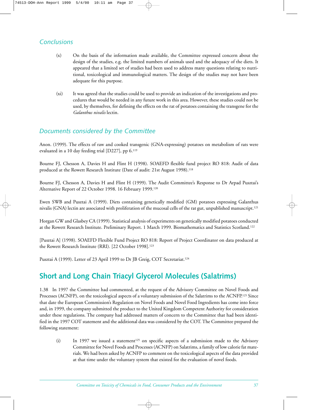# *Conclusions*

- (x) On the basis of the information made available, the Committee expressed concern about the design of the studies, e.g. the limited numbers of animals used and the adequacy of the diets. It appeared that a limited set of studies had been used to address many questions relating to nutritional, toxicological and immunological matters. The design of the studies may not have been adequate for this purpose.
- (xi) It was agreed that the studies could be used to provide an indication of the investigations and procedures that would be needed in any future work in this area. However, these studies could not be used, by themselves, for defining the effects on the rat of potatoes containing the transgene for the *Galanthus nivalis* lectin.

# *Documents considered by the Committee*

Anon. (1999). The effects of raw and cooked transgenic (GNA-expressing) potatoes on metabolism of rats were evaluated in a 10 day feeding trial [D227], pp 6.119

Bourne FJ, Chesson A, Davies H and Flint H (1998). SOAEFD flexible fund project RO 818: Audit of data produced at the Rowett Research Institute (Date of audit: 21st August 1998).<sup>118</sup>

Bourne FJ, Chesson A, Davies H and Flint H (1999). The Audit Committee's Response to Dr Arpad Pusztai's Alternative Report of 22 October 1998. 16 February 1999.120

Ewen SWB and Pusztai A (1999). Diets containing genetically modified (GM) potatoes expressing Galanthus nivalis (GNA) lectin are associated with proliferation of the mucosal cells of the rat gut, unpublished manuscript.<sup>121</sup>

Horgan GW and Glasbey CA (1999). Statistical analysis of experiments on genetically modified potatoes conducted at the Rowett Research Institute. Preliminary Report. 1 March 1999. Biomathematics and Statistics Scotland.122

[Pusztai A] (1998). SOAEFD Flexible Fund Project RO 818: Report of Project Coordinator on data produced at the Rowett Research Institute (RRI). [22 October 1998].<sup>123</sup>

Pusztai A (1999). Letter of 23 April 1999 to Dr JB Greig, COT Secretariat.<sup>124</sup>

# **Short and Long Chain Triacyl Glycerol Molecules (Salatrims)**

1.38 In 1997 the Committee had commented, at the request of the Advisory Committee on Novel Foods and Processes (ACNFP), on the toxicological aspects of a voluntary submission of the Salatrims to the ACNFP.<sup>125</sup> Since that date the European Commission's Regulation on Novel Foods and Novel Food Ingredients has come into force and, in 1999, the company submitted the product to the United Kingdom Competent Authority for consideration under these regulations. The company had addressed matters of concern to the Committee that had been identified in the 1997 COT statement and the additional data was considered by the COT. The Committee prepared the following statement:

(i) In 1997 we issued a statement<sup>125</sup> on specific aspects of a submission made to the Advisory Committee for Novel Foods and Processes (ACNFP) on Salatrims, a family of low calorie fat materials. We had been asked by ACNFP to comment on the toxicological aspects of the data provided at that time under the voluntary system that existed for the evaluation of novel foods.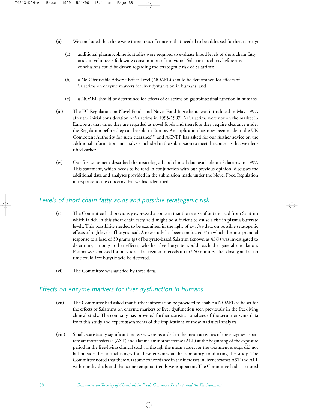- (ii) We concluded that there were three areas of concern that needed to be addressed further, namely:
	- (a) additional pharmacokinetic studies were required to evaluate blood levels of short chain fatty acids in volunteers following consumption of individual Salatrim products before any conclusions could be drawn regarding the teratogenic risk of Salatrims;
	- (b) a No Observable Adverse Effect Level (NOAEL) should be determined for effects of Salatrims on enzyme markers for liver dysfunction in humans; and
	- (c) a NOAEL should be determined for effects of Salatrims on gastrointestinal function in humans.
- (iii) The EC Regulation on Novel Foods and Novel Food Ingredients was introduced in May 1997, after the initial consideration of Salatrims in 1995-1997. As Salatrims were not on the market in Europe at that time, they are regarded as novel foods and therefore they require clearance under the Regulation before they can be sold in Europe. An application has now been made to the UK Competent Authority for such clearance<sup>126</sup> and ACNFP has asked for our further advice on the additional information and analysis included in the submission to meet the concerns that we identified earlier.
- (iv) Our first statement described the toxicological and clinical data available on Salatrims in 1997. This statement, which needs to be read in conjunction with our previous opinion, discusses the additional data and analyses provided in the submission made under the Novel Food Regulation in response to the concerns that we had identified.

## *Levels of short chain fatty acids and possible teratogenic risk*

- (v) The Committee had previously expressed a concern that the release of butyric acid from Salatrim which is rich in this short chain fatty acid might be sufficient to cause a rise in plasma butyrate levels. This possibility needed to be examined in the light of *in vitro* data on possible teratogenic effects of high levels of butyric acid. A new study has been conducted<sup>127</sup> in which the post-prandial response to a load of 30 grams (g) of butyrate-based Salatrim (known as 4SO) was investigated to determine, amongst other effects, whether free butyrate would reach the general circulation. Plasma was analysed for butyric acid at regular intervals up to 360 minutes after dosing and at no time could free butyric acid be detected.
- (vi) The Committee was satisfied by these data.

# *Effects on enzyme markers for liver dysfunction in humans*

- (vii) The Committee had asked that further information be provided to enable a NOAEL to be set for the effects of Salatrims on enzyme markers of liver dysfunction seen previously in the free-living clinical study. The company has provided further statistical analyses of the serum enzyme data from this study and expert assessments of the implications of those statistical analyses.
- (viii) Small, statistically significant increases were recorded in the mean activities of the enzymes aspartate aminotransferase (AST) and alanine aminotransferase (ALT) at the beginning of the exposure period in the free-living clinical study, although the mean values for the treatment groups did not fall outside the normal ranges for these enzymes at the laboratory conducting the study. The Committee noted that there was some concordance in the increases in liver enzymes AST and ALT within individuals and that some temporal trends were apparent. The Committee had also noted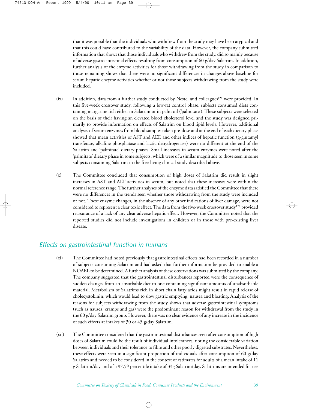that it was possible that the individuals who withdrew from the study may have been atypical and that this could have contributed to the variability of the data. However, the company submitted information that shows that those individuals who withdrew from the study, did so mainly because of adverse gastro-intestinal effects resulting from consumption of 60 g/day Salatrim. In addition, further analysis of the enzyme activities for those withdrawing from the study in comparison to those remaining shows that there were no significant differences in changes above baseline for serum hepatic enzyme activities whether or not those subjects withdrawing from the study were included.

- (ix) In addition, data from a further study conducted by Nestel and colleagues<sup>128</sup> were provided. In this five-week crossover study, following a low-fat control phase, subjects consumed diets containing margarine rich either in Salatrim or in palm oil ('palmitate'). These subjects were selected on the basis of their having an elevated blood cholesterol level and the study was designed primarily to provide information on effects of Salatrim on blood lipid levels. However, additional analyses of serum enzymes from blood samples taken pre-dose and at the end of each dietary phase showed that mean activities of AST and ALT, and other indices of hepatic function (g-glutamyl transferase, alkaline phosphatase and lactic dehydrogenase) were no different at the end of the Salatrim and 'palmitate' dietary phases. Small increases in serum enzymes were noted after the 'palmitate' dietary phase in some subjects, which were of a similar magnitude to those seen in some subjects consuming Salatrim in the free-living clinical study described above.
- (x) The Committee concluded that consumption of high doses of Salatrim did result in slight increases in AST and ALT activities in serum, but noted that these increases were within the normal reference range. The further analyses of the enzyme data satisfied the Committee that there were no differences in the trends seen whether those withdrawing from the study were included or not. These enzyme changes, in the absence of any other indications of liver damage, were not considered to represent a clear toxic effect. The data from the five-week crossover study128 provided reassurance of a lack of any clear adverse hepatic effect. However, the Committee noted that the reported studies did not include investigations in children or in those with pre-existing liver disease.

# *Effects on gastrointestinal function in humans*

- (xi) The Committee had noted previously that gastrointestinal effects had been recorded in a number of subjects consuming Salatrim and had asked that further information be provided to enable a NOAEL to be determined. A further analysis of these observations was submitted by the company. The company suggested that the gastrointestinal disturbances reported were the consequence of sudden changes from an absorbable diet to one containing significant amounts of unabsorbable material. Metabolism of Salatrims rich in short chain fatty acids might result in rapid release of cholecystokinin, which would lead to slow gastric emptying, nausea and bloating. Analysis of the reasons for subjects withdrawing from the study shows that adverse gastrointestinal symptoms (such as nausea, cramps and gas) were the predominant reason for withdrawal from the study in the 60 g/day Salatrim group. However, there was no clear evidence of any increase in the incidence of such effects at intakes of 30 or 45 g/day Salatrim.
- (xii) The Committee considered that the gastrointestinal disturbances seen after consumption of high doses of Salatrim could be the result of individual intolerances, noting the considerable variation between individuals and their tolerance to fibre and other poorly digested substrates. Nevertheless, these effects were seen in a significant proportion of individuals after consumption of 60 g/day Salatrim and needed to be considered in the context of estimates for adults of a mean intake of 11 g Salatrim/day and of a 97.5th percentile intake of 33g Salatrim/day. Salatrims are intended for use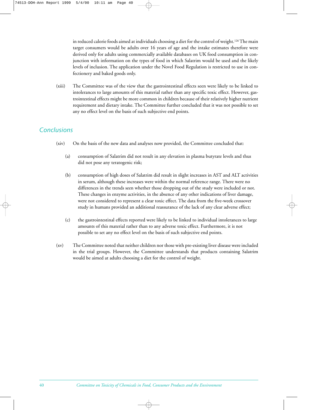in reduced calorie foods aimed at individuals choosing a diet for the control of weight.<sup>126</sup> The main target consumers would be adults over 16 years of age and the intake estimates therefore were derived only for adults using commercially available databases on UK food consumption in conjunction with information on the types of food in which Salatrim would be used and the likely levels of inclusion. The application under the Novel Food Regulation is restricted to use in confectionery and baked goods only.

(xiii) The Committee was of the view that the gastrointestinal effects seen were likely to be linked to intolerances to large amounts of this material rather than any specific toxic effect. However, gastrointestinal effects might be more common in children because of their relatively higher nutrient requirement and dietary intake. The Committee further concluded that it was not possible to set any no effect level on the basis of such subjective end points.

# *Conclusions*

- (xiv) On the basis of the new data and analyses now provided, the Committee concluded that:
	- (a) consumption of Salatrim did not result in any elevation in plasma butyrate levels and thus did not pose any teratogenic risk;
	- (b) consumption of high doses of Salatrim did result in slight increases in AST and ALT activities in serum, although these increases were within the normal reference range. There were no differences in the trends seen whether those dropping out of the study were included or not. These changes in enzyme activities, in the absence of any other indications of liver damage, were not considered to represent a clear toxic effect. The data from the five-week crossover study in humans provided an additional reassurance of the lack of any clear adverse effect;
	- (c) the gastrointestinal effects reported were likely to be linked to individual intolerances to large amounts of this material rather than to any adverse toxic effect. Furthermore, it is not possible to set any no effect level on the basis of such subjective end points.
- (xv) The Committee noted that neither children nor those with pre-existing liver disease were included in the trial groups. However, the Committee understands that products containing Salatrim would be aimed at adults choosing a diet for the control of weight.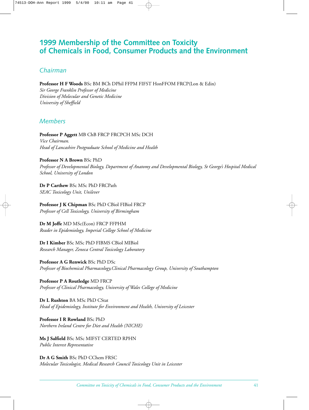# **1999 Membership of the Committee on Toxicity of Chemicals in Food, Consumer Products and the Environment**

# *Chairman*

**Professor H F Woods** BSc BM BCh DPhil FFPM FIFST HonFFOM FRCP(Lon & Edin) *Sir George Franklin Professor of Medicine Division of Molecular and Genetic Medicine University of Sheffield*

# *Members*

**Professor P Aggett** MB ChB FRCP FRCPCH MSc DCH *Vice Chairman. Head of Lancashire Postgraduate School of Medicine and Health*

#### **Professor N A Brown** BSc PhD

*Professor of Developmental Biology, Department of Anatomy and Developmental Biology, St George's Hospital Medical School, University of London*

**Dr P Carthew** BSc MSc PhD FRCPath *SEAC Toxicology Unit, Unilever*

**Professor J K Chipman** BSc PhD CBiol FIBiol FRCP *Professor of Cell Toxicology, University of Birmingham*

**Dr M Joffe** MD MSc(Econ) FRCP FFPHM *Reader in Epidemiology, Imperial College School of Medicine*

**Dr I Kimber** BSc MSc PhD FIBMS CBiol MIBiol *Research Manager, Zeneca Central Toxicology Laboratory*

**Professor A G Renwick** BSc PhD DSc *Professor of Biochemical Pharmacology,Clinical Pharmacology Group, University of Southampton*

**Professor P A Routledge** MD FRCP *Professor of Clinical Pharmacology, University of Wales College of Medicine*

**Dr L Rushton** BA MSc PhD CStat *Head of Epidemiology, Institute for Environment and Health, University of Leicester*

**Professor I R Rowland** BSc PhD *Northern Ireland Centre for Diet and Health (NICHE)*

**Ms J Salfield** BSc MSc MIFST CERTED RPHN *Public Interest Representative*

**Dr A G Smith** BSc PhD CChem FRSC *Molecular Toxicologist, Medical Research Council Toxicology Unit in Leicester*

*Committee on Toxicity of Chemicals in Food, Consumer Products and the Environment* 41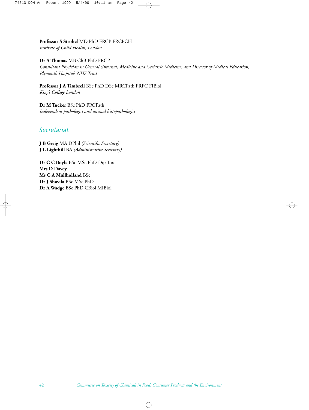**Professor S Strobel** MD PhD FRCP FRCPCH *Institute of Child Health, London*

**Dr A Thomas** MB ChB PhD FRCP

*Consultant Physician in General (internal) Medicine and Geriatric Medicine, and Director of Medical Education, Plymouth Hospitals NHS Trust*

**Professor J A Timbrell** BSc PhD DSc MRCPath FRFC FIBiol *King's College London*

**Dr M Tucker** BSc PhD FRCPath *Independent pathologist and animal histopathologist*

# *Secretariat*

**J B Greig** MA DPhil *(Scientific Secretary)* **J L Lighthill** BA *(Administrative Secretary)*

**Dr C C Boyle** BSc MSc PhD Dip Tox **Mrs D Davey Ms C A Mullholland** BSc **Dr J Shavila** BSc MSc PhD **Dr A Wadge** BSc PhD CBiol MIBiol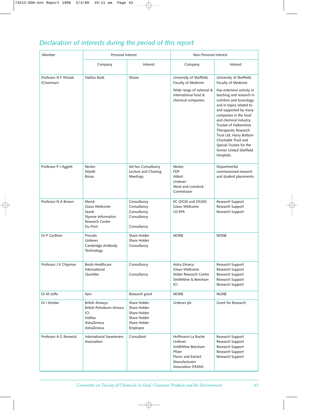# *Declaration of interests during the period of this report*

| Member                            | Personal Interest                                                                                 |                                                                                          | Non-Personal Interest                                                                                                      |                                                                                                                                                                                                                                                                                                           |
|-----------------------------------|---------------------------------------------------------------------------------------------------|------------------------------------------------------------------------------------------|----------------------------------------------------------------------------------------------------------------------------|-----------------------------------------------------------------------------------------------------------------------------------------------------------------------------------------------------------------------------------------------------------------------------------------------------------|
|                                   | Company                                                                                           | Interest                                                                                 | Company                                                                                                                    | Interest                                                                                                                                                                                                                                                                                                  |
| Professor H F Woods<br>(Chairman) | Halifax Bank                                                                                      | <b>Shares</b>                                                                            | University of Sheffield,<br>Faculty of Medicine<br>Wide range of national &<br>international food &                        | University of Sheffield,<br>Faculty of Medicine.<br>Has extensive activity in<br>teaching and research in                                                                                                                                                                                                 |
|                                   |                                                                                                   |                                                                                          | chemical companies.                                                                                                        | nutrition and toxicology<br>and in topics related to<br>and supported by many<br>companies in the food<br>and chemical industry.<br>Trustee of Hallamshire<br>Therapeutic Research<br>Trust Ltd, Harry Bottom<br>Charitable Trust and<br>Special Trustee for the<br>former United Sheffield<br>Hospitals. |
| Professor P J Aggett              | Nestec<br>Wyeth<br><b>Borax</b>                                                                   | Ad hoc Consultancy<br>Lecture and Chairing<br>Meetings                                   | Nestec<br><b>FDF</b><br>Abbot<br>Unilever<br>Meat and Livestock<br>Commission                                              | Departmental<br>commissioned research<br>and student placements                                                                                                                                                                                                                                           |
| Professor N A Brown               | Merck<br>Glaxo Wellcome<br>Searle<br>Styrene Information<br>Research Centre<br>Du Pont            | Consultancy<br>Consultancy<br>Consultancy<br>Consultancy<br>Consultancy                  | EC (DGXI and DGXII)<br>Glaxo Wellcome<br>US EPA                                                                            | Research Support<br>Research Support<br>Research Support                                                                                                                                                                                                                                                  |
| Dr P Carthew                      | Provalis<br>Unilever<br>Cambridge Antibody<br>Technology                                          | Share Holder<br>Share Holder<br>Consultancy                                              | <b>NONE</b>                                                                                                                | <b>NONE</b>                                                                                                                                                                                                                                                                                               |
| Professor J K Chipman             | <b>Boots Healthcare</b><br>International<br>Quintiles                                             | Consultancy<br>Consultancy                                                               | Astra-Zeneca<br>Glaxo-Wellcome<br>Water Research Centre<br>SmithKline & Beecham<br>ICI                                     | Research Support<br>Research Support<br>Research Support<br>Research Support<br>Research Support                                                                                                                                                                                                          |
| Dr M Joffe                        | Ilzro                                                                                             | Research grant                                                                           | <b>NONE</b>                                                                                                                | <b>NONE</b>                                                                                                                                                                                                                                                                                               |
| Dr I Kimber                       | <b>British Airways</b><br>British Petroleum-Amoco<br>ICI<br>Halifax<br>AstraZeneca<br>AstraZeneca | Share Holder<br>Share Holder<br>Share Holder<br>Share Holder<br>Share Holder<br>Employee | Unilever plc                                                                                                               | Grant for Research                                                                                                                                                                                                                                                                                        |
| Professor A G Renwick             | <b>International Sweeteners</b><br>Association                                                    | Consultant                                                                               | Hoffmann-La Roche<br>Unilever<br>SmithKline Beecham<br>Pfizer<br>Flavor and Extract<br>Manufacturers<br>Association (FEMA) | Research Support<br>Research Support<br>Research Support<br>Research Support<br>Research Support                                                                                                                                                                                                          |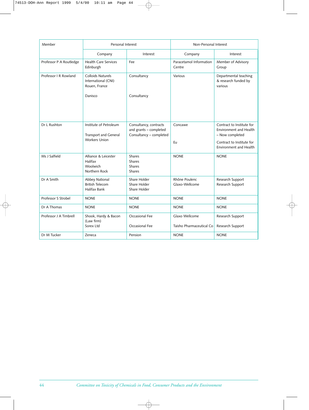| Member                  | Personal Interest                                                       |                                                                             | Non-Personal Interest                      |                                                                        |  |
|-------------------------|-------------------------------------------------------------------------|-----------------------------------------------------------------------------|--------------------------------------------|------------------------------------------------------------------------|--|
|                         | Company                                                                 | Interest                                                                    | Company                                    | Interest                                                               |  |
| Professor P A Routledge | <b>Health Care Services</b><br>Edinburgh                                | Fee                                                                         | Paracetamol Information<br>Centre          | Member of Advisory<br>Group                                            |  |
| Professor   R Rowland   | <b>Colloids Naturels</b><br>International (CNI)<br>Rouen, France        | Consultancy                                                                 | Various                                    | Departmental teaching<br>& research funded by<br>various               |  |
|                         | Danisco                                                                 | Consultancy                                                                 |                                            |                                                                        |  |
| Dr L Rushton            | Institute of Petroleum<br>Transport and General<br><b>Workers Union</b> | Consultancy, contracts<br>and grants - completed<br>Consultancy - completed | Concawe                                    | Contract to Institute for<br>Environment and Health<br>- Now completed |  |
|                         |                                                                         |                                                                             | Eu                                         | Contract to Institute for<br><b>Environment and Health</b>             |  |
| Ms J Salfield           | Alliance & Leicester<br>Halifax<br>Woolwich<br>Northern Rock            | <b>Shares</b><br><b>Shares</b><br><b>Shares</b><br><b>Shares</b>            | <b>NONE</b>                                | <b>NONE</b>                                                            |  |
| Dr A Smith              | Abbey National<br><b>British Telecom</b><br>Halifax Bank                | Share Holder<br>Share Holder<br>Share Holder                                | Rhône Poulenc<br>Glaxo-Wellcome            | Research Support<br>Research Support                                   |  |
| Professor S Strobel     | <b>NONE</b>                                                             | <b>NONE</b>                                                                 | <b>NONE</b>                                | <b>NONE</b>                                                            |  |
| Dr A Thomas             | <b>NONE</b>                                                             | <b>NONE</b>                                                                 | <b>NONE</b>                                | <b>NONE</b>                                                            |  |
| Professor J A Timbrell  | Shook, Hardy & Bacon<br>(Law firm)<br>Sorex Ltd                         | Occasional Fee<br>Occasional Fee                                            | Glaxo Wellcome<br>Taisho Pharmaceutical Co | Research Support<br>Research Support                                   |  |
| Dr M Tucker             | Zeneca                                                                  | Pension                                                                     | <b>NONE</b>                                | <b>NONE</b>                                                            |  |
|                         |                                                                         |                                                                             |                                            |                                                                        |  |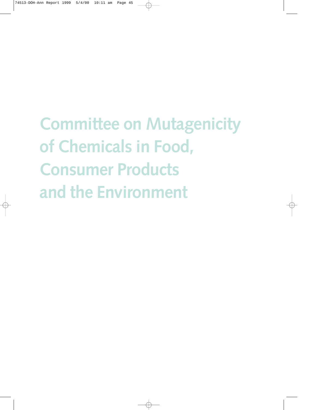**Committee on Mutagenicity of Chemicals in Food, Consumer Products and the Environment**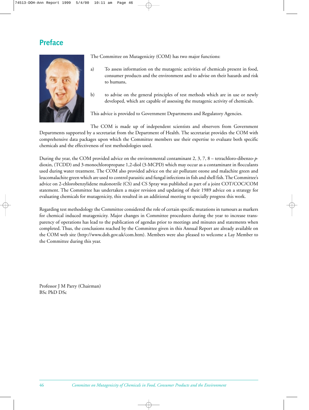# **Preface**



The Committee on Mutagenicity (COM) has two major functions:

- a) To assess information on the mutagenic activities of chemicals present in food, consumer products and the environment and to advise on their hazards and risk to humans,
- b) to advise on the general principles of test methods which are in use or newly developed, which are capable of assessing the mutagenic activity of chemicals.

This advice is provided to Government Departments and Regulatory Agencies.

The COM is made up of independent scientists and observers from Government Departments supported by a secretariat from the Department of Health. The secretariat provides the COM with comprehensive data packages upon which the Committee members use their expertise to evaluate both specific chemicals and the effectiveness of test methodologies used.

During the year, the COM provided advice on the environmental contaminant 2, 3, 7, 8 – tetrachloro-dibenzo-*p*dioxin, (TCDD) and 3-monochloropropane 1,2-diol (3-MCPD) which may occur as a contaminant in flocculants used during water treatment. The COM also provided advice on the air pollutant ozone and malachite green and leucomalachite green which are used to control parasitic and fungal infections in fish and shell fish. The Committee's advice on 2-chlorobenzylidene malonotrile (CS) and CS Spray was published as part of a joint COT/COC/COM statement. The Committee has undertaken a major revision and updating of their 1989 advice on a strategy for evaluating chemicals for mutagenicity, this resulted in an additional meeting to specially progress this work.

Regarding test methodology the Committee considered the role of certain specific mutations in tumours as markers for chemical induced mutagenicity. Major changes in Committee procedures during the year to increase transparency of operations has lead to the publication of agendas prior to meetings and minutes and statements when completed. Thus, the conclusions reached by the Committee given in this Annual Report are already available on the COM web site (http://www.doh.gov.uk/com.htm). Members were also pleased to welcome a Lay Member to the Committee during this year.

Professor J M Parry (Chairman) BSc PhD DSc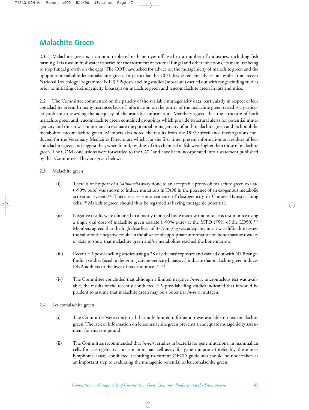# **Malachite Green**

2.1 Malachite green is a cationic triphenylmethane dyestuff used in a number of industries, including fish farming. It is used in freshwater fisheries for the treatment of external fungal and other infections, its main use being to stop fungal growth on the eggs. The COT have asked for advice on the mutagenicity of malachite green and the lipophilic metabolite leucomalachite green. In particular the COT has asked for advice on results from recent National Toxicology Programme (NTP) 32P-post-labelling studies (sub-acute) carried out with range-finding studies prior to initiating carcinogenicity bioassays on malachite green and leucomalachite green in rats and mice.

2.2 The Committee commented on the paucity of the available mutagenicity data, particularly in respect of leucomalachite green. In many instances lack of information on the purity of the malachite green tested is a particular problem in assessing the adequacy of the available information. Members agreed that the structure of both malachite green and leucomalachite green contained groupings which provide structural alerts for potential mutagenicity and thus it was important to evaluate the potential mutagenicity of both malachite green and its lipophilic metabolite leucomalachite green. Members also noted the results from the 1997 surveillance investigations conducted for the Veterinary Medicines Directorate which, for the first time, present information on residues of leucomalachite green and suggest that, when found, residues of this chemical in fish were higher than those of malachite green. The COM conclusions were forwarded to the COT and have been incorporated into a statement published by that Committee. They are given below:

#### 2.3 Malachite green

- (i) There is one report of a *Salmonella* assay done to an acceptable protocol; malachite green oxalate (>90% pure) was shown to induce mutations in TA98 in the presence of an exogenous metabolic activation system.129 There is also some evidence of clastogenicity in Chinese Hamster Lung cells.130 Malachite green should thus be regarded as having mutagenic potential.
- (ii) Negative results were obtained in a poorly reported bone marrow micronucleus test in mice using a single oral dose of malachite green oxalate (>90% pure) at the MTD (75% of the LD50).129 Members agreed that the high dose level of 37.5 mg/kg was adequate, but it was difficult to assess the value of the negative results in the absence of appropriate information on bone marrow toxicity or data to show that malachite green and/or metabolites reached the bone marrow.
- $(iii)$  Recent <sup>32</sup>P-post-labelling studies using a 28 day dietary exposure and carried out with NTP rangefinding studies (used in designing carcinogenicity bioassays) indicate that malachite green induces DNA adducts in the liver of rats and mice.131,132
- (iv) The Committee concluded that although a limited negative *in-vivo* micronucleus test was available, the results of the recently conducted 32P- post-labelling studies indicated that it would be prudent to assume that malachite green may be a potential *in-vivo* mutagen.
- 2.4 Leucomalachite green
	- (i) The Committee were concerned that only limited information was available on leucomalachite green. The lack of information on leucomalachite green prevents an adequate mutagenicity assessment for this compound.
	- (ii) The Committee recommended that *in-vitro* studies in bacteria for gene mutations, in mammalian cells for clastogenicity and a mammalian cell assay for gene mutation (preferably the mouse lymphoma assay) conducted according to current OECD guidelines should be undertaken as an important step to evaluating the mutagenic potential of leucomalachite green.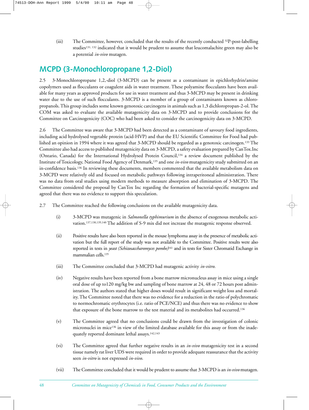(iii) The Committee, however, concluded that the results of the recently conducted  $32P$ -post-labelling studies131, 132 indicated that it would be prudent to assume that leucomalachite green may also be a potential *in-vivo* mutagen.

# **MCPD (3-Monochloropropane 1,2-Diol)**

2.5 3-Monochloropropane 1,2,-diol (3-MCPD) can be present as a contaminant in epichlorhydrin/amine copolymers used as flocculants or coagulent aids in water treatment. These polyamine flocculants have been available for many years as approved products for use in water treatment and thus 3-MCPD may be present in drinking water due to the use of such flocculants. 3-MCPD is a member of a group of contaminants known as chloropropanols. This group includes some known genotoxic carcinogens in animals such as 1,3 dichloropropan-2-ol. The COM was asked to evaluate the available mutagenicity data on 3-MCPD and to provide conclusions for the Committee on Carcinogenicity (COC) who had been asked to consider the carcinogenicity data on 3-MCPD.

2.6 The Committee was aware that 3-MCPD had been detected as a contaminant of savoury food ingredients, including acid hydrolysed vegetable protein (acid-HVP) and that the EU Scientific Committee for Food had published an opinion in 1994 where it was agreed that 3-MCPD should be regarded as a genotoxic carcinogen.133 The Committee also had access to published mutagenicity data on 3-MCPD, a safety evaluation prepared by CanTox.Inc (Ontario, Canada) for the International Hydrolysed Protein Council,134 a review document published by the Institute of Toxicology, National Food Agency of Denmark,135 and one *in-vivo* mutagenicity study submitted on an in-confidence basis.136 In reviewing these documents, members commented that the available metabolism data on 3-MCPD were relatively old and focused on metabolic pathways following intraperitoneal administration. There was no data from oral studies using modern methods to measure absorption and elimination of 3-MCPD. The Committee considered the proposal by CanTox Inc regarding the formation of bacterial-specific mutagens and agreed that there was no evidence to support this speculation.

- 2.7 The Committee reached the following conclusions on the available mutagenicity data.
	- (i) 3-MCPD was mutagenic in *Salmonella typhimurium* in the absence of exogenous metabolic activation.137,138,139,140 The addition of S-9 mix did not increase the mutagenic response observed.
	- (ii) Positive results have also been reported in the mouse lymphoma assay in the presence of metabolic activation but the full report of the study was not available to the Committee. Positive results were also reported in tests in *yeast (Schizosaccharomyces pombe)*<sup>141</sup> and in tests for Sister Chromatid Exchange in mammalian cells.<sup>135</sup>
	- (iii) The Committee concluded that 3-MCPD had mutagenic activity *in-vitro*.
	- (iv) Negative results have been reported from a bone marrow micronucleus assay in mice using a single oral dose of up to120 mg/kg bw and sampling of bone marrow at 24, 48 or 72 hours post administration. The authors stated that higher doses would result in significant weight loss and mortality. The Committee noted that there was no evidence for a reduction in the ratio of polychromatic to normochromatic erythrocytes (i.e. ratio of PCE/NCE) and thus there was no evidence to show that exposure of the bone marrow to the test material and its metabolites had occurred.136
	- (v) The Committee agreed that no conclusions could be drawn from the investigation of colonic micronuclei in mice136 in view of the limited database available for this assay or from the inadequately reported dominant lethal assays.<sup>142,143</sup>
	- (vi) The Committee agreed that further negative results in an *in-vivo* mutagenicity test in a second tissue namely rat liver UDS were required in order to provide adequate reassurance that the activity seen *in-vitro* is not expressed *in-vivo*.
	- (vii) The Committee concluded that it would be prudent to assume that 3-MCPD is an *in-vivo* mutagen.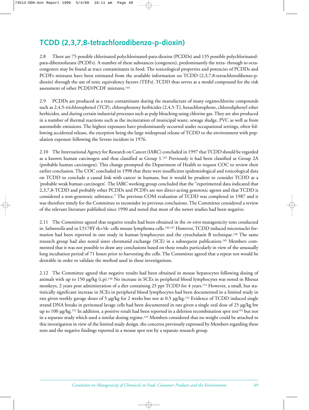# **TCDD (2,3,7,8-tetrachlorodibenzo-p-dioxin)**

2.8 There are 75 possible chlorinated polychlorinated-para-dioxins (PCDDs) and 135 possible polychlorinatedpara-dibenzofurans (PCDFs). A number of these substances (congeners), predominantly the tetra- through to octacongeners may be found as trace contaminants in food. The toxicological properties and potencies of PCDDs and PCDFs mixtures have been estimated from the available information on TCDD (2,3,7,8-tetrachlorodibenzo-pdioxin) through the use of toxic equivalency factors (TEFs). TCDD thus serves as a model compound for the risk assessment of other PCDD/PCDF mixtures.<sup>144</sup>

2.9 PCDDs are produced as a trace contaminant during the manufacture of many organochlorine compounds such as 2,4,5-trichlorophenol (TCP), chlorophenoxy herbicides (2,4,5-T), hexachlorophene, chlorodiphenyl ether herbicides, and during certain industrial processes such as pulp bleaching using chlorine gas. They are also produced in a number of thermal reactions such as the incineration of municipal waste, sewage sludge, PVC as well as from automobile emissions. The highest exposures have predominantly occurred under occupational settings, often following accidental release, the exception being the large widespread release of TCDD to the environment with population exposure following the Seveso incident in 1976.

2.10 The International Agency for Research on Cancer (IARC) concluded in 1997 that TCDD should be regarded as a known human carcinogen and thus classified as Group 1.145 Previously it had been classified as Group 2A (probable human carcinogen). This change prompted the Department of Health to request COC to review their earlier conclusion. The COC concluded in 1998 that there were insufficient epidemiological and toxicological data on TCDD to conclude a causal link with cancer in humans, but it would be prudent to consider TCDD as a 'probable weak human carcinogen'. The IARC working group concluded that the "experimental data indicated that 2,3,7,8-TCDD and probably other PCDDs and PCDFs are not direct-acting genotoxic agents and that TCDD is considered a non-genotoxic substance." The previous COM evaluation of TCDD was completed in 1987 and it was therefore timely for the Committee to reconsider its previous conclusions. The Committee considered a review of the relevant literature published since 1990 and noted that most of the newer studies had been negative.

2.11 The Committee agreed that negative results had been obtained in the *in-vitro* mutagenicity tests conducted in *Salmonella* and in L5178Y tk+/tk- cells mouse lymphoma cells.<sup>146,147</sup> However, TCDD induced micronuclei formation had been reported in one study in human lymphocytes and the cytochalasin B technique.<sup>148</sup> The same research group had also noted sister chromatid exchange (SCE) in a subsequent publication.<sup>149</sup> Members commented that it was not possible to draw any conclusions based on these results particularly in view of the unusually long incubation period of 71 hours prior to harvesting the cells. The Committee agreed that a repeat test would be desirable in order to validate the method used in these investigations.

2.12 The Committee agreed that negative results had been obtained in mouse hepatocytes following dosing of animals with up to 150 µg/kg (i.p).150 No increase in SCEs in peripheral blood lymphocytes was noted in Rhesus monkeys, 2 years post administration of a diet containing 25 ppt TCDD for 4 years.151 However, a small, but statistically significant increase in SCEs in peripheral blood lymphocytes had been documented in a limited study in rats given weekly gavage doses of 5 µg/kg for 2 weeks but not at 0.5 µg/kg.152 Evidence of TCDD induced single strand DNA breaks in peritoneal lavage cells had been documented in rats given a single oral dose of 25 µg/kg bw up to 100 µg/kg.<sup>153</sup> In addition, a positive result had been reported in a deletion recombination spot test<sup>154</sup> but not in a separate study which used a similar dosing regime.155 Members considered that no weight could be attached to this investigation in view of the limited study design, the concerns previously expressed by Members regarding these tests and the negative findings reported in a mouse spot test by a separate research group.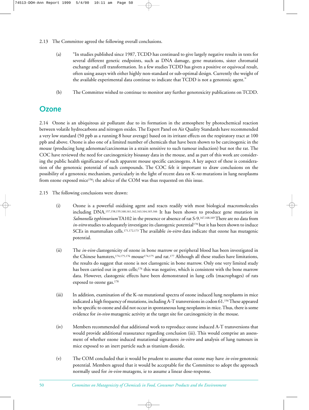- 2.13 The Committee agreed the following overall conclusions.
	- (a) "In studies published since 1987, TCDD has continued to give largely negative results in tests for several different genetic endpoints, such as DNA damage, gene mutations, sister chromatid exchange and cell transformation. In a few studies TCDD has given a positive or equivocal result, often using assays with either highly non-standard or sub-optimal design. Currently the weight of the available experimental data continue to indicate that TCDD is not a genotoxic agent."
	- (b) The Committee wished to continue to monitor any further genotoxicity publications on TCDD.

# **Ozone**

2.14 Ozone is an ubiquitous air pollutant due to its formation in the atmosphere by photochemical reaction between volatile hydrocarbons and nitrogen oxides. The Expert Panel on Air Quality Standards have recommended a very low standard (50 ppb as a running 8 hour average) based on its irritant effects on the respiratory tract at 100 ppb and above. Ozone is also one of a limited number of chemicals that have been shown to be carcinogenic in the mouse (producing lung adenomas/carcinomas in a strain sensitive to such tumour induction) but not the rat. The COC have reviewed the need for carcinogenicity bioassay data in the mouse, and as part of this work are considering the public health significance of such apparent mouse specific carcinogens. A key aspect of these is consideration of the genotoxic potential of such compounds. The COC felt it important to draw conclusions on the possibility of a genotoxic mechanism, particularly in the light of recent data on K-*ras* mutations in lung neoplasms from ozone exposed mice156; the advice of the COM was thus requested on this issue.

- 2.15 The following conclusions were drawn:
	- (i) Ozone is a powerful oxidising agent and reacts readily with most biological macromolecules including DNA.157,158,159,160,161,162,163,164,165,166 It has been shown to produce gene mutation in *Salmonella typhimurium*TA102 in the presence or absence of rat S-9.167,168,169There are no data from *in-vitro* studies to adequately investigate its clastogenic potential<sup>170</sup> but it has been shown to induce SCEs in mammalian cells.171,172,173 The available *in-vitro* data indicate that ozone has mutagenic potential.
	- (ii) The *in-vivo* clastogenicity of ozone in bone marrow or peripheral blood has been investigated in the Chinese hamsters,<sup>174,175,176</sup> mouse<sup>174,175</sup> and rat.<sup>177</sup> Although all these studies have limitations, the results do suggest that ozone is not clastogenic in bone marrow. Only one very limited study has been carried out in germ cells;<sup>176</sup> this was negative, which is consistent with the bone marrow data. However, clastogenic effects have been demonstrated in lung cells (macrophages) of rats exposed to ozone gas.178
	- (iii) In addition, examination of the K-*ras* mutational spectra of ozone induced lung neoplasms in mice indicated a high frequency of mutations, including A-T transversions in codon 61.156These appeared to be specific to ozone and did not occur in spontaneous lung neoplasms in mice. Thus, there is some evidence for *in-vivo* mutagenic activity at the target site for carcinogenicity in the mouse.
	- (iv) Members recommended that additional work to reproduce ozone induced A-T transversions that would provide additional reassurance regarding conclusion (iii). This would comprise an assessment of whether ozone induced mutational signatures *in-vitro* and analysis of lung tumours in mice exposed to an inert particle such as titanium dioxide.
	- (v) The COM concluded that it would be prudent to assume that ozone may have *in-vivo* genotoxic potential. Members agreed that it would be acceptable for the Committee to adopt the approach normally used for *in-vivo* mutagens, ie to assume a linear dose-response.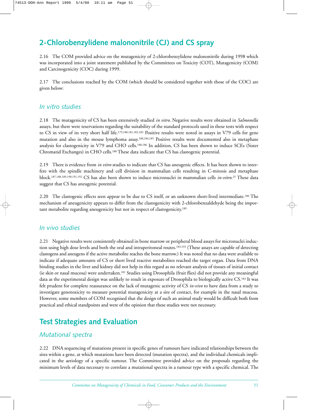# **2-Chlorobenzylidene malononitrile (CJ) and CS spray**

2.16 The COM provided advice on the mutagenicity of 2-chlorobenzylidene malononitrile during 1998 which was incorporated into a joint statement published by the Committees on Toxicity (COT), Mutagenicity (COM) and Carcinogenicity (COC) during 1999.

2.17 The conclusions reached by the COM (which should be considered together with those of the COC) are given below:

## *In vitro studies*

2.18 The mutagenicity of CS has been extensively studied *in vitro*. Negative results were obtained in *Salmonella* assays, but there were reservations regarding the suitability of the standard protocols used in these tests with respect to CS in view of its very short half life.179,180,181,182,183 Positive results were noted in assays in V79 cells for gene mutation and also in the mouse lymphoma assay.180,184,185 Positive results were documented also in metaphase analysis for clastogenicity in V79 and CHO cells.180,186 In addition, CS has been shown to induce SCEs (Sister Chromatid Exchanges) in CHO cells.180 These data indicate that CS has clastogenic potential.

2.19 There is evidence from *in vitro* studies to indicate that CS has aneugenic effects. It has been shown to interfere with the spindle machinery and cell division in mammalian cells resulting in C-mitosis and metaphase block.187,188,189,190,191,192 CS has also been shown to induce micronuclei in mammalian cells *in-vitro*. <sup>25</sup> These data suggest that CS has aneugenic potential.

2.20 The clastogenic effects seen appear to be due to CS itself, or an unknown short-lived intermediate.<sup>186</sup> The mechanism of aneugenicity appears to differ from the clastogenicity with 2-chlorobenzaldehyde being the important metabolite regarding aneugenicity but not in respect of clastogenicity.189

## *In vivo studies*

2.21 Negative results were consistently obtained in bone marrow or peripheral blood assays for micronuclei induction using high dose levels and both the oral and intraperitoneal routes.<sup>183,193</sup> (These assays are capable of detecting clastogens and aneugens if the active metabolite reaches the bone marrow.) It was noted that no data were available to indicate if adequate amounts of CS or short lived reactive metabolites reached the target organ. Data from DNA binding studies in the liver and kidney did not help in this regard as no relevant analysis of tissues of initial contact (ie skin or nasal mucosa) were undertaken.181 Studies using Drosophila (fruit flies) did not provide any meaningful data as the experimental design was unlikely to result in exposure of Drosophila to biologically active CS.183 It was felt prudent for complete reassurance on the lack of mutagenic activity of CS *in-vivo* to have data from a study to investigate genotoxicity to measure potential mutagenicity at a site of contact, for example in the nasal mucosa. However, some members of COM recognised that the design of such an animal study would be difficult both from practical and ethical standpoints and were of the opinion that these studies were not necessary.

# **Test Strategies and Evaluation**

## *Mutational spectra*

2.22 DNA sequencing of mutations present in specific genes of tumours have indicated relationships between the sites within a gene, at which mutations have been detected (mutation spectra), and the individual chemicals implicated in the aetiology of a specific tumour. The Committee provided advice on the proposals regarding the minimum levels of data necessary to correlate a mutational spectra in a tumour type with a specific chemical. The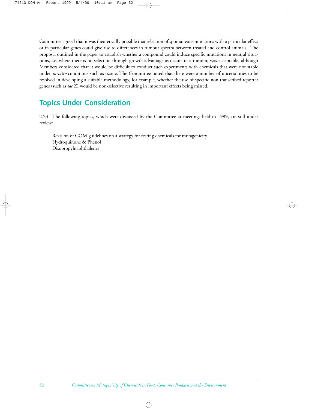Committee agreed that it was theoretically possible that selection of spontaneous mutations with a particular effect or in particular genes could give rise to differences in tumour spectra between treated and control animals. The proposal outlined in the paper to establish whether a compound could induce specific mutations in neutral situations, i.e. where there is no selection through growth advantage as occurs in a tumour, was acceptable, although Members considered that it would be difficult to conduct such experiments with chemicals that were not stable under *in-vitro* conditions such as ozone. The Committee noted that there were a number of uncertainties to be resolved in developing a suitable methodology, for example, whether the use of specific non transcribed reporter genes (such as *lac* Z) would be non-selective resulting in important effects being missed.

# **Topics Under Consideration**

2.23 The following topics, which were discussed by the Committee at meetings held in 1999, are still under review:

Revision of COM guidelines on a strategy for testing chemicals for mutagenicity Hydroquinone & Phenol Disopropylnaphthalenes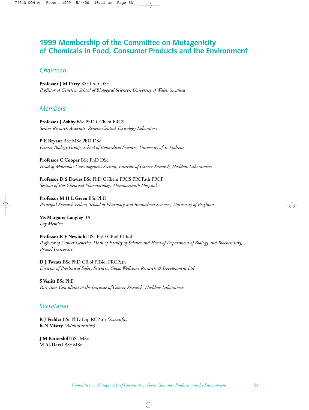# **1999 Membership of the Committee on Mutagenicity of Chemicals in Food, Consumer Products and the Environment**

# *Chairman*

**Professor J M Parry** BSc PhD DSc *Professor of Genetics. School of Biological Sciences, University of Wales, Swansea*

# *Members*

**Professor J Ashby** BSc PhD CChem FRCS *Senior Research Associate, Zeneca Central Toxicology Laboratory*

**P E Bryant** BSc MSc PhD DSc *Cancer Biology Group, School of Biomedical Sciences, University of St Andrews*

**Professor C Cooper** BSc PhD DSc *Head of Molecular Carcinogenesis Section, Institute of Cancer Research, Haddow Laboratories*

**Professor D S Davies** BSc PhD CChem FRCS FRCPath FRCP *Section of Bio-Chemical Pharmacology, Hammersmith Hospital*

**Professor M H L Green** BSc PhD *Principal Research Fellow, School of Pharmacy and Biomedical Sciences, University of Brighton*

**Ms Margaret Langley** BA *Lay Member*

**Professor R F Newbold** BSc PhD CBiol FIBiol *Professor of Cancer Genetics, Dean of Faculty of Science and Head of Department of Biology and Biochemistry, Brunel University*

**D J Tweats** BSc PhD CBiol FIBiol FRCPath *Director of Preclinical Safety Sciences, Glaxo Wellcome Research & Development Ltd*

**S Venitt** BSc PhD *Part-time Consultant to the Institute of Cancer Research, Haddow Laboratories*

# *Secretariat*

**R J Fielder** BSc PhD Dip RCPath *(Scientific)* **K N Mistry** *(Administrative)*

**J M Battershill** BSc MSc **M Al-Derzi** BSc MSc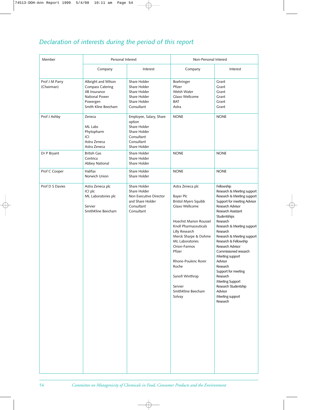# *Declaration of interests during the period of this report*

| Member                       | Personal Interest                                                                                                    |                                                                                                               | Non-Personal Interest                                                                                                                                                                                                                                                                                                                |                                                                                                                                                                                                                                                                                                                                                                                                                                                                                                           |
|------------------------------|----------------------------------------------------------------------------------------------------------------------|---------------------------------------------------------------------------------------------------------------|--------------------------------------------------------------------------------------------------------------------------------------------------------------------------------------------------------------------------------------------------------------------------------------------------------------------------------------|-----------------------------------------------------------------------------------------------------------------------------------------------------------------------------------------------------------------------------------------------------------------------------------------------------------------------------------------------------------------------------------------------------------------------------------------------------------------------------------------------------------|
|                              | Company                                                                                                              | Interest                                                                                                      | Company                                                                                                                                                                                                                                                                                                                              | Interest                                                                                                                                                                                                                                                                                                                                                                                                                                                                                                  |
| Prof J M Parry<br>(Chairman) | Albright and Wilson<br><b>Compass Catering</b><br>JIB Insurance<br>National Power<br>Powergen<br>Smith Kline Beecham | Share Holder<br>Share Holder<br>Share Holder<br>Share Holder<br>Share Holder<br>Consultant                    | Boehringer<br>Pfizer<br>Welsh Water<br>Glaxo Wellcome<br><b>BAT</b><br>Astra                                                                                                                                                                                                                                                         | Grant<br>Grant<br>Grant<br>Grant<br>Grant<br>Grant                                                                                                                                                                                                                                                                                                                                                                                                                                                        |
| Prof J Ashby                 | Zeneca<br>ML Labs<br>Phytopharm<br>ICI<br>Astra Zeneca<br>Astra Zeneca                                               | Employee, Salary, Share<br>option<br>Share Holder<br>Share Holder<br>Consultant<br>Consultant<br>Share Holder | <b>NONE</b>                                                                                                                                                                                                                                                                                                                          | <b>NONE</b>                                                                                                                                                                                                                                                                                                                                                                                                                                                                                               |
| Dr P Bryant                  | <b>British Gas</b><br>Centrica<br>Abbey National                                                                     | Share Holder<br>Share Holder<br>Share Holder                                                                  | <b>NONE</b>                                                                                                                                                                                                                                                                                                                          | <b>NONE</b>                                                                                                                                                                                                                                                                                                                                                                                                                                                                                               |
| Prof C Cooper                | Halifax<br>Norwich Union                                                                                             | Share Holder<br>Share Holder                                                                                  | <b>NONE</b>                                                                                                                                                                                                                                                                                                                          | <b>NONE</b>                                                                                                                                                                                                                                                                                                                                                                                                                                                                                               |
| Prof D S Davies              | Astra Zeneca plc<br>ICI plc<br>ML Laboratories plc<br>Servier<br>SmithKline Beecham                                  | Share Holder<br>Share Holder<br>Non Executive Director<br>and Share Holder<br>Consultant<br>Consultant        | Astra Zeneca plc<br><b>Bayer Plc</b><br><b>Bristol Myers Squibb</b><br>Glaxo Wellcome<br><b>Hoechst Marion Roussel</b><br>Knoll Pharmaceuticals<br>Lilly Research<br>Merck Sharpe & Dohme<br>ML Laboratories<br>Orion-Farmos<br>Pfizer<br>Rhone-Poulenc Rorer<br>Roche<br>Sanofi Winthrop<br>Servier<br>SmithKline Beecham<br>Solvay | Fellowship<br>Research & Meeting support<br>Research & Meeting support<br>Support for meeting Advisor<br><b>Research Advisor</b><br>Research Assistant<br>Studentships<br>Research<br>Research & Meeting support<br>Research<br>Research & Meeting support<br>Research & Fellowship<br><b>Research Advisor</b><br>Commissioned research<br>Meeting support<br>Advisor<br>Research<br>Support for meeting<br>Research<br>Meeting Support<br>Research Studentship<br>Advisor<br>Meeting support<br>Research |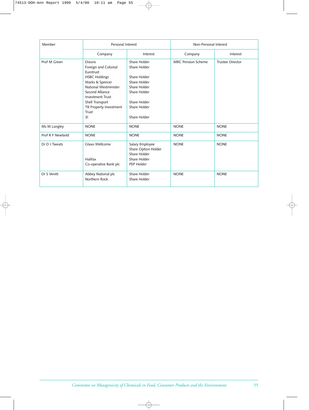| Member           | Personal Interest                                                                                                                                                                                                                |                                                                                                                                              | Non-Personal Interest     |                         |
|------------------|----------------------------------------------------------------------------------------------------------------------------------------------------------------------------------------------------------------------------------|----------------------------------------------------------------------------------------------------------------------------------------------|---------------------------|-------------------------|
|                  | Company                                                                                                                                                                                                                          | Interest                                                                                                                                     | Company                   | Interest                |
| Prof M Green     | <b>Dixons</b><br>Foreign and Colonial<br>Eurotrust<br><b>HSBC Holdings</b><br>Marks & Spencer<br>National Westminister<br>Second Alliance<br><b>Investment Trust</b><br>Shell Transport<br>TR Property Investment<br>Trust<br>31 | Share Holder<br>Share Holder<br>Share Holder<br>Share Holder<br>Share Holder<br>Share Holder<br>Share Holder<br>Share Holder<br>Share Holder | <b>MRC Pension Scheme</b> | <b>Trustee Director</b> |
| Ms M Langley     | <b>NONE</b>                                                                                                                                                                                                                      | <b>NONE</b>                                                                                                                                  | <b>NONE</b>               | <b>NONE</b>             |
| Prof R F Newbold | <b>NONE</b>                                                                                                                                                                                                                      | <b>NONE</b>                                                                                                                                  | <b>NONE</b>               | <b>NONE</b>             |
| Dr D J Tweats    | Glaxo Wellcome<br>Halifax<br>Co-operative Bank plc                                                                                                                                                                               | Salary Employee<br>Share Option Holder<br>Share Holder<br>Share Holder<br>PEP Holder                                                         | <b>NONE</b>               | <b>NONE</b>             |
| Dr S Venitt      | Abbey National plc<br>Northern Rock                                                                                                                                                                                              | Share Holder<br>Share Holder                                                                                                                 | <b>NONE</b>               | <b>NONE</b>             |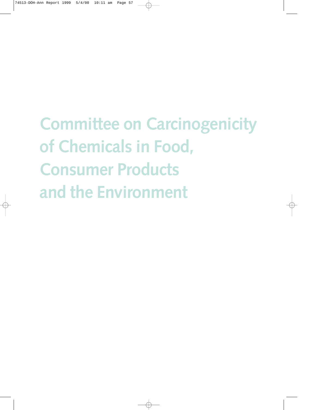# **Committee on Carcinogenicity of Chemicals in Food, Consumer Products and the Environment**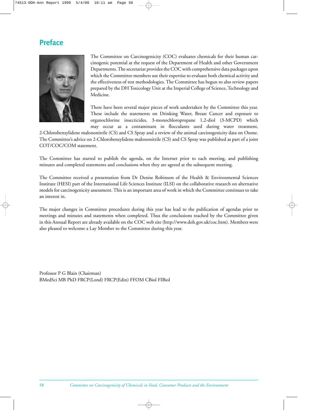# **Preface**



The Committee on Carcinogenicity (COC) evaluates chemicals for their human carcinogenic potential at the request of the Department of Health and other Government Departments. The secretariat provides the COC with comprehensive data packages upon which the Committee members use their expertise to evaluate both chemical activity and the effectiveness of test methodologies. The Committee has begun to also review papers prepared by the DH Toxicology Unit at the Imperial College of Science, Technology and Medicine.

There have been several major pieces of work undertaken by the Committee this year. These include the statements on Drinking Water, Breast Cancer and exposure to organochlorine insecticides, 3-monochloropropane 1,2-diol (3-MCPD) which may occur as a contaminant in flocculants used during water treatment,

2-Chlorobenzylidene malononitrile (CS) and CS Spray and a review of the animal carcinogenicity data on Ozone. The Committee's advice on 2-Chlorobenzylidene malononitrile (CS) and CS Spray was published as part of a joint COT/COC/COM statement.

The Committee has started to publish the agenda, on the Internet prior to each meeting, and publishing minutes and completed statements and conclusions when they are agreed at the subsequent meeting.

The Committee received a presentation from Dr Denise Robinson of the Health & Environmental Sciences Institute (HESI) part of the International Life Sciences Institute (ILSI) on the collaborative research on alternative models for carcinogenicity assessment. This is an important area of work in which the Committee continues to take an interest in.

The major changes in Committee procedures during this year has lead to the publication of agendas prior to meetings and minutes and statements when completed. Thus the conclusions reached by the Committee given in this Annual Report are already available on the COC web site (http://www.doh.gov.uk/coc.htm). Members were also pleased to welcome a Lay Member to the Committee during this year.

Professor P G Blain (Chairman) BMedSci MB PhD FRCP(Lond) FRCP(Edin) FFOM CBiol FIBiol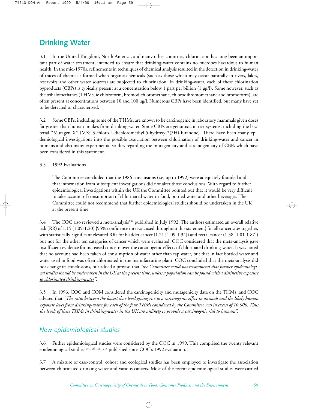# **Drinking Water**

3.1 In the United Kingdom, North America, and many other countries, chlorination has long been an important part of water treatment, intended to ensure that drinking-water contains no microbes hazardous to human health. In the mid-1970s, refinements in techniques of chemical analysis resulted in the detection in drinking-water of traces of chemicals formed when organic chemicals (such as those which may occur naturally in rivers, lakes, reservoirs and other water sources) are subjected to chlorination. In drinking-water, each of these chlorination byproducts (CBPs) is typically present at a concentration below 1 part per billion (1 µg/l). Some however, such as the trihalomethanes (THMs, ie chloroform, bromodichloromethane, chlorodibromomethane and bromoform), are often present at concentrations between 10 and 100 µg/l. Numerous CBPs have been identified, but many have yet to be detected or characterised.

3.2 Some CBPs, including some of the THMs, are known to be carcinogenic in laboratory mammals given doses far greater than human intakes from drinking-water. Some CBPs are genotoxic in test systems, including the bacterial "Mutagen X" (MX; 3-chloro-4-dichloromethyl-5-hydroxy-2(5H)-furanone). There have been many epidemiological investigations into the possible association between chlorination of drinking-water and cancer in humans and also many experimental studies regarding the mutagenicity and carcinogenicity of CBPs which have been considered in this statement.

3.3 1992 Evaluations

The Committee concluded that the 1986 conclusions (i.e. up to 1992) were adequately founded and that information from subsequent investigations did not alter those conclusions. With regard to further epidemiological investigations within the UK the Committee pointed out that it would be very difficult to take account of consumption of chlorinated water in food, bottled water and other beverages. The Committee could not recommend that further epidemiological studies should be undertaken in the UK at the present time.

3.4 The COC also reviewed a meta-analysis<sup>194</sup> published in July 1992. The authors estimated an overall relative risk (RR) of 1.15 (1.09-1.20) {95% confidence interval, used throughout this statement} for all cancer sites together, with statistically-significant elevated RRs for bladder cancer (1.21 [1.09-1.34]) and rectal cancer (1.38 [1.01-1.87]) but not for the other ten categories of cancer which were evaluated. COC considered that the meta-analysis gave insufficient evidence for increased concern over the carcinogenic effects of chlorinated drinking-water. It was noted that no account had been taken of consumption of water other than tap water, but that in fact bottled water and water used in food was often chlorinated in the manufacturing plant. COC concluded that the meta-analysis did not change its conclusions, but added a proviso that *"the Committee could not recommend that further epidemiological studies should be undertaken in the UK at the present time, unless a population can be found with a distinctive exposure to chlorinated drinking-water"*.

3.5 In 1996, COC and COM considered the carcinogenicity and mutagenicity data on the THMs, and COC advised that *"The ratio between the lowest dose level giving rise to a carcinogenic effect in animals and the likely human exposure level from drinking-water for each of the four THMs considered by the Committee was in excess of 10,000. Thus the levels of these THMs in drinking-water in the UK are unlikely to provide a carcinogenic risk to humans"*.

# *New epidemiological studies*

3.6 Futher epidemiological studies were considered by the COC in 1999. This comprised the twenty relevant epidemiological studies<sup>195, 196, 198,-215</sup> published since COC's 1992 evaluation.

3.7 A mixture of case-control, cohort and ecological studies has been employed to investigate the association between chlorinated drinking water and various cancers. Most of the recent epidemiological studies were carried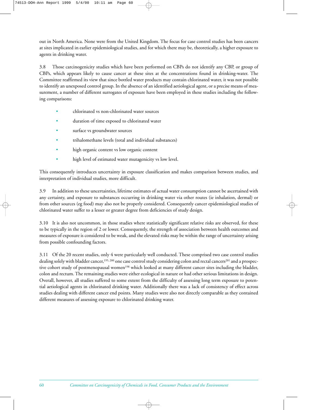out in North America. None were from the United Kingdom. The focus for case control studies has been cancers at sites implicated in earlier epidemiological studies, and for which there may be, theoretically, a higher exposure to agents in drinking water.

3.8 Those carcinogenicity studies which have been performed on CBPs do not identify any CBP, or group of CBPs, which appears likely to cause cancer at these sites at the concentrations found in drinking-water. The Committee reaffirmed its view that since bottled water products may contain chlorinated water, it was not possible to identify an unexposed control group. In the absence of an identified aetiological agent, or a precise means of measurement, a number of different surrogates of exposure have been employed in these studies including the following comparisons:

- chlorinated vs non-chlorinated water sources
- duration of time exposed to chlorinated water
- surface vs groundwater sources
- trihalomethane levels (total and individual substances)
- high organic content vs low organic content
- high level of estimated water mutagenicity vs low level.

This consequently introduces uncertainty in exposure classification and makes comparison between studies, and interpretation of individual studies, more difficult.

3.9 In addition to these uncertainties, lifetime estimates of actual water consumption cannot be ascertained with any certainty, and exposure to substances occurring in drinking water via other routes (ie inhalation, dermal) or from other sources (eg food) may also not be properly considered. Consequently cancer epidemiological studies of chlorinated water suffer to a lesser or greater degree from deficiencies of study design.

3.10 It is also not uncommon, in those studies where statistically significant relative risks are observed, for these to be typically in the region of 2 or lower. Consequently, the strength of association between health outcomes and measures of exposure is considered to be weak, and the elevated risks may be within the range of uncertainty arising from possible confounding factors.

3.11 Of the 20 recent studies, only 4 were particularly well conducted. These comprised two case control studies dealing solely with bladder cancer,<sup>195, 200</sup> one case control study considering colon and rectal cancers<sup>201</sup> and a prospective cohort study of postmenopausal women<sup>198</sup> which looked at many different cancer sites including the bladder, colon and rectum. The remaining studies were either ecological in nature or had other serious limitations in design. Overall, however, all studies suffered to some extent from the difficulty of assessing long term exposure to potential aetiological agents in chlorinated drinking water. Additionally there was a lack of consistency of effect across studies dealing with different cancer end points. Many studies were also not directly comparable as they contained different measures of assessing exposure to chlorinated drinking water.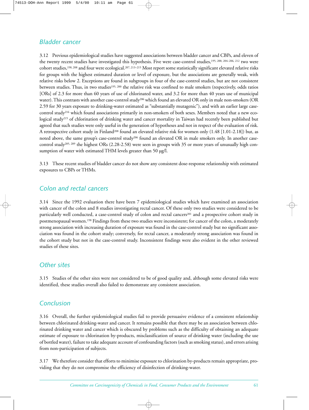## *Bladder cancer*

3.12 Previous epidemiological studies have suggested associations between bladder cancer and CBPs, and eleven of the twenty recent studies have investigated this hypothesis. Five were case-control studies,195, 200, 204–206, 212 two were cohort studies,198, 208 and four were ecological.207, 213–215 Most report some statistically significant elevated relative risks for groups with the highest estimated duration or level of exposure, but the associations are generally weak, with relative risks below 2. Exceptions are found in subgroups in four of the case-control studies, but are not consistent between studies. Thus, in two studies<sup>195, 200</sup> the relative risk was confined to male smokers (respectively, odds ratios [ORs] of 2.3 for more than 60 years of use of chlorinated water, and 3.2 for more than 40 years use of municipal water). This contrasts with another case-control study206 which found an elevated OR only in male non-smokers (OR 2.59 for 30 years exposure to drinking-water estimated as "substantially mutagenic"), and with an earlier large casecontrol study216 which found associations primarily in non-smokers of both sexes. Members noted that a new ecological study<sup>215</sup> of chlorination of drinking water and cancer mortality in Taiwan had recently been published but agreed that such studies were only useful in the generation of hypotheses and not in respect of the evaluation of risk. A retrospective cohort study in Finland208 found an elevated relative risk for women only (1.48 [1.01-2.18]) but, as noted above, the same group's case-control study<sup>206</sup> found an elevated OR in male smokers only. In another casecontrol study205, 209 the highest ORs (2.28-2.58) were seen in groups with 35 or more years of unusually high consumption of water with estimated THM levels greater than 50 µg/l.

3.13 These recent studies of bladder cancer do not show any consistent dose-response relationship with estimated exposures to CBPs or THMs.

# *Colon and rectal cancers*

3.14 Since the 1992 evaluation there have been 7 epidemiological studies which have examined an association with cancer of the colon and 8 studies investigating rectal cancer. Of these only two studies were considered to be particularly well conducted, a case-control study of colon and rectal cancers<sup>201</sup> and a prospective cohort study in postmenopausal women.<sup>198</sup> Findings from these two studies were inconsistent; for cancer of the colon, a moderately strong association with increasing duration of exposure was found in the case-control study but no significant association was found in the cohort study; conversely, for rectal cancer, a moderately strong association was found in the cohort study but not in the case-control study. Inconsistent findings were also evident in the other reviewed studies of these sites.

## *Other sites*

3.15 Studies of the other sites were not considered to be of good quality and, although some elevated risks were identified, these studies overall also failed to demonstrate any consistent association.

# *Conclusion*

3.16 Overall, the further epidemiological studies fail to provide persuasive evidence of a consistent relationship between chlorinated drinking-water and cancer. It remains possible that there may be an association between chlorinated drinking water and cancer which is obscured by problems such as the difficulty of obtaining an adequate estimate of exposure to chlorination by-products, misclassification of source of drinking water (including the use of bottled water), failure to take adequate account of confounding factors (such as smoking status), and errors arising from non-participation of subjects.

3.17 We therefore consider that efforts to minimise exposure to chlorination by-products remain appropriate, providing that they do not compromise the efficiency of disinfection of drinking-water.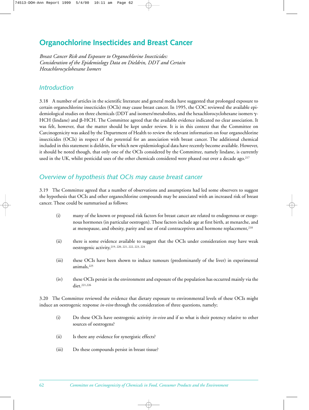# **Organochlorine Insecticides and Breast Cancer**

*Breast Cancer Risk and Exposure to Organochlorine Insecticides: Consideration of the Epidemiology Data on Dieldrin, DDT and Certain Hexachlorocyclohexane Isomers*

## *Introduction*

3.18 A number of articles in the scientific literature and general media have suggested that prolonged exposure to certain organochlorine insecticides (OCIs) may cause breast cancer. In 1995, the COC reviewed the available epidemiological studies on three chemicals (DDT and isomers/metabolites, and the hexachlorocyclohexane isomers γ-HCH (lindane) and β-HCH. The Committee agreed that the available evidence indicated no clear association. It was felt, however, that the matter should be kept under review. It is in this context that the Committee on Carcinogenicity was asked by the Department of Health to review the relevant information on four organochlorine insecticides (OCIs) in respect of the potential for an association with breast cancer. The additional chemical included in this statement is dieldrin, for which new epidemiological data have recently become available. However, it should be noted though, that only one of the OCIs considered by the Committee, namely lindane, is currently used in the UK, whilst pesticidal uses of the other chemicals considered were phased out over a decade ago.217

# *Overview of hypothesis that OCIs may cause breast cancer*

3.19 The Committee agreed that a number of observations and assumptions had led some observers to suggest the hypothesis that OCIs and other organochlorine compounds may be associated with an increased risk of breast cancer. These could be summarised as follows:

- (i) many of the known or proposed risk factors for breast cancer are related to endogenous or exogenous hormones (in particular oestrogen). These factors include age at first birth, at menarche, and at menopause, and obesity, parity and use of oral contraceptives and hormone replacement,218
- (ii) there is some evidence available to suggest that the OCIs under consideration may have weak oestrogenic activity,219, 220, 221, 222, 223, 224
- (iii) these OCIs have been shown to induce tumours (predominantly of the liver) in experimental animals,<sup>225</sup>
- (iv) these OCIs persist in the environment and exposure of the population has occurred mainly via the diet.221,226

3.20 The Committee reviewed the evidence that dietary exposure to environmental levels of these OCIs might induce an oestrogenic response *in-vivo* through the consideration of three questions, namely;

- (i) Do these OCIs have oestrogenic activity *in-vivo* and if so what is their potency relative to other sources of oestrogens?
- (ii) Is there any evidence for synergistic effects?
- (iii) Do these compounds persist in breast tissue?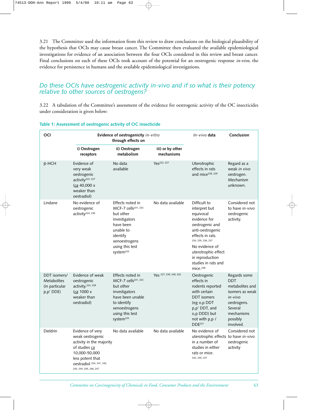3.21 The Committee used the information from this review to draw conclusions on the biological plausibility of the hypothesis that OCIs may cause breast cancer. The Committee then evaluated the available epidemiological investigations for evidence of an association between the four OCIs considered in this review and breast cancer. Final conclusions on each of these OCIs took account of the potential for an oestrogenic response *in-vivo*, the evidence for persistence in humans and the available epidemiological investigations.

## *Do these OCIs have oestrogenic activity in-vivo and if so what is their potency relative to other sources of oestrogens?*

3.22 A tabulation of the Committee's assessment of the evidence for oestrogenic activity of the OC insecticides under consideration is given below:

| OCI<br>Evidence of oestrogenicity in-vitro<br>through effects on  |                                                                                                                                                                                | In-vivo data                                                                                                                                                                         | Conclusion                     |                                                                                                                                                                                                                                               |                                                                                                                                              |
|-------------------------------------------------------------------|--------------------------------------------------------------------------------------------------------------------------------------------------------------------------------|--------------------------------------------------------------------------------------------------------------------------------------------------------------------------------------|--------------------------------|-----------------------------------------------------------------------------------------------------------------------------------------------------------------------------------------------------------------------------------------------|----------------------------------------------------------------------------------------------------------------------------------------------|
|                                                                   | i) Oestrogen<br>receptors                                                                                                                                                      | ii) Oestrogen<br>metabolism                                                                                                                                                          | iii) or by other<br>mechanisms |                                                                                                                                                                                                                                               |                                                                                                                                              |
| $\beta$ -HCH                                                      | Evidence of<br>very weak<br>oestrogenic<br>activity <sup>222, 227</sup><br>(ca 40,000 x<br>weaker than<br>oestradiol)                                                          | No data<br>available                                                                                                                                                                 | Yes <sup>222</sup> , 227       | Uterotrophic<br>effects in rats<br>and mice <sup>228, 229</sup>                                                                                                                                                                               | Regard as a<br>weak in vivo<br>oestrogen.<br>Mechanism<br>unknown.                                                                           |
| Lindane                                                           | No evidence of<br>oestrogenic<br>activity <sup>224, 230</sup>                                                                                                                  | Effects noted in<br>MCF-7 cells <sup>231, 232</sup><br>but other<br>investigators<br>have been<br>unable to<br>identify<br>xenoestrogens<br>using this test<br>system <sup>233</sup> | No data available              | Difficult to<br>interpret but<br>equivocal<br>evidence for<br>oestrogenic and<br>anti-oestrogenic<br>effects in rats.<br>234, 235, 236, 237<br>No evidence of<br>uterotrophic effect<br>in reproduction<br>studies in rats and<br>mice. $238$ | Considered not<br>to have in-vivo<br>oestrogenic<br>activity.                                                                                |
| DDT isomers/<br><b>Metabolites</b><br>(in particular<br>p,p' DDE) | Evidence of weak<br>oestrogenic<br>activity. <sup>224, 239</sup><br>(ca 1000 x<br>weaker than<br>oestradiol)                                                                   | Effects noted in<br>MCF-7 cells <sup>231, 232</sup><br>but other<br>investigators<br>have been unable<br>to identify<br>xenoestrogens<br>using this test<br>system <sup>233</sup>    | Yes 227, 239, 240, 252         | Oestrogenic<br>effects in<br>rodents reported<br>with certain<br><b>DDT</b> isomers<br>(eg o,p DDT<br>p,p' DDT, and<br>o,p DDD) but<br>not with p,p /<br>DDE <sup>221</sup>                                                                   | Regards some<br><b>DDT</b><br>metabolites and<br>isomers as weak<br>in-vivo<br>oestrogens.<br>Several<br>mechanisms<br>possibly<br>involved. |
| <b>Dieldrin</b>                                                   | Evidence of very<br>weak oestrogenic<br>activity in the majority<br>of studies ca<br>10,000-50,000<br>less potent that<br>oestradiol 224, 241, 242,<br>243, 244, 245, 246, 247 | No data available                                                                                                                                                                    | No data available              | No evidence of<br>uterotrophic effects to have in-vivo<br>in a number of<br>studies in either<br>rats or mice.<br>242, 245, 247                                                                                                               | Considered not<br>oestrogenic<br>activity                                                                                                    |

#### **Table 1: Assessment of oestrogenic activity of OC insecticide**

*Committee on Carcinogenicity of Chemicals in Food, Consumer Products and the Environment* 63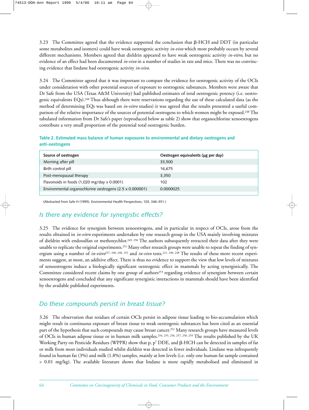$3.23$  The Committee agreed that the evidence supported the conclusion that  $\beta$ -HCH and DDT (in particular some metabolites and isomers) could have weak oestrogenic activity *in-vivo* which most probably occurs by several different mechanisms. Members agreed that dieldrin appeared to have weak oestrogenic activity *in-vitro*, but no evidence of an effect had been documented *in-vivo* in a number of studies in rats and mice. There was no convincing evidence that lindane had oestrogenic activity *in-vivo*.

3.24 The Committee agreed that it was important to compare the evidence for oestrogenic activity of the OCIs under consideration with other potential sources of exposure to oestrogenic substances. Members were aware that Dr Safe from the USA (Texas A&M University) had published estimates of total oestrogenic potency (i.e. oestrogenic equivalents EQs).248 Thus although there were reservations regarding the use of these calculated data (as the method of determining EQs was based on *in-vitro* studies) it was agreed that the results presented a useful comparison of the relative importance of the sources of potential oestrogens to which women might be exposed.248 The tabulated information from Dr Safe's paper (reproduced below as table 2) show that organochlorine xenoestrogens contribute a very small proportion of the potential total oestrogenic burden.

**Table 2. Estimated mass balance of human exposures to environmental and dietary oestrogens and anti-oestrogens**

| Source of oestrogen                                      | Oestrogen equivalents (µg per day) |
|----------------------------------------------------------|------------------------------------|
| Morning after pill                                       | 33,500                             |
| Birth control pill                                       | 16.675                             |
| Post-menopausal therapy                                  | 3,350                              |
| Flavonoids in foods (1,020 mg/day x 0.0001)              | 102                                |
| Environmental organochlorine oestrogens (2.5 x 0.000001) | 0.0000025                          |

(Abstracted from Safe H (1995). Environmental Health Perspectives, 103, 346–351.)

## *Is there any evidence for synergistic effects?*

3.25 The evidence for synergism between xenoestrogens, and in particular in respect of OCIs, arose from the results obtained in *in-vitro* experiments undertaken by one research group in the USA mainly involving mixtures of dieldrin with endosulfan or methoxychlor.<sup>249, 250</sup> The authors subsequently retracted their data after they were unable to replicate the original experiments.251 Many other research groups were unable to repeat the finding of synergism using a number of *in-vitro*237, 240, 248, 252 and *in-vivo* tests.221, 240, 248 The results of these more recent experiments suggest, at most, an additive effect. There is thus no evidence to support the view that low levels of mixtures of xenoestrogens induce a biologically significant oestrogenic effect in mammals by acting synergistically. The Committee considered recent claims by one group of authors<sup>253</sup> regarding evidence of synergism between certain xenoestrogens and concluded that any significant synergistic interactions in mammals should have been identified by the available published experiments.

# *Do these compounds persist in breast tissue?*

3.26 The observation that residues of certain OCIs persist in adipose tissue leading to bio-accumulation which might result in continuous exposure of breast tissue to weak oestrogenic substances has been cited as an essential part of the hypothesis that such compounds may cause breast cancer.251 Many research groups have measured levels of OCIs in human adipose tissue or in human milk samples.254, 255, 256, 257, 258, 259 The results published by the UK Working Party on Pesticide Residues (WPPR) show that p, p' DDE, and β-HCH can be detected in samples of fat or milk from most individuals studied whilst dieldrin was detected in fewer individuals. Lindane was infrequently found in human fat (3%) and milk (1.8%) samples, mainly at low levels (i.e. only one human fat sample contained > 0.01 mg/kg). The available literature shows that lindane is more rapidly metabolised and eliminated in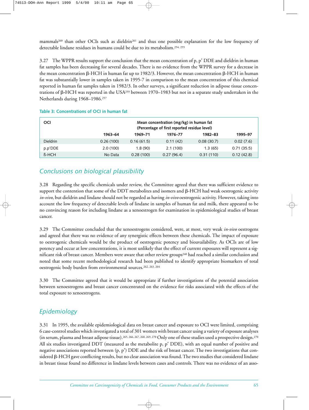mammals<sup>260</sup> than other OCIs such as dieldrin<sup>261</sup> and thus one possible explanation for the low frequency of detectable lindane residues in humans could be due to its metabolism.254, 255

3.27 The WPPR results support the conclusion that the mean concentration of p, p' DDE and dieldrin in human fat samples has been decreasing for several decades. There is no evidence from the WPPR survey for a decrease in the mean concentration <code>β-HCH</code> in human fat up to 1982/3. However, the mean concentration <code>β-HCH</code> in human fat was substantially lower in samples taken in 1995-7 in comparison to the mean concentration of this chemical reported in human fat samples taken in 1982/3. In other surveys, a significant reduction in adipose tissue concentrations of β-HCH was reported in the USA<sup>259</sup> between 1970–1983 but not in a separate study undertaken in the Netherlands during 1968–1986.257

| <b>OCI</b>      |           | Mean concentration (mg/kg) in human fat<br>(Percentage of first reported residue level) |            |            |            |
|-----------------|-----------|-----------------------------------------------------------------------------------------|------------|------------|------------|
|                 | 1963-64   | 1969-71                                                                                 | 1976-77    | 1982-83    | 1995-97    |
| <b>Dieldrin</b> | 0.26(100) | 0.16(61.5)                                                                              | 0.11(42)   | 0.08(30.7) | 0.02(7.6)  |
| p.p'DDE         | 2.0(100)  | 1.8(90)                                                                                 | 2.1(100)   | 1.3(65)    | 0.71(35.5) |
| $B-HCH$         | No Data   | 0.28(100)                                                                               | 0.27(96.4) | 0.31(110)  | 0.12(42.8) |

#### **Table 3: Concentrations of OCI in human fat**

# *Conclusions on biological plausibility*

3.28 Regarding the specific chemicals under review, the Committee agreed that there was sufficient evidence to support the contention that some of the DDT metabolites and isomers and β-HCH had weak oestrogenic activity *in-vivo*, but dieldrin and lindane should not be regarded as having *in-vivo* oestrogenic activity. However, taking into account the low frequency of detectable levels of lindane in samples of human fat and milk, there appeared to be no convincing reason for including lindane as a xenoestrogen for examination in epidemiological studies of breast cancer.

3.29 The Committee concluded that the xenoestrogens considered, were, at most, very weak *in-vivo* oestrogens and agreed that there was no evidence of any synergistic effects between these chemicals. The impact of exposure to oestrogenic chemicals would be the product of oestrogenic potency and bioavailability. As OCIs are of low potency and occur at low concentrations, it is most unlikely that the effect of current exposures will represent a significant risk of breast cancer. Members were aware that other review groups<sup>240</sup> had reached a similar conclusion and noted that some recent methodological research had been published to identify appropriate biomarkers of total oestrogenic body burden from environmental sources.262, 263, 264

3.30 The Committee agreed that it would be appropriate if further investigations of the potential association between xenoestrogens and breast cancer concentrated on the evidence for risks associated with the effects of the total exposure to xenoestrogens.

# *Epidemiology*

3.31 In 1995, the available epidemiological data on breast cancer and exposure to OCI were limited, comprising 6 case-control studies which investigated a total of 301 women with breast cancer using a variety of exposure analyses (in serum, plasma and breast adipose tissue).<sup>265, 266, 267, 268, 269, 270</sup> Only one of these studies used a prospective design.<sup>270</sup> All six studies investigated DDT (measured as the metabolite p, p' DDE), with an equal number of positive and negative associations reported between (p, p') DDE and the risk of breast cancer. The two investigations that considered β-HCH gave conflicting results, but no clear association was found. The two studies that considered lindane in breast tissue found no difference in lindane levels between cases and controls. There was no evidence of an asso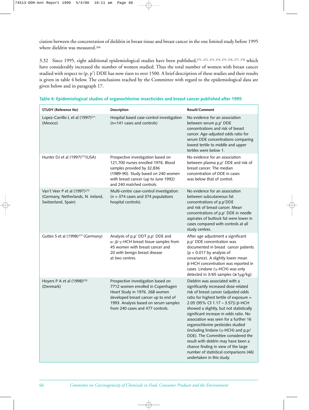ciation between the concentration of dieldrin in breast tissue and breast cancer in the one limited study before 1995 where dieldrin was measured.266

3.32 Since 1995, eight additional epidemiological studies have been published,271, 272, 273, 274, 275, 276, 277, 278 which have considerably increased the number of women studied. Thus the total number of women with breast cancer studied with respect to (p, p') DDE has now risen to over 1500. A brief description of these studies and their results is given in table 4 below. The conclusions reached by the Committee with regard to the epidemiological data are given below and in paragraph 17.

| <b>STUDY (Reference No)</b>                                                                           | Description                                                                                                                                                                                                                    | <b>Result/Comment</b>                                                                                                                                                                                                                                                                                                                                                                                                                                                                                                                                                                                        |
|-------------------------------------------------------------------------------------------------------|--------------------------------------------------------------------------------------------------------------------------------------------------------------------------------------------------------------------------------|--------------------------------------------------------------------------------------------------------------------------------------------------------------------------------------------------------------------------------------------------------------------------------------------------------------------------------------------------------------------------------------------------------------------------------------------------------------------------------------------------------------------------------------------------------------------------------------------------------------|
| Lopez-Carrillo L et al (1997) <sup>271</sup><br>(Mexico)                                              | Hospital based case-control investigation<br>(n=141 cases and controls)                                                                                                                                                        | No evidence for an association<br>between serum p,p' DDE<br>concentrations and risk of breast<br>cancer. Age-adjusted odds ratio for<br>serum DDE concentrations comparing<br>lowest tertile to middle and upper<br>tertiles were below 1.                                                                                                                                                                                                                                                                                                                                                                   |
| Hunter DJ et al (1997) <sup>272</sup> (USA)                                                           | Prospective investigation based on<br>121,700 nurses enrolled 1976. Blood<br>samples provided by 32,836<br>(1989-90). Study based on 240 women<br>with breast cancer (up to June 1992)<br>and 240 matched controls.            | No evidence for an association<br>between plasma p,p' DDE and risk of<br>breast cancer. The median<br>concentration of DDE in cases<br>was below that of control.                                                                                                                                                                                                                                                                                                                                                                                                                                            |
| Van't Veer P et al (1997) <sup>273</sup><br>(Germany, Netherlands, N. Ireland,<br>Switzerland, Spain) | Multi-centre case-control investigation.<br>$(n = 374 \text{ cases and } 374 \text{ populations})$<br>hospital controls).                                                                                                      | No evidence for an association<br>between subcutaneous fat<br>concentrations of p,p'DDE<br>and risk of breast cancer. Mean<br>concentrations of p,p' DDE in needle<br>aspirates of buttock fat were lower in<br>cases compared with controls at all<br>study centres.                                                                                                                                                                                                                                                                                                                                        |
| Guttes S et al (1998) <sup>274</sup> (Germany)                                                        | Analysis of p,p' DDT p,p' DDE and<br>$\alpha$ -, $\beta$ - $\gamma$ -HCH breast tissue samples from<br>45 women with breast cancer and<br>20 with benign breast disease<br>at two centres.                                     | After age adjustment a significant<br>p,p' DDE concentration was<br>documented in breast cancer patients<br>$(p = 0.017$ by analysis of<br>covariance). A slightly lower mean<br>β-HCH concentration was reported in<br>cases. Lindane ( $\gamma$ -HCH) was only<br>detected in 3/65 samples ( $\geq 1 \mu g/kg$ ).                                                                                                                                                                                                                                                                                          |
| Hoyers P A et al (1998) <sup>275</sup><br>(Denmark)                                                   | Prospective investigation based on<br>7712 women enrolled in Copenhagen<br>Heart Study in 1976. 268 women<br>developed breast cancer up to end of<br>1993. Analysis based on serum samples<br>from 240 cases and 477 controls. | Dieldrin was associated with a<br>significantly increased dose-related<br>risk of breast cancer (adjusted odds<br>ratio for highest tertile of exposure =<br>2.05 (95% CI 1.17 - 3.57)) β-HCH<br>showed a slightly, but not statistically<br>significant increase in odds ratio. No<br>association was seen for a further 16<br>organochlorine pesticides studied<br>(including lindane ( $\gamma$ -HCH) and p,p/<br>DDE). The Committee considered the<br>result with deldrin may have been a<br>chance finding in view of the large<br>number of statistical comparisons (46)<br>undertaken in this study. |

#### **Table 4: Epidemiological studies of organochlorine insecticides and breast cancer published after 1995**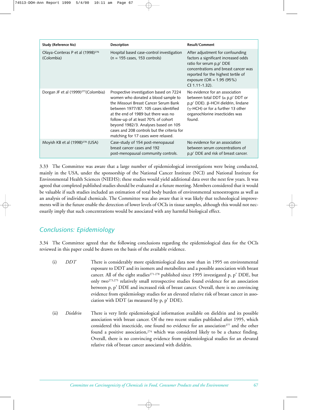| Study (Reference No)                                       | <b>Description</b>                                                                                                                                                                                                                                                                                                                                                           | <b>Result/Comment</b>                                                                                                                                                                                                               |
|------------------------------------------------------------|------------------------------------------------------------------------------------------------------------------------------------------------------------------------------------------------------------------------------------------------------------------------------------------------------------------------------------------------------------------------------|-------------------------------------------------------------------------------------------------------------------------------------------------------------------------------------------------------------------------------------|
| Olaya-Conteras P et al (1998) <sup>276</sup><br>(Colombia) | Hospital based case-control investigation<br>$(n = 155 \text{ cases}, 153 \text{ controls})$                                                                                                                                                                                                                                                                                 | After adjustment for confounding<br>factors a significant increased odds<br>ratio for serum p,p' DDE<br>concentrations and breast cancer was<br>reported for the highest tertile of<br>exposure (OR = $1.95(95%)$<br>CI 1.11-1.32). |
| Dorgan JF et al (1999) <sup>277</sup> (Colombia)           | Prospective investigation based on 7224<br>women who donated a blood sample to<br>the Missouri Breast Cancer Serum Bank<br>between 1977/87, 105 cases identified<br>at the end of 1989 but there was no<br>follow-up of at least 70% of cohort<br>beyond 1982/3. Analyses based on 105<br>cases and 208 controls but the criteria for<br>matching for 17 cases were relaxed. | No evidence for an association<br>between total DDT ( $\alpha$ p,p' DDT or<br>p,p' DDE). β-HCH dieldrin, lindane<br>$(y-HCH)$ or for a further 13 other<br>organochlorine insecticides was<br>found.                                |
| Moyish KB et al $(1998)^{278}$ (USA)                       | Case-study of 154 post-menopausal<br>breast cancer cases and 192<br>post-menopausal community controls.                                                                                                                                                                                                                                                                      | No evidence for an association<br>between serum concentrations of<br>p,p' DDE and risk of breast cancer.                                                                                                                            |

3.33 The Committee was aware that a large number of epidemiological investigations were being conducted, mainly in the USA, under the sponsorship of the National Cancer Institute (NCI) and National Institute for Environmental Health Sciences (NIEHS); these studies would yield additional data over the next few years. It was agreed that completed published studies should be evaluated at a future meeting. Members considered that it would be valuable if such studies included an estimation of total body burden of environmental xenoestrogens as well as an analysis of individual chemicals. The Committee was also aware that it was likely that technological improvements will in the future enable the detection of lower levels of OCIs in tissue samples, although this would not necessarily imply that such concentrations would be associated with any harmful biological effect.

# *Conclusions: Epidemiology*

3.34 The Committee agreed that the following conclusions regarding the epidemiological data for the OCIs reviewed in this paper could be drawn on the basis of the available evidence.

- (i) *DDT* There is considerably more epidemiological data now than in 1995 on environmental exposure to DDT and its isomers and metabolites and a possible association with breast cancer. All of the eight studies<sup>271-278</sup> published since 1995 investigated p, p' DDE, but only two273,275 relatively small retrospective studies found evidence for an association between p, p' DDE and increased risk of breast cancer. Overall, there is no convincing evidence from epidemiology studies for an elevated relative risk of breast cancer in association with DDT (as measured by p, p' DDE).
- (ii) *Dieldrin* There is very little epidemiological information available on dieldrin and its possible association with breast cancer. Of the two recent studies published after 1995, which considered this insecticide, one found no evidence for an association<sup>277</sup> and the other found a positive association, $274$  which was considered likely to be a chance finding. Overall, there is no convincing evidence from epidemiological studies for an elevated relative risk of breast cancer associated with dieldrin.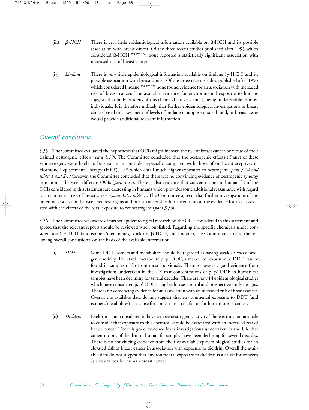- (iii)  $\beta$ -HCH  $HCH$  There is very little epidemiological information available on  $\beta$ -HCH and its possible association with breast cancer. Of the three recent studies published after 1995 which considered  $\beta$ -HCH,<sup>274,275,276</sup>, none reported a statistically significant association with increased risk of breast cancer.
- (iv) *Lindane* There is very little epidemiological information available on lindane (γ-HCH) and its possible association with breast cancer. Of the three recent studies published after 1995 which considered lindane,<sup>274,275,277</sup> none found evidence for an association with increased risk of breast cancer. The available evidence for environmental exposure to lindane suggests that body burdens of this chemical are very small, being undetectable in most individuals. It is therefore unlikely that further epidemiological investigations of breast cancer based on assessment of levels of lindane in adipose tissue, blood, or breast tissue would provide additional relevant information.

### *Overall conclusion*

3.35 The Committee evaluated the hypothesis that OCIs might increase the risk of breast cancer by virtue of their claimed oestrogenic effects (*para 3.19*). The Committee concluded that the oestrogenic effects (if any) of these xenoestrogens were likely to be small in magnitude, especially compared with those of oral contraceptives or Hormone Replacement Therapy (HRT),218,248 which entail much higher exposures to oestrogens (*para 3.24 and tables 1 and 2*). Moreover, the Committee concluded that there was no convincing evidence of oestrogenic synergy in mammals between different OCIs (*para 3.25*). There is also evidence that concentrations in human fat of the OCIs considered in this statement are decreasing in humans which provides some additional reassurance with regard to any potential risk of breast cancer (*para 3.27, table 3*). The Committee agreed, that further investigations of the potential association between xenoestrogens and breast cancer should concentrate on the evidence for risks associated with the effects of the total exposure to xenoestrogens (*para 3.30*).

3.36 The Committee was aware of further epidemiological research on the OCIs considered in this statement and agreed that the relevant reports should be reviewed when published. Regarding the specific chemicals under consideration (i.e. DDT (and isomers/metabolites), dieldrin,  $\beta$ -HCH, and lindane), the Committee came to the following overall conclusions, on the basis of the available information.

- (i) *DDT* Some DDT isomers and metabolites should be regarded as having weak *in-vivo* oestrogenic activity. The stable metabolite p,  $p<sup>1</sup>$  DDE, a marker for exposure to DDT, can be found in samples of fat from most individuals. There is however, good evidence from investigations undertaken in the UK that concentrations of p, p' DDE in human fat samples have been declining for several decades. There are now 14 epidemiological studies which have considered p, p' DDE using both case-control and prospective study designs. There is no convincing evidence for an association with an increased risk of breast cancer. Overall the available data do not suggest that environmental exposure to DDT (and isomers/metabolites) is a cause for concern as a risk factor for human breast cancer.
- (ii) *Dieldrin* Dieldrin is not considered to have *in-vivo* oestrogenic activity. There is thus no rationale to consider that exposure to this chemical should be associated with an increased risk of breast cancer. There is good evidence from investigations undertaken in the UK that conentrations of dieldrin in human fat samples have been declining for several decades. There is no convincing evidence from the five available epidemiological studies for an elevated risk of breast cancer in association with exposure to dieldrin. Overall the available data do not suggest that environmental exposure to dieldrin is a cause for concern as a risk factor for human breast cancer.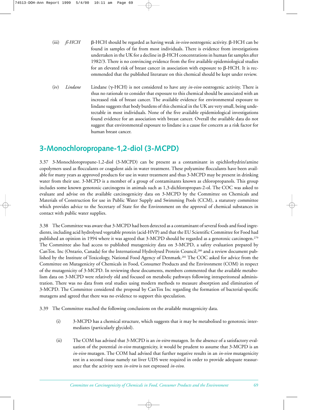- $(iii)$  *ß-HCH* -HCH should be regarded as having weak *in-vivo* oestrogenic activity. β-HCH can be found in samples of fat from most individuals. There is evidence from investigations undertaken in the UK for a decline in  $\beta$ -HCH concentrations in human fat samples after 1982/3. There is no convincing evidence from the five available epidemiological studies for an elevated risk of breast cancer in association with exposure to  $\beta$ -HCH. It is recommended that the published literature on this chemical should be kept under review.
- (iv) *Lindane* Lindane ( $\gamma$ -HCH) is not considered to have any *in-vivo* oestrogenic activity. There is thus no rationale to consider that exposure to this chemical should be associated with an increased risk of breast cancer. The available evidence for environmental exposure to lindane suggests that body burdens of this chemical in the UK are very small, being undetectable in most individuals. None of the five available epidemiological investigations found evidence for an association with breast cancer. Overall the available data do not suggest that environmental exposure to lindane is a cause for concern as a risk factor for human breast cancer.

## **3-Monochloropropane-1,2-diol (3-MCPD)**

3.37 3-Monochloropropane-1,2-diol (3-MCPD) can be present as a contaminant in epichlorhydrin/amine copolymers used as flocculants or coagulent aids in water treatment. These polyamine flocculants have been available for many years as approved products for use in water treatment and thus 3-MCPD may be present in drinking water from their use. 3-MCPD is a member of a group of contaminants known as chloropropanols. This group includes some known genotoxic carcinogens in animals such as 1,3-dichloropropan-2-ol. The COC was asked to evaluate and advise on the available carcinogenicity data on 3-MCPD by the Committee on Chemicals and Materials of Construction for use in Public Water Supply and Swimming Pools (CCM), a statutory committee which provides advice to the Secretary of State for the Environment on the approval of chemical substances in contact with public water supplies.

3.38 The Committee was aware that 3-MCPD had been detected as a contaminant of several foods and food ingredients, including acid hydrolysed vegetable protein (acid-HVP) and that the EU Scientific Committee for Food had published an opinion in 1994 where it was agreed that 3-MCPD should be regarded as a genotoxic carcinogen.279 The Committee also had access to published mutagenicity data on 3-MCPD, a safety evaluation prepared by CanTox. Inc (Ontario, Canada) for the International Hydrolysed Protein Council,<sup>280</sup> and a review document published by the Institute of Toxicology, National Food Agency of Denmark.281 The COC asked for advice from the Committee on Mutagenicity of Chemicals in Food, Consumer Products and the Environment (COM) in respect of the mutagenicity of 3-MCPD. In reviewing these documents, members commented that the available metabolism data on 3-MCPD were relatively old and focused on metabolic pathways following intraperitoneal administration. There was no data from oral studies using modern methods to measure absorption and elimination of 3-MCPD. The Committee considered the proposal by CanTox Inc regarding the formation of bacterial-specific mutagens and agreed that there was no evidence to support this speculation.

3.39 The Committee reached the following conclusions on the available mutagenicity data.

- (i) 3-MCPD has a chemical structure, which suggests that it may be metabolised to genotoxic intermediates (particularly glycidol).
- (ii) The COM has advised that 3-MCPD is an *in-vitro* mutagen. In the absence of a satisfactory evaluation of the potential *in-vivo* mutagenicity, it would be prudent to assume that 3-MCPD is an *in-vivo* mutagen. The COM had advised that further negative results in an *in-vivo* mutagenicity test in a second tissue namely rat liver UDS were required in order to provide adequate reassurance that the activity seen *in-vitro* is not expressed *in-vivo*.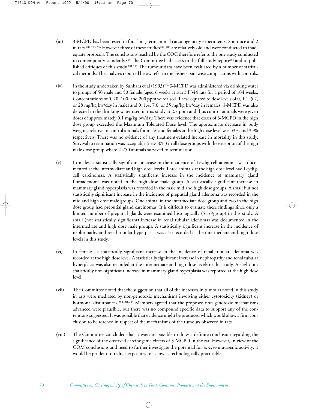- (iii) 3-MCPD has been tested in four long-term animal carcinogenicity experiments, 2 in mice and 2 in rats.<sup>282,283,284</sup> However three of these studies<sup>282, 283</sup> are relatively old and were conducted to inadequate protocols. The conclusions reached by the COC therefore refer to the one study conducted to contemporary standards.<sup>284</sup> The Committee had access to the full study report<sup>284</sup> and to published critiques of this study.281,282 The tumour data have been evaluated by a number of statistical methods. The analyses reported below refer to the Fishers pair-wise comparisons with controls.
- (iv) In the study undertaken by Sunhara et al (1993)284 3-MCPD was administered via drinking water to groups of 50 male and 50 female (aged 6 weeks at start) F344 rats for a period of 104 weeks. Concentrations of 0, 20, 100, and 200 ppm were used. These equated to dose levels of 0, 1.1, 5.2, or 28 mg/kg bw/day in males and 0, 1.4, 7.0, or 35 mg/kg bw/day in females. 3-MCPD was also detected in the drinking water used in this study at 2.7 ppm and thus control animals were given doses of approximately 0.1 mg/kg bw/day. There was evidence that doses of 3-MCPD in the high dose group exceeded the Maximum Tolerated Dose level. The approximate decrease in body weights, relative to control animals for males and females at the high dose level was 33% and 35% respectively. There was no evidence of any treatment-related increase in mortality in this study. Survival to termination was acceptable (i.e.>50%) in all dose groups with the exception of the high male dose group where 21/50 animals survived to termination.
- (v) In males, a statistically significant increase in the incidence of Leydig-cell adenoma was documented at the intermediate and high dose levels. Three animals at the high dose level had Leydigcell carcinomas. A statistically significant increase in the incidence of mammary gland fibroadenoma was noted in the high dose male group. A statistically significant increase in mammary gland hyperplasia was recorded in the male mid and high dose groups. A small but not statistically significant increase in the incidence of preputial gland adenoma was recorded in the mid and high dose male groups. One animal in the intermediate dose group and two in the high dose group had preputial gland carcinomas. It is difficult to evaluate these findings since only a limited number of preputial glands were examined histologically (5-16/group) in this study. A small (not statistically significant) increase in renal tubular adenomas was documented in the intermediate and high dose male groups. A statistically significant increase in the incidence of nephropathy and renal tubular hyperplasia was also recorded at the intermediate and high dose levels in this study.
- (vi) In females, a statistically significant increase in the incidence of renal tubular adenoma was recorded at the high dose level. A statistically significant increase in nephropathy and renal tubular hyperplasia was also recorded at the intermediate and high dose levels in this study. A slight but statistically non-significant increase in mammary gland hyperplasia was reported at the high dose level.
- (vii) The Committee noted that the suggestion that all of the increases in tumours noted in this study in rats were mediated by non-genotoxic mechanisms involving either cytotoxicity (kidney) or hormonal disturbances.<sup>280,281,284</sup> Members agreed that the proposed non-genotoxic mechanisms advanced were plausible, but there was no compound specific data to support any of the contentions suggested. It was possible that evidence might be produced which would allow a firm conclusion to be reached in respect of the mechanisms of the tumours observed in rats.
- (viii) The Committee concluded that it was not possible to draw a definite conclusion regarding the significance of the observed carcinogenic effects of 3-MCPD in the rat. However, in view of the COM conclusions and need to further investigate the potential for *in-vivo* mutagenic activity, it would be prudent to reduce exposures to as low as technologically practicable.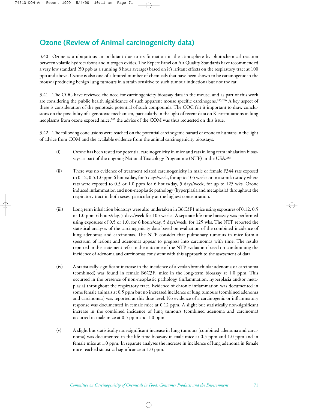# **Ozone (Review of Animal carcinogenicity data)**

3.40 Ozone is a ubiquitous air pollutant due to its formation in the atmosphere by photochemical reaction between volatile hydrocarbons and nitrogen oxides. The Expert Panel on Air Quality Standards have recommended a very low standard (50 ppb as a running 8 hour average) based on it's irritant effects on the respiratory tract at 100 ppb and above. Ozone is also one of a limited number of chemicals that have been shown to be carcinogenic in the mouse (producing benign lung tumours in a strain sensitive to such tumour induction) but not the rat.

3.41 The COC have reviewed the need for carcinogenicity bioassay data in the mouse, and as part of this work are considering the public health significance of such apparent mouse specific carcinogens.<sup>285,286</sup> A key aspect of these is consideration of the genotoxic potential of such compounds. The COC felt it important to draw conclusions on the possibility of a genotoxic mechanism, particularly in the light of recent data on K-*ras* mutations in lung neoplasms from ozone exposed mice;<sup>287</sup> the advice of the COM was thus requested on this issue.

3.42 The following conclusions were reached on the potential carcinogenic hazard of ozone to humans in the light of advice from COM and the available evidence from the animal carcinogenicity bioassays.

- (i) Ozone has been tested for potential carcinogenicity in mice and rats in long term inhalation bioassays as part of the ongoing National Toxicology Programme (NTP) in the USA.288
- (ii) There was no evidence of treatment related carcinogenicity in male or female F344 rats exposed to 0.12, 0.5.1.0 ppm 6 hours/day, for 5 days/week, for up to 105 weeks or in a similar study where rats were exposed to 0.5 or 1.0 ppm for 6 hours/day, 5 days/week, for up to 125 wks. Ozone induced inflammation and non-neoplastic pathology (hyperplasia and metaplasia) throughout the respiratory tract in both sexes, particularly at the highest concentration.
- (iii) Long term inhalation bioassays were also undertaken in B6C3F1 mice using exposures of 0.12, 0.5 or 1.0 ppm 6 hours/day, 5 days/week for 105 weeks. A separate life-time bioassay was performed using exposures of 0.5 or 1.0, for 6 hours/day, 5 days/week, for 125 wks. The NTP reported the statistical analyses of the carcinogenicity data based on evaluation of the combined incidence of lung adenomas and carcinomas. The NTP consider that pulmonary tumours in mice form a spectrum of lesions and adenomas appear to progress into carcinomas with time. The results reported in this statement refer to the outcome of the NTP evaluation based on combinining the incidence of adenoma and carcinomas consistent with this approach to the assessment of data.
- (iv) A statistically significant increase in the incidence of alveolar/bronchiolar adenoma or carcinoma (combined) was found in female  $B6C3F$ <sub>1</sub> mice in the long-term bioassay at 1.0 ppm. This occurred in the presence of non-neoplastic pathology (inflammation, hyperplasia and/or metaplasia) throughout the respiratory tract. Evidence of chronic inflammation was documented in some female animals at 0.5 ppm but no increased incidence of lung tumours (combined adenoma and carcinomas) was reported at this dose level. No evidence of a carcinogenic or inflammatory response was documented in female mice at 0.12 ppm. A slight but statistically non-significant increase in the combined incidence of lung tumours (combined adenoma and carcinoma) occurred in male mice at 0.5 ppm and 1.0 ppm.
- (v) A slight but statistically non-significant increase in lung tumours (combined adenoma and carcinoma) was documented in the life-time bioassay in male mice at 0.5 ppm and 1.0 ppm and in female mice at 1.0 ppm. In separate analyses the increase in incidence of lung adenoma in female mice reached statistical significance at 1.0 ppm.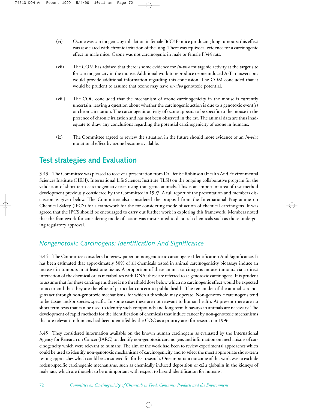- (vi) Ozone was carcinogenic by inhalation in female  $B6C3F<sup>1</sup>$  mice producing lung tumours; this effect was associated with chronic irritation of the lung. There was equivocal evidence for a carcinogenic effect in male mice. Ozone was not carcinogenic in male or female F344 rats.
- (vii) The COM has advised that there is some evidence for *in-vivo* mutagenic activity at the target site for carcinogenicity in the mouse. Additional work to reproduce ozone induced A-T transversions would provide additional information regarding this conclusion. The COM concluded that it would be prudent to assume that ozone may have *in-vivo* genotoxic potential.
- (viii) The COC concluded that the mechanism of ozone carcinogenicity in the mouse is currently uncertain, leaving a question about whether the carcinogenic action is due to a genotoxic event(s) or chronic irritation. The carcinogenic activity of ozone appears to be specific to the mouse in the presence of chronic irritation and has not been observed in the rat. The animal data are thus inadequate to draw any conclusions regarding the potential carcinogenicity of ozone in humans.
- (ix) The Committee agreed to review the situation in the future should more evidence of an *in-vivo* mutational effect by ozone become available.

# **Test strategies and Evaluation**

3.43 The Committee was pleased to receive a presentation from Dr Denise Robinson (Health And Environmental Sciences Institute (HESI), International Life Sciences Institute (ILSI) on the ongoing collaborative program for the validation of short-term carcinogenicity tests using transgenic animals. This is an important area of test method development previously considered by the Committee in 1997. A full report of the presentation and members discussion is given below. The Committee also considered the proposal from the International Programme on Chemical Safety (IPCS) for a framework for the for considering mode of action of chemical carcinogens. It was agreed that the IPCS should be encouraged to carry out further work in exploring this framework. Members noted that the framework for considering mode of action was most suited to data rich chemicals such as those undergoing regulatory approval.

## *Nongenotoxic Carcinogens: Identification And Significance*

3.44 The Committee considered a review paper on nongenotoxic carcinogens: Identification And Significance. It has been estimated that approximately 50% of all chemicals tested in animal carcinogenicity bioassays induce an increase in tumours in at least one tissue. A proportion of these animal carcinogens induce tumours via a direct interaction of the chemical or its metabolites with DNA; these are referred to as genotoxic carcinogens. It is prudent to assume that for these carcinogens there is no threshold dose below which no carcinogenic effect would be expected to occur and that they are therefore of particular concern to public health. The remainder of the animal carcinogens act through non-genotoxic mechanisms, for which a threshold may operate. Non-genotoxic carcinogens tend to be tissue and/or species specific. In some cases these are not relevant to human health. At present there are no short term tests that can be used to identify such compounds and long term bioassays in animals are necessary. The development of rapid methods for the identification of chemicals that induce cancer by non-genotoxic mechanisms that are relevant to humans had been idenitifed by the COC as a priority area for research in 1996.

3.45 They considered information available on the known human carcinogens as evaluated by the International Agency for Research on Cancer (IARC) to identify non-genotoxic carcinogens and information on mechanisms of carcinogencity which were relevant to humans. The aim of the work had been to review experimental approaches which could be used to identify non-genotoxic mechanisms of carcinogenicity and to select the most appropriate short-term testing approaches which could be considered for further research. One important outcome of this work was to exclude rodent-specific carcinogenic mechanisms, such as chemically induced deposition of  $\alpha$ 2u globulin in the kidneys of male rats, which are thought to be unimportant with respect to hazard identification for humans.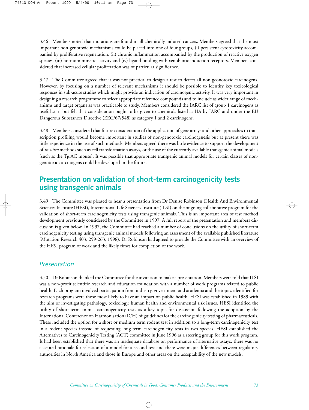3.46 Members noted that mutations are found in all chemically induced cancers. Members agreed that the most important non-genotoxic mechanisms could be placed into one of four groups, (i) persistent cytotoxicity accompanied by proliferative regeneration, (ii) chronic inflammation accompanied by the production of reactive oxygen species, (iii) hormomimmetic activity and (iv) ligand binding with xenobiotic induction receptors. Members considered that increased cellular proliferation was of particular significance.

3.47 The Committee agreed that it was not practical to design a test to detect all non-geonotoxic carcinogens. However, by focusing on a number of relevant mechanisms it should be possible to identify key toxicological responses in sub-acute studies which might provide an indication of carcinogenic activity. It was very important in designing a research programme to select appropriate reference compounds and to include as wider range of mechanisms and target organs as was practicable to study. Members considered the IARC list of group 1 carcinogens as useful start but felt that consideration ought to be given to chemicals listed as IIA by IARC and under the EU Dangerous Substances Directive (EEC/67/548) as category 1 and 2 carcinogens.

3.48 Members considered that future consideration of the application of gene arrays and other approaches to transcription profiling would become important in studies of non-genotoxic carcinogenesis but at present there was little experience in the use of such methods. Members agreed there was little evidence to support the development of *in-vitro* methods such as cell transformation assays, or the use of the currently available transgenic animal models (such as the Tg.AC mouse). It was possible that appropriate transgenic animal models for certain classes of nongenotoxic carcinogens could be developed in the future.

## **Presentation on validation of short-term carcinogenicity tests using transgenic animals**

3.49 The Committee was pleased to hear a presentation from Dr Denise Robinson (Health And Environmental Sciences Institute (HESI), International Life Sciences Institute (ILSI) on the ongoing collaborative program for the validation of short-term carcinogenicity tests using transgenic animals. This is an important area of test method development previously considered by the Committee in 1997. A full report of the presentation and members discussion is given below. In 1997, the Committee had reached a number of conclusions on the utility of short-term carcinogenicity testing using transgenic animal models following an assessment of the available published literature (Mutation Research 403, 259-263, 1998). Dr Robinson had agreed to provide the Committee with an overview of the HESI program of work and the likely times for completion of the work.

#### *Presentation*

3.50 Dr Robinson thanked the Committee for the invitation to make a presentation. Members were told that ILSI was a non-profit scientific research and education foundation with a number of work programs related to public health. Each program involved participation from industry, government and academia and the topics identified for research programs were those most likely to have an impact on public health. HESI was established in 1989 with the aim of investigating pathology, toxicology, human health and environmental risk issues. HESI identified the utility of short-term animal carcinogenicity tests as a key topic for discussion following the adoption by the International Conference on Harmonisation (ICH) of guidelines for the carcinogenicity testing of pharmaceuticals. These included the option for a short or medium term rodent test in addition to a long-term carcinogenicity test in a rodent species instead of requesting long-term carcinogenicity tests in two species. HESI established the Alternatives to Carcinogenicity Testing (ACT) committee in June 1996 as a steering group for this work program. It had been established that there was an inadequate database on performance of alternative assays, there was no accepted rationale for selection of a model for a second test and there were major differences between regulatory authorities in North America and those in Europe and other areas on the acceptability of the new models.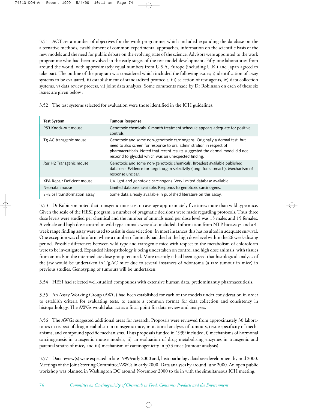3.51 ACT set a number of objectives for the work programme, which included expanding the database on the alternative methods, establishment of common experimental approaches, information on the scientific basis of the new models and the need for public debate on the evolving state of the science. Advisors were appointed to the work programme who had been involved in the early stages of the test model development. Fifty-one laboratories from around the world, with approximately equal numbers from U.S.A, Europe (including U.K.) and Japan agreed to take part. The outline of the program was considered which included the following issues; i) identification of assay systems to be evaluated, ii) establishment of standardised protocols, iii) selection of test agents, iv) data collection systems, v) data review process, vi) joint data analyses. Some comments made by Dr Robinson on each of these six issues are given below :

3.52 The test systems selected for evaluation were those identified in the ICH guidelines.

| <b>Test System</b>            | <b>Tumour Response</b>                                                                                                                                                                                                                                                                        |
|-------------------------------|-----------------------------------------------------------------------------------------------------------------------------------------------------------------------------------------------------------------------------------------------------------------------------------------------|
| P53 Knock-out mouse           | Genotoxic chemicals. 6 month treatment schedule appears adequate for positive<br>controls                                                                                                                                                                                                     |
| Tg.AC transgenic mouse        | Genotoxic and some non-genotoxic carcinogens. Originally a dermal test, but<br>need to also screen for response to oral administration in respect of<br>pharmaceuticals. Noted that recent results suggested the dermal model did not<br>respond to glycidol which was an unexpected finding. |
| Ras H2 Transgenic mouse       | Genotoxic and some non-genotoxic chemicals. Broadest available published<br>database. Evidence for target organ selectivity (lung, forestomach). Mechanism of<br>response unclear.                                                                                                            |
| XPA Repair Deficient mouse    | UV light and genotoxic carcinogens. Very limited database available.                                                                                                                                                                                                                          |
| Neonatal mouse                | Limited database available. Responds to genotoxic carcinogens.                                                                                                                                                                                                                                |
| SHE cell transformation assay | Some data already available in published literature on this assay.                                                                                                                                                                                                                            |

3.53 Dr Robinson noted that transgenic mice cost on average approximately five times more than wild type mice. Given the scale of the HESI program, a number of pragmatic decisions were made regarding protocols. Thus three dose levels were studied per chemical and the number of animals used per dose level was 15 males and 15 females. A vehicle and high dose control in wild type animals were also included. Information from NTP bioassays and a 4 week range finding assay were used to assist in dose selection. In most instances this has resulted in adequate survival. One exception was chloroform where a number of animals had died at the high dose level within the 26 week-dosing period. Possible differences between wild type and transgenic mice with respect to the metabolism of chloroform were to be investigated. Expanded histopathology is being undertaken on control and high dose animals, with tissues from animals in the intermediate dose group retained. More recently it had been agreed that histological analysis of the jaw would be undertaken in Tg.AC mice due to several instances of odontoma (a rare tumour in mice) in previous studies. Genotyping of tumours will be undertaken.

3.54 HESI had selected well-studied compounds with extensive human data, predominantly pharmaceuticals.

3.55 An Assay Working Group (AWG) had been established for each of the models under consideration in order to establish criteria for evaluating tests, to ensure a common format for data collection and consistency in histopathology. The AWGs would also act as a focal point for data review and analyses.

3.56 The AWGs suggested additional areas for research. Proposals were reviewed from approximately 30 laboratories in respect of drug metabolism in transgenic mice, mutational analyses of tumours, tissue specificity of mechanisms, and compound specific mechanisms. Thus proposals funded in 1999 included, i) mechanisms of hormonal carcinogenesis in transgenic mouse models, ii) an evaluation of drug metabolising enzymes in transgenic and parental strains of mice, and iii) mechanism of carcinogenicity in p53 mice (tumour analysis).

3.57 Data review(s) were expected in late 1999/early 2000 and, histopathology database development by mid 2000. Meetings of the Joint Steering Committee/AWGs in early 2000. Data analyses by around June 2000. An open public workshop was planned in Washington DC around November 2000 to tie in with the simultaneous ICH meeting.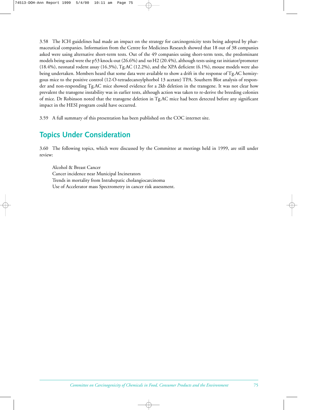3.58 The ICH guidelines had made an impact on the strategy for carcinogenicity tests being adopted by pharmaceutical companies. Information from the Centre for Medicines Research showed that 18 out of 38 companies asked were using alternative short-term tests. Out of the 49 companies using short-term tests, the predominant models being used were the p53 knock-out (26.6%) and *ras* H2 (20.4%), although tests using rat initiator/promoter (18.4%), neonatal rodent assay (16.3%), Tg.AC (12.2%), and the XPA deficient (6.1%), mouse models were also being undertaken. Members heard that some data were available to show a drift in the response of Tg.AC hemizygous mice to the positive control (12-O-tetradecanoylphorbol 13 acetate) TPA. Southern Blot analysis of responder and non-responding Tg.AC mice showed evidence for a 2kb deletion in the transgene. It was not clear how prevalent the transgene instability was in earlier tests, although action was taken to re-derive the breeding colonies of mice. Dr Robinson noted that the transgene deletion in Tg.AC mice had been detected before any significant impact in the HESI program could have occurred.

3.59 A full summary of this presentation has been published on the COC internet site.

## **Topics Under Consideration**

3.60 The following topics, which were discussed by the Committee at meetings held in 1999, are still under review:

Alcohol & Breast Cancer Cancer incidence near Municipal Incinerators Trends in mortality from Intrahepatic cholangiocarcinoma Use of Accelerator mass Spectrometry in cancer risk assessment.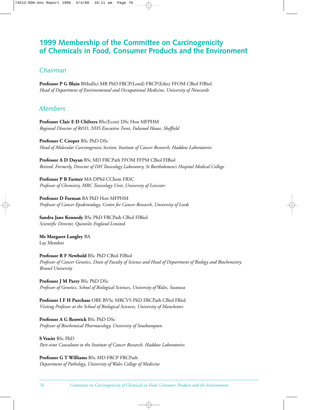## **1999 Membership of the Committee on Carcinogenicity of Chemicals in Food, Consumer Products and the Environment**

## *Chairman*

**Professor P G Blain** BMedSci MB PhD FRCP(Lond) FRCP(Edin) FFOM CBiol FIBiol *Head of Department of Environmental and Occupational Medicine, University of Newcastle*

### *Members*

**Professor Clair E D Chilvers** BSc(Econ) DSc Hon MFPHM *Regional Director of R&D, NHS Executive Trent, Fulwood House, Sheffield*

**Professor C Cooper** BSc PhD DSc *Head of Molecular Carcinogenesis Section, Institute of Cancer Research, Haddow Laboratories*

**Professor A D Dayan** BSc MD FRCPath FFOM FFPM CBiol FIBiol *Retired. Formerly, Director of DH Toxicology Laboratory, St Bartholomew's Hospital Medical College*

**Professor P B Farmer** MA DPhil CChem FRSC *Professor of Chemistry, MRC Toxicology Unit, University of Leicester*

**Professor D Forman** BA PhD Hon MFPHM *Professor of Cancer Epidemiology, Centre for Cancer Research, University of Leeds*

**Sandra Jane Kennedy** BSc PhD FRCPath CBiol FIBiol *Scientific Director, Quintiles England Limited.*

**Ms Margaret Langley** BA Lay Member

**Professor R F Newbold** BSc PhD CBiol FIBiol *Professor of Cancer Genetics, Dean of Faculty of Science and Head of Department of Biology and Biochemistry. Brunel University*

**Professor J M Parry** BSc PhD DSc *Professor of Genetics, School of Biological Sciences, University of Wales, Swansea*

**Professor I F H Purchase** OBE BVSc MRCVS PhD FRCPath CBiol FBiol *Visiting Professor at the School of Biological Sciences, University of Manchester.*

**Professor A G Renwick** BSc PhD DSc *Professor of Biochemical Pharmacology, University of Southampton*

**S Venitt** BSc PhD *Part-time Consultant to the Institute of Cancer Research, Haddow Laboratories*

**Professor G T Williams** BSc MD FRCP FRCPath *Department of Pathology, University of Wales College of Medicine*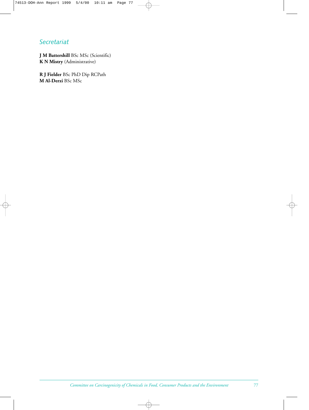## *Secretariat*

**J M Battershill** BSc MSc (Scientific) **K N Mistry** (Administrative)

**R J Fielder** BSc PhD Dip RCPath **M Al-Derzi** BSc MSc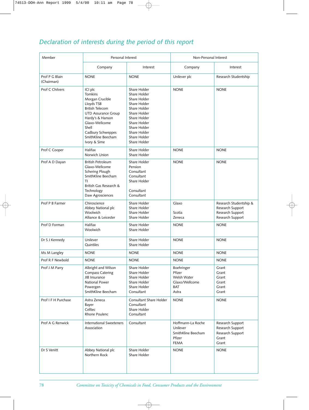# *Declaration of interests during the period of this report*

| Member                       |                                                                                                                                                                                                                              | Personal Interest                                                                                                                                                                            |                                                                              | Non-Personal Interest                                                              |  |
|------------------------------|------------------------------------------------------------------------------------------------------------------------------------------------------------------------------------------------------------------------------|----------------------------------------------------------------------------------------------------------------------------------------------------------------------------------------------|------------------------------------------------------------------------------|------------------------------------------------------------------------------------|--|
|                              | Company                                                                                                                                                                                                                      | Interest                                                                                                                                                                                     | Company                                                                      | Interest                                                                           |  |
| Prof P G Blain<br>(Chairman) | <b>NONE</b>                                                                                                                                                                                                                  | <b>NONE</b>                                                                                                                                                                                  | Unilever plc                                                                 | Research Studentship                                                               |  |
| Prof C Chilvers              | ICI plc<br><b>Tomkins</b><br>Morgan Crucible<br>Lloyds TSB<br><b>British Telecom</b><br><b>UTD Assurance Group</b><br>Hardy's & Hanson<br>Glaxo-Wellcome<br>Shell<br>Cadbury Schweppes<br>SmithKline Beecham<br>Ivory & Sime | Share Holder<br>Share Holder<br>Share Holder<br>Share Holder<br>Share Holder<br>Share Holder<br>Share Holder<br>Share Holder<br>Share Holder<br>Share Holder<br>Share Holder<br>Share Holder | <b>NONE</b>                                                                  | <b>NONE</b>                                                                        |  |
| Prof C Cooper                | Halifax<br>Norwich Union                                                                                                                                                                                                     | Share Holder<br>Share Holder                                                                                                                                                                 | <b>NONE</b>                                                                  | <b>NONE</b>                                                                        |  |
| Prof A D Dayan               | <b>British Petroleum</b><br>Glaxo-Wellcome<br>Schering Plough<br>SmithKline Beecham<br>TI<br>British Gas Research &<br>Technology<br>Daw Agrosciences                                                                        | Share Holder<br>Pension<br>Consultant<br>Consultant<br>Share Holder<br>Consultant<br>Consultant                                                                                              | <b>NONE</b>                                                                  | <b>NONE</b>                                                                        |  |
| Prof P B Farmer              | Chiroscience<br>Abbey National plc<br>Woolwich<br>Alliance & Leicester                                                                                                                                                       | Share Holder<br>Share Holder<br>Share Holder<br>Share Holder                                                                                                                                 | Glaxo<br>Scotia<br>Zeneca                                                    | Research Studentship &<br>Research Support<br>Research Support<br>Research Support |  |
| Prof D Forman                | Halifax<br>Woolwich                                                                                                                                                                                                          | Share Holder<br>Share Holder                                                                                                                                                                 | <b>NONE</b>                                                                  | <b>NONE</b>                                                                        |  |
| Dr S J Kennedy               | Unilever<br>Quintiles                                                                                                                                                                                                        | Share Holder<br>Share Holder                                                                                                                                                                 | <b>NONE</b>                                                                  | <b>NONE</b>                                                                        |  |
| Ms M Langley                 | <b>NONE</b>                                                                                                                                                                                                                  | <b>NONE</b>                                                                                                                                                                                  | <b>NONE</b>                                                                  | <b>NONE</b>                                                                        |  |
| Prof R F Newbold             | <b>NONE</b>                                                                                                                                                                                                                  | <b>NONE</b>                                                                                                                                                                                  | <b>NONE</b>                                                                  | <b>NONE</b>                                                                        |  |
| Prof J M Parry               | Albright and Wilson<br><b>Compass Catering</b><br>JIB Insurance<br>National Power<br>Powergen<br>SmithKline Beecham                                                                                                          | Share Holder<br>Share Holder<br>Share Holder<br>Share Holder<br>Share Holder<br>Consultant                                                                                                   | Boehringer<br>Pfizer<br>Welsh Water<br>Glaxo/Wellcome<br><b>BAT</b><br>Astra | Grant<br>Grant<br>Grant<br>Grant<br>Grant<br>Grant                                 |  |
| Prof I F H Purchase          | Astra Zeneca<br>Bayer<br>Celltec<br>Rhone Poulenc                                                                                                                                                                            | Consultant Share Holder<br>Consultant<br>Share Holder<br>Consultant                                                                                                                          | <b>NONE</b>                                                                  | <b>NONE</b>                                                                        |  |
| Prof A G Renwick             | International Sweeteners<br>Association                                                                                                                                                                                      | Consultant                                                                                                                                                                                   | Hoffmann-La Roche<br>Unilever<br>SmithKline Beecham<br>Pfizer<br><b>FEMA</b> | Research Support<br>Research Support<br>Research Support<br>Grant<br>Grant         |  |
| Dr S Venitt                  | Abbey National plc<br>Northern Rock                                                                                                                                                                                          | Share Holder<br>Share Holder                                                                                                                                                                 | <b>NONE</b>                                                                  | <b>NONE</b>                                                                        |  |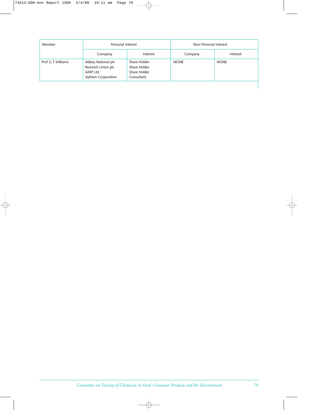| Member            | Personal Interest                                                        |                                                            | Non-Personal Interest |             |
|-------------------|--------------------------------------------------------------------------|------------------------------------------------------------|-----------------------|-------------|
|                   | Company                                                                  | Interest                                                   | Company               | Interest    |
| Prof G T Williams | Abbey National plc<br>Norwich Union plc<br>AMP Ltd<br>Aphton Corporation | Share Holder<br>Share Holder<br>Share Holder<br>Consultant | <b>NONE</b>           | <b>NONE</b> |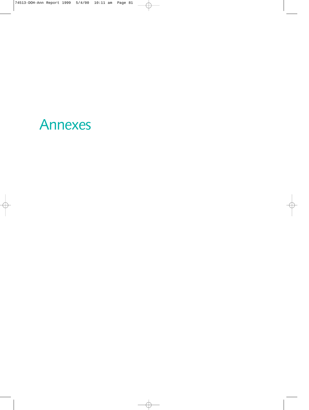# Annexes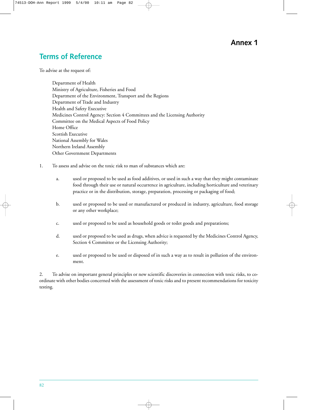## **Annex 1**

## **Terms of Reference**

To advise at the request of:

Department of Health Ministry of Agriculture, Fisheries and Food Department of the Environment, Transport and the Regions Department of Trade and Industry Health and Safety Executive Medicines Control Agency: Section 4 Committees and the Licensing Authority Committee on the Medical Aspects of Food Policy Home Office Scottish Executive National Assembly for Wales Northern Ireland Assembly Other Government Departments

- 1. To assess and advise on the toxic risk to man of substances which are:
	- a. used or proposed to be used as food additives, or used in such a way that they might contaminate food through their use or natural occurrence in agriculture, including horticulture and veterinary practice or in the distribution, storage, preparation, processing or packaging of food;
	- b. used or proposed to be used or manufactured or produced in industry, agriculture, food storage or any other workplace;
	- c. used or proposed to be used as household goods or toilet goods and preparations;
	- d. used or proposed to be used as drugs, when advice is requested by the Medicines Control Agency, Section 4 Committee or the Licensing Authority;
	- e. used or proposed to be used or disposed of in such a way as to result in pollution of the environment.

2. To advise on important general principles or new scientific discoveries in connection with toxic risks, to coordinate with other bodies concerned with the assessment of toxic risks and to present recommendations for toxicity testing.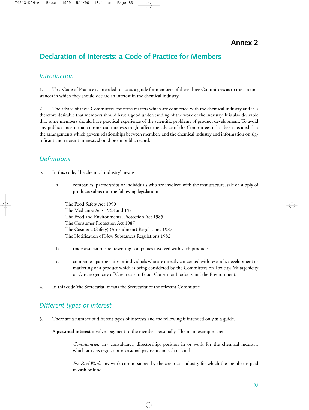**Annex 2**

# **Declaration of Interests: a Code of Practice for Members**

### *Introduction*

1. This Code of Practice is intended to act as a guide for members of these three Committees as to the circumstances in which they should declare an interest in the chemical industry.

2. The advice of these Committees concerns matters which are connected with the chemical industry and it is therefore desirable that members should have a good understanding of the work of the industry. It is also desirable that some members should have practical experience of the scientific problems of product development. To avoid any public concern that commercial interests might affect the advice of the Committees it has been decided that the arrangements which govern relationships between members and the chemical industry and information on significant and relevant interests should be on public record.

### *Definitions*

- 3. In this code, 'the chemical industry' means
	- a. companies, partnerships or individuals who are involved with the manufacture, sale or supply of products subject to the following legislation:

The Food Safety Act 1990 The Medicines Acts 1968 and 1971 The Food and Environmental Protection Act 1985 The Consumer Protection Act 1987 The Cosmetic (Safety) (Amendment) Regulations 1987 The Notification of New Substances Regulations 1982

- b. trade associations representing companies involved with such products,
- c. companies, partnerships or individuals who are directly concerned with research, development or marketing of a product which is being considered by the Committees on Toxicity, Mutagenicity or Carcinogenicity of Chemicals in Food, Consumer Products and the Environment.
- 4. In this code 'the Secretariat' means the Secretariat of the relevant Committee.

## *Different types of interest*

5. There are a number of different types of interests and the following is intended only as a guide.

A **personal interest** involves payment to the member personally. The main examples are:

*Consultancies:* any consultancy, directorship, position in or work for the chemical industry, which attracts regular or occasional payments in cash or kind.

*Fee-Paid Work:* any work commissioned by the chemical industry for which the member is paid in cash or kind.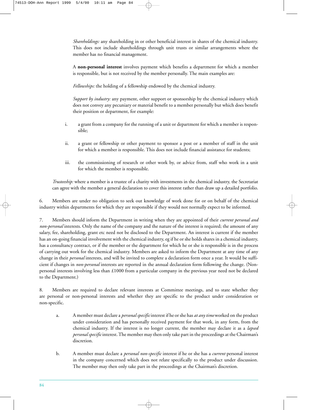*Shareholdings:* any shareholding in or other beneficial interest in shares of the chemical industry. This does not include shareholdings through unit trusts or similar arrangements where the member has no financial management.

A **non-personal interest** involves payment which benefits a department for which a member is responsible, but is not received by the member personally. The main examples are:

*Fellowships:* the holding of a fellowship endowed by the chemical industry.

*Support by industry:* any payment, other support or sponsorship by the chemical industry which does not convey any pecuniary or material benefit to a member personally but which does benefit their position or department, for example:

- i. a grant from a company for the running of a unit or department for which a member is responsible;
- ii. a grant or fellowship or other payment to sponsor a post or a member of staff in the unit for which a member is responsible. This does not include financial assistance for students;
- iii. the commissioning of research or other work by, or advice from, staff who work in a unit for which the member is responsible.

*Trusteeship:* where a member is a trustee of a charity with investments in the chemical industry, the Secretariat can agree with the member a general declaration to cover this interest rather than draw up a detailed portfolio.

6. Members are under no obligation to seek out knowledge of work done for or on behalf of the chemical industry within departments for which they are responsible if they would not normally expect to be informed.

7. Members should inform the Department in writing when they are appointed of their *current personal and non-personal* interests. Only the name of the company and the nature of the interest is required; the amount of any salary, fee, shareholding, grant etc need not be disclosed to the Department. An interest is current if the member has an on-going financial involvement with the chemical industry, eg if he or she holds shares in a chemical industry, has a consultancy contract, or if the member or the department for which he or she is responsible is in the process of carrying out work for the chemical industry. Members are asked to inform the Department at any time of any change in their *personal* interests, and will be invited to complete a declaration form once a year. It would be sufficient if changes in *non-personal* interests are reported in the annual declaration form following the change. (Nonpersonal interests involving less than £1000 from a particular company in the previous year need not be declared to the Department.)

8. Members are required to declare relevant interests at Committee meetings, and to state whether they are personal or non-personal interests and whether they are specific to the product under consideration or non-specific.

- a. A member must declare a *personal specific* interest if he or she has *at any time* worked on the product under consideration and has personally received payment for that work, in any form, from the chemical industry. If the interest is no longer current, the member may declare it as a *lapsed personal specific* interest. The member may then only take part in the proceedings at the Chairman's discretion.
- b. A member must declare a *personal non-specific* interest if he or she has a *current* personal interest in the company concerned which does not relate specifically to the product under discussion. The member may then only take part in the proceedings at the Chairman's discretion.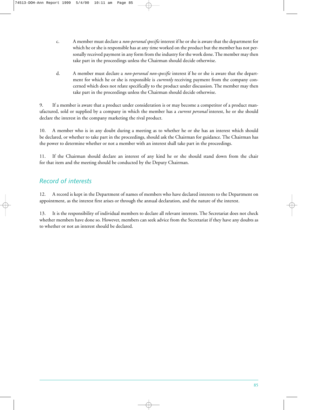- c. A member must declare a *non-personal specific* interest if he or she is aware that the department for which he or she is responsible has at any time worked on the product but the member has not personally received payment in any form from the industry for the work done. The member may then take part in the proceedings unless the Chairman should decide otherwise.
- d. A member must declare a *non-personal non-specific* interest if he or she is aware that the department for which he or she is responsible is *currently* receiving payment from the company concerned which does not relate specifically to the product under discussion. The member may then take part in the proceedings unless the Chairman should decide otherwise.

9. If a member is aware that a product under consideration is or may become a competitor of a product manufactured, sold or supplied by a company in which the member has a *current personal* interest, he or she should declare the interest in the company marketing the rival product.

10. A member who is in any doubt during a meeting as to whether he or she has an interest which should be declared, or whether to take part in the proceedings, should ask the Chairman for guidance. The Chairman has the power to determine whether or not a member with an interest shall take part in the proceedings.

11. If the Chairman should declare an interest of any kind he or she should stand down from the chair for that item and the meeting should be conducted by the Deputy Chairman.

### *Record of interests*

12. A record is kept in the Department of names of members who have declared interests to the Department on appointment, as the interest first arises or through the annual declaration, and the nature of the interest.

13. It is the responsibility of individual members to declare all relevant interests. The Secretariat does not check whether members have done so. However, members can seek advice from the Secretariat if they have any doubts as to whether or not an interest should be declared.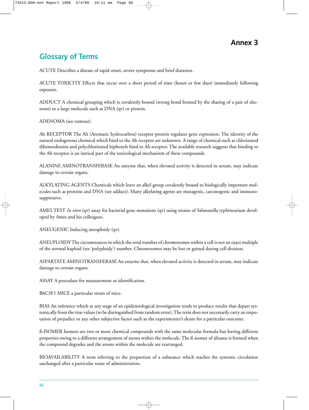# **Glossary of Terms**

ACUTE Describes a disease of rapid onset, severe symptoms and brief duration.

ACUTE TOXICITY Effects that occur over a short period of time (hours or few days) immediately following exposure.

ADDUCT A chemical grouping which is covalently bound (strong bond formed by the sharing of a pair of electrons) to a large molecule such as DNA (qv) or protein.

ADENOMA (see tumour).

Ah RECEPTOR The Ah (Aromatic hydrocarbon) receptor protein regulates gene expression. The identity of the natural endogenous chemical which bind to the Ah receptor are unknown. A range of chemical such as chlorinated dibenzodioxins and polychlorinated biphenyls bind to Ah receptor. The available research suggests that binding to the Ah receptor is an intrical part of the toxicological mechanism of these compounds.

ALANINE AMINOTRANSFERASE An enzyme that, when elevated activity is detected in serum, may indicate damage to certain organs.

ALKYLATING AGENTS Chemicals which leave an alkyl group covalently bound to biologically important molecules such as proteins and DNA (see adduct). Many alkylating agents are mutagenic, carcinogenic and immunosuppressive.

AMES TEST *In vitro* (qv) assay for bacterial gene mutations (qv) using strains of Salmonella typhimurium developed by Ames and his colleagues.

ANEUGENIC Inducing aneuploidy (qv).

ANEUPLOIDY The circumstances in which the total number of chromosomes within a cell is not an exact multiple of the normal haploid (see 'polyploidy') number. Chromosomes may be lost or gained during cell division.

ASPARTATE AMINOTRANSFERASE An enzyme that, when elevated activity is detected in serum, may indicate damage to certain organs.

ASSAY A procedure for measurement or identification.

B6C3F1 MICE a particular strain of mice.

BIAS An inference which at any stage of an epidemiological investigation tends to produce results that depart systemically from the true values (to be distinguished from random error). The term does not necessarily carry an imputation of prejudice or any other subjective factor such as the experimenter's desire for a particular outcome.

ß-ISOMER Isomers are two or more chemical compounds with the same molecular formula but having different properties owing to a different arrangement of atoms within the molecule. The ß-isomer of alitame is formed when the compound degrades and the atoms within the molecule are rearranged.

BIOAVAILABILITY A term referring to the proportion of a substance which reaches the systemic circulation unchanged after a particular route of administration.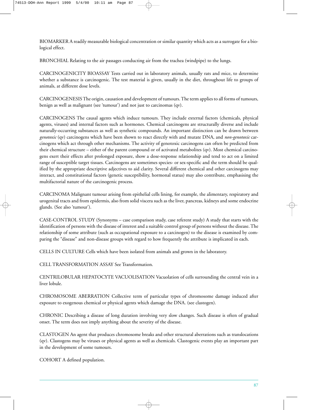BIOMARKER A readily measurable biological concentration or similar quantity which acts as a surrogate for a biological effect.

BRONCHIAL Relating to the air passages conducting air from the trachea (windpipe) to the lungs.

CARCINOGENICITY BIOASSAY Tests carried out in laboratory animals, usually rats and mice, to determine whether a substance is carcinogenic. The test material is given, usually in the diet, throughout life to groups of animals, at different dose levels.

CARCINOGENESIS The origin, causation and development of tumours. The term applies to all forms of tumours, benign as well as malignant (see 'tumour') and not just to carcinomas (qv).

CARCINOGENS The causal agents which induce tumours. They include external factors (chemicals, physical agents, viruses) and internal factors such as hormones. Chemical carcinogens are structurally diverse and include naturally-occurring substances as well as synthetic compounds. An important distinction can be drawn between *genotoxic* (qv) carcinogens which have been shown to react directly with and mutate DNA, and *non-genotoxic* carcinogens which act through other mechanisms. The activity of genotoxic carcinogens can often be predicted from their chemical structure – either of the parent compound or of activated metabolites (qv). Most chemical carcinogens exert their effects after prolonged exposure, show a dose-response relationship and tend to act on a limited range of susceptible target tissues. Carcinogens are sometimes species- or sex-specific and the term should be qualified by the appropriate descriptive adjectives to aid clarity. Several different chemical and other carcinogens may interact, and constitutional factors (genetic susceptibility, hormonal status) may also contribute, emphasising the multifactorial nature of the carcinogenic process.

CARCINOMA Malignant tumour arising from epithelial cells lining, for example, the alimentary, respiratory and urogenital tracts and from epidermis, also from solid viscera such as the liver, pancreas, kidneys and some endocrine glands. (See also 'tumour').

CASE-CONTROL STUDY (Synonyms – case comparison study, case referent study) A study that starts with the identification of persons with the disease of interest and a suitable control group of persons without the disease. The relationship of some attribute (such as occupational exposure to a carcinogen) to the disease is examined by comparing the "disease" and non-disease groups with regard to how frequently the attribute is implicated in each.

CELLS IN CULTURE Cells which have been isolated from animals and grown in the laboratory.

CELL TRANSFORMATION ASSAY See Transformation.

CENTRILOBULAR HEPATOCYTE VACUOLISATION Vacuolation of cells surrounding the central vein in a liver lobule.

CHROMOSOME ABERRATION Collective term of particular types of chromosome damage induced after exposure to exogenous chemical or physical agents which damage the DNA. (see clastogen).

CHRONIC Describing a disease of long duration involving very slow changes. Such disease is often of gradual onset. The term does not imply anything about the severity of the disease.

CLASTOGEN An agent that produces chromosome breaks and other structural aberrations such as translocations (qv). Clastogens may be viruses or physical agents as well as chemicals. Clastogenic events play an important part in the development of some tumours.

COHORT A defined population.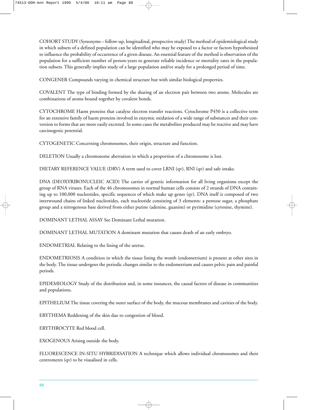COHORT STUDY (Synonyms – follow-up, longitudinal, prospective study) The method of epidemiological study in which subsets of a defined population can be identified who may be exposed to a factor or factors hypothesized to influence the probability of occurrence of a given disease. An essential feature of the method is observation of the population for a sufficient number of person-years to generate reliable incidence or mortality rates in the population subsets. This generally implies study of a large population and/or study for a prolonged period of time.

CONGENER Compounds varying in chemical structure but with similar biological properties.

COVALENT The type of binding formed by the sharing of an electron pair between two atoms. Molecules are combinations of atoms bound together by covalent bonds.

CYTOCHROME Haem proteins that catalyse electron transfer reactions. Cytochrome P450 is a collective term for an extensive family of haem proteins involved in enzymic oxidation of a wide range of substances and their conversion to forms that are more easily excreted. In some cases the metabolites produced may be reactive and may have carcinogenic potential.

CYTOGENETIC Concerning chromosomes, their origin, structure and function.

DELETION Usually a chromosome aberration in which a proportion of a chromosome is lost.

DIETARY REFERENCE VALUE (DRV) A term used to cover LRNI (qv), RNI (qv) and safe intake.

DNA (DEOXYRIBONUCLEIC ACID) The carrier of genetic information for all living organisms except the group of RNA viruses. Each of the 46 chromosomes in normal human cells consists of 2 strands of DNA containing up to 100,000 nucleotides, specific sequences of which make up genes (qv). DNA itself is composed of two interwound chains of linked nucleotides, each nucleotide consisting of 3 elements: a pentose sugar, a phosphate group and a nitrogenous base derived from either purine (adenine, guanine) or pyrimidine (cytosine, thymine).

DOMINANT LETHAL ASSAY See Dominant Lethal mutation.

DOMINANT LETHAL MUTATION A dominant mutation that causes death of an early embryo.

ENDOMETRIAL Relating to the lining of the uterus.

ENDOMETRIOSIS A condition in which the tissue lining the womb (endometrium) is present at other sites in the body. The tissue undergoes the periodic changes similar to the endometrium and causes pelvic pain and painful periods.

EPIDEMIOLOGY Study of the distribution and, in some instances, the causal factors of disease in communities and populations.

EPITHELIUM The tissue covering the outer surface of the body, the mucous membranes and cavities of the body.

ERYTHEMA Reddening of the skin due to congestion of blood.

ERYTHROCYTE Red blood cell.

EXOGENOUS Arising outside the body.

FLUORESCENCE IN-SITU HYBRIDISATION A technique which allows individual chromosomes and their centromeres (qv) to be visualised in cells.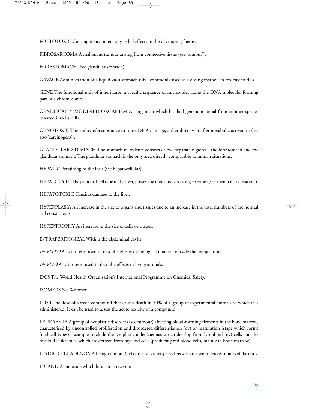FOETOTOXIC Causing toxic, potentially lethal effects to the developing foetus.

FIBROSARCOMA A malignant tumour arising from connective tissue (see 'tumour').

FORESTOMACH (See glandular stomach).

GAVAGE Administration of a liquid via a stomach tube, commonly used as a dosing method in toxicity studies.

GENE The functional unit of inheritance: a specific sequence of nucleotides along the DNA molecule, forming part of a chromosome.

GENETICALLY MODIFIED ORGANISM An organism which has had genetic material from another species inserted into its cells.

GENOTOXIC The ability of a substance to cause DNA damage, either directly or after metabolic activation (see also 'carcinogens').

GLANDULAR STOMACH The stomach in rodents consists of two separate regions – the forestomach and the glandular stomach. The glandular stomach is the only area directly comparable to human situations.

HEPATIC Pertaining to the liver (see hepatocellular).

HEPATOCYTE The principal cell type in the liver, possessing many metabolizing enzymes (see 'metabolic activation').

HEPATOTOXIC Causing damage to the liver.

HYPERPLASIA An increase in the size of organs and tissues due to an increase in the total numbers of the normal cell constituents.

HYPERTROPHY An increase in the size of cells or tissues.

INTRAPERITONEAL Within the abdominal cavity.

*IN VITRO* A Latin term used to describe effects in biological material outside the living animal.

*IN VIVO* A Latin term used to describe effects in living animals.

IPCS The World Health Organization's International Programme on Chemical Safety.

ISOMERS See ß-isomer.

LD50 The dose of a toxic compound that causes death in 50% of a group of experimental animals to which it is administered. It can be used to assess the acute toxicity of a compound.

LEUKAEMIA A group of neoplastic disorders (see tumour) affecting blood-forming elements in the bone marrow, characterised by uncontrolled proliferation and disordered differentiation (qv) or maturation (stage which forms final cell types). Examples include the lymphocytic leukaemias which develop from lymphoid (qv) cells and the myeloid leukaemias which are derived from myeloid cells (producing red blood cells, mainly in bone marrow).

LEYDIG CELL ADENOMA Benign tumour (qv) of the cells interspersed between the seminiferous tubules of the testis.

LIGAND A molecule which binds to a receptor.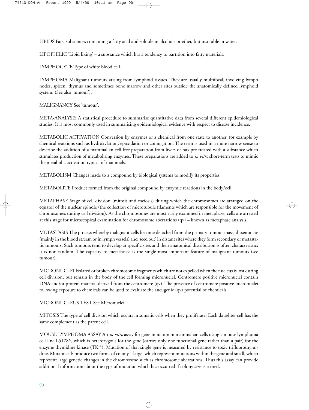LIPIDS Fats, substances containing a fatty acid and soluble in alcohols or ether, but insoluble in water.

LIPOPHILIC 'Lipid liking' – a substance which has a tendency to partition into fatty materials.

LYMPHOCYTE Type of white blood cell.

LYMPHOMA Malignant tumours arising from lymphoid tissues. They are usually multifocal, involving lymph nodes, spleen, thymus and sometimes bone marrow and other sites outside the anatomically defined lymphoid system. (See also 'tumour').

MALIGNANCY See 'tumour'.

META-ANALYSIS A statistical procedure to summarise quantitative data from several different epidemiological studies. It is most commonly used in summarising epidemiological evidence with respect to disease incidence.

METABOLIC ACTIVATION Conversion by enzymes of a chemical from one state to another, for example by chemical reactions such as hydroxylation, epoxidation or conjugation. The term is used in a more narrow sense to describe the addition of a mammalian cell free preparation from livers of rats pre-treated with a substance which stimulates production of metabolising enzymes. These preparations are added to *in vitro* short-term tests to mimic the metabolic activation typical of mammals.

METABOLISM Changes made to a compound by biological systems to modify its properties.

METABOLITE Product formed from the original compound by enzymic reactions in the body/cell.

METAPHASE Stage of cell division (mitosis and meiosis) during which the chromosomes are arranged on the equator of the nuclear spindle (the collection of microtubule filaments which are responsible for the movement of chromosomes during cell division). As the chromosomes are most easily examined in metaphase, cells are arrested at this stage for microscopical examination for chromosome aberrations (qv) – known as metaphase analysis.

METASTASIS The process whereby malignant cells become detached from the primary tumour mass, disseminate (mainly in the blood stream or in lymph vessels) and 'seed out' in distant sites where they form secondary or metastatic tumours. Such tumours tend to develop at specific sites and their anatomical distribution is often characteristic; it is non-random. The capacity to metastasise is the single most important feature of malignant tumours (see tumour).

MICRONUCLEI Isolated or broken chromosome fragments which are not expelled when the nucleus is lost during cell division, but remain in the body of the cell forming micronuclei. Centromere positive micronuclei contain DNA and/or protein material derived from the centromere (qv). The presence of centromere positive micronuclei following exposure to chemicals can be used to evaluate the aneugenic (qv) potential of chemicals.

MICRONUCLEUS TEST See Micronuclei.

MITOSIS The type of cell division which occurs in somatic cells when they proliferate. Each daughter cell has the same complement as the parent cell.

MOUSE LYMPHOMA ASSAY An *in vitro* assay for gene mutation in mammalian cells using a mouse lymphoma cell line L5178Y, which is heterozygous for the gene (carries only one functional gene rather than a pair) for the enzyme thymidine kinase (TK+/-). Mutation of that single gene is measured by resistance to toxic trifluorothymidine. Mutant cells produce two forms of colony – large, which represent mutations within the gene and small, which represent large genetic changes in the chromosome such as chromosome aberrations. Thus this assay can provide additional information about the type of mutation which has occurred if colony size is scored.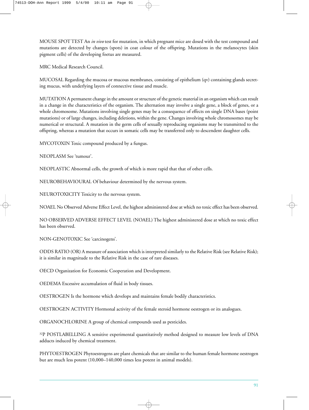MOUSE SPOT TEST An *in vivo* test for mutation, in which pregnant mice are dosed with the test compound and mutations are detected by changes (spots) in coat colour of the offspring. Mutations in the melanocytes (skin pigment cells) of the developing foetus are measured.

MRC Medical Research Council.

MUCOSAL Regarding the mucosa or mucous membranes, consisting of epithelium (qv) containing glands secreting mucus, with underlying layers of connective tissue and muscle.

MUTATION A permanent change in the amount or structure of the genetic material in an organism which can result in a change in the characteristics of the organism. The alternation may involve a single gene, a block of genes, or a whole chromosome. Mutations involving single genes may be a consequence of effects on single DNA bases (point mutations) or of large changes, including deletions, within the gene. Changes involving whole chromosomes may be numerical or structural. A mutation in the germ cells of sexually reproducing organisms may be transmitted to the offspring, whereas a mutation that occurs in somatic cells may be transferred only to descendent daughter cells.

MYCOTOXIN Toxic compound produced by a fungus.

NEOPLASM See 'tumour'.

NEOPLASTIC Abnormal cells, the growth of which is more rapid that that of other cells.

NEUROBEHAVIOURAL Of behaviour determined by the nervous system.

NEUROTOXICITY Toxicity to the nervous system.

NOAEL No Observed Adverse Effect Level, the highest administered dose at which no toxic effect has been observed.

NO OBSERVED ADVERSE EFFECT LEVEL (NOAEL) The highest administered dose at which no toxic effect has been observed.

NON-GENOTOXIC See 'carcinogens'.

ODDS RATIO (OR) A measure of association which is interpreted similarly to the Relative Risk (see Relative Risk); it is similar in magnitude to the Relative Risk in the case of rare diseases.

OECD Organization for Economic Cooperation and Development.

OEDEMA Excessive accumulation of fluid in body tissues.

OESTROGEN Is the hormone which develops and maintains female bodily characteristics.

OESTROGEN ACTIVITY Hormonal activity of the female steroid hormone oestrogen or its analogues.

ORGANOCHLORINE A group of chemical compounds used as pesticides.

32P POSTLABELLING A sensitive experimental quantitatively method designed to measure low levels of DNA adducts induced by chemical treatment.

PHYTOESTROGEN Phytoestrogens are plant chemicals that are similar to the human female hormone oestrogen but are much less potent (10,000–140,000 times less potent in animal models).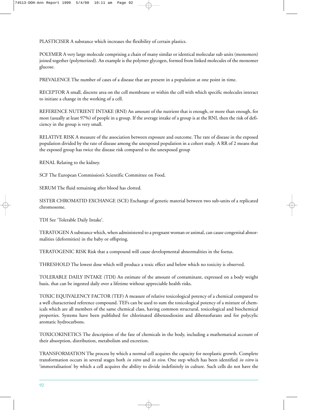PLASTICISER A substance which increases the flexibility of certain plastics.

POLYMER A very large molecule comprising a chain of many similar or identical molecular sub units (monomers) joined together (polymerized). An example is the polymer glycogen, formed from linked molecules of the monomer glucose.

PREVALENCE The number of cases of a disease that are present in a population at one point in time.

RECEPTOR A small, discrete area on the cell membrane or within the cell with which specific molecules interact to initiate a change in the working of a cell.

REFERENCE NUTRIENT INTAKE (RNI) An amount of the nutrient that is enough, or more than enough, for most (usually at least 97%) of people in a group. If the average intake of a group is at the RNI, then the risk of deficiency in the group is very small.

RELATIVE RISK A measure of the association between exposure and outcome. The rate of disease in the exposed population divided by the rate of disease among the unexposed population in a cohort study. A RR of 2 means that the exposed group has twice the disease risk compared to the unexposed group

RENAL Relating to the kidney.

SCF The European Commission's Scientific Committee on Food.

SERUM The fluid remaining after blood has clotted.

SISTER CHROMATID EXCHANGE (SCE) Exchange of genetic material between two sub-units of a replicated chromosome.

TDI See 'Tolerable Daily Intake'.

TERATOGEN A substance which, when administered to a pregnant woman or animal, can cause congenital abnormalities (deformities) in the baby or offspring.

TERATOGENIC RISK Risk that a compound will cause developmental abnormalities in the foetus.

THRESHOLD The lowest dose which will produce a toxic effect and below which no toxicity is observed.

TOLERABLE DAILY INTAKE (TDI) An estimate of the amount of contaminant, expressed on a body weight basis, that can be ingested daily over a lifetime without appreciable health risks.

TOXIC EQUIVALENCY FACTOR (TEF) A measure of relative toxicological potency of a chemical compared to a well characterised reference compound. TEFs can be used to sum the toxicological potency of a mixture of chemicals which are all members of the same chemical class, having common structural, toxicological and biochemical properties. Systems have been published for chlorinated dibenzodioxins and dibenzofurans and for polycylic aromatic hydrocarbons.

TOXICOKINETICS The description of the fate of chemicals in the body, including a mathematical account of their absorption, distribution, metabolism and excretion.

TRANSFORMATION The process by which a normal cell acquires the capacity for neoplastic growth. Complete transformation occurs in several stages both *in vitro* and *in vivo*. One step which has been identified *in vitro* is 'immortalisation' by which a cell acquires the ability to divide indefinitely in culture. Such cells do not have the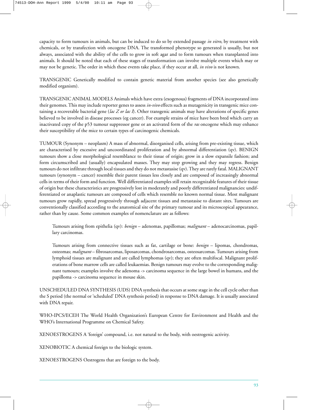capacity to form tumours in animals, but can be induced to do so by extended passage *in vitro*, by treatment with chemicals, or by transfection with oncogene DNA. The transformed phenotype so generated is usually, but not always, associated with the ability of the cells to grow in soft agar and to form tumours when transplanted into animals. It should be noted that each of these stages of transformation can involve multiple events which may or may not be genetic. The order in which these events take place, if they occur at all, *in vivo* is not known.

TRANSGENIC Genetically modified to contain genetic material from another species (see also genetically modified organism).

TRANSGENIC ANIMAL MODELS Animals which have extra (exogenous) fragments of DNA incorporated into their genomes. This may include reporter genes to assess *in-vivo* effects such as mutagenicity in transgenic mice containing a recoverable bacterial gene (*lac Z or lac I*). Other transgenic animals may have alterations of specific genes believed to be involved in disease processes (eg cancer). For example strains of mice have been bred which carry an inactivated copy of the p53 tumour suppressor gene or an activated form of the *ras* oncogene which may enhance their susceptibility of the mice to certain types of carcinogenic chemicals.

TUMOUR (Synonym – neoplasm) A mass of abnormal, disorganised cells, arising from pre-existing tissue, which are characterised by excessive and uncoordinated proliferation and by abnormal differentiation (qv). BENIGN tumours show a close morphological resemblance to their tissue of origin; grow in a slow expansile fashion; and form circumscribed and (usually) encapsulated masses. They may stop growing and they may regress. Benign tumours do not infiltrate through local tissues and they do not metastasise (qv). They are rarely fatal. MALIGNANT tumours (synonym – cancer) resemble their parent tissues less closely and are composed of increasingly abnormal cells in terms of their form and function. Well differentiated examples still retain recognizable features of their tissue of origin but these characteristics are progressively lost in moderately and poorly differentiated malignancies: undifferentiated or anaplastic tumours are composed of cells which resemble no known normal tissue. Most malignant tumours grow rapidly, spread progressively through adjacent tissues and metastasise to distant sites. Tumours are conventionally classified according to the anatomical site of the primary tumour and its microscopical appearance, rather than by cause. Some common examples of nomenclature are as follows:

Tumours arising from epithelia (qv): *benign* – adenomas, papillomas; *malignant* – adenocarcinomas, papillary carcinomas.

Tumours arising from connective tissues such as fat, cartilage or bone: *benign* – lipomas, chondromas, osteomas; *malignant* – fibrosarcomas, liposarcomas, chondrosarcomas, osteosarcomas. Tumours arising from lymphoid tissues are malignant and are called lymphomas (qv); they are often multifocal. Malignant proliferations of bone marrow cells are called leukaemias. Benign tumours may evolve to the corresponding malignant tumours; examples involve the adenoma -> carcinoma sequence in the large bowel in humans, and the papilloma -> carcinoma sequence in mouse skin.

UNSCHEDULED DNA SYNTHESIS (UDS) DNA synthesis that occurs at some stage in the cell cycle other than the S period (the normal or 'scheduled' DNA synthesis period) in response to DNA damage. It is usually associated with DNA repair.

WHO-IPCS/ECEH The World Health Organization's European Centre for Environment and Health and the WHO's International Programme on Chemical Safety.

XENOESTROGENS A 'foreign' compound, i.e. not natural to the body, with oestrogenic activity.

XENOBIOTIC A chemical foreign to the biologic system.

XENOESTROGENS Oestrogens that are foreign to the body.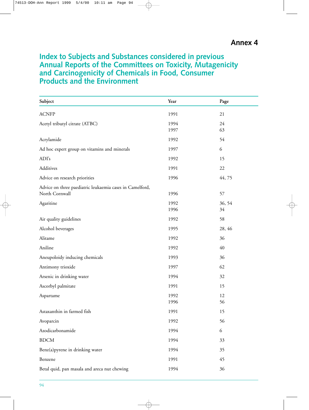## **Index to Subjects and Substances considered in previous Annual Reports of the Committees on Toxicity, Mutagenicity and Carcinogenicity of Chemicals in Food, Consumer Products and the Environment**

| Subject                                                                    | Year         | Page         |  |
|----------------------------------------------------------------------------|--------------|--------------|--|
| <b>ACNFP</b>                                                               | 1991         | 21           |  |
| Acetyl tributyl citrate (ATBC)                                             | 1994<br>1997 | 24<br>63     |  |
| Acrylamide                                                                 | 1992         | 54           |  |
| Ad hoc expert group on vitamins and minerals                               | 1997         | 6            |  |
| ADI's                                                                      | 1992         | 15           |  |
| Additives                                                                  | 1991         | 22           |  |
| Advice on research priorities                                              | 1996         | 44,75        |  |
| Advice on three paediatric leukaemia cases in Camelford,<br>North Cornwall | 1996         | 57           |  |
| Agaritine                                                                  | 1992<br>1996 | 36, 54<br>34 |  |
| Air quality guidelines                                                     | 1992         | 58           |  |
| Alcohol beverages                                                          | 1995         | 28, 46       |  |
| Alitame                                                                    | 1992         | 36           |  |
| Aniline                                                                    | 1992         | 40           |  |
| Aneupoloidy inducing chemicals                                             | 1993         | 36           |  |
| Antimony trioxide                                                          | 1997         | 62           |  |
| Arsenic in drinking water                                                  | 1994         | 32           |  |
| Ascorbyl palmitate                                                         | 1991         | 15           |  |
| Aspartame                                                                  | 1992<br>1996 | 12<br>56     |  |
| Astaxanthin in farmed fish                                                 | 1991         | 15           |  |
| Avoparcin                                                                  | 1992         | 56           |  |
| Azodicarbonamide                                                           | 1994         | 6            |  |
| <b>BDCM</b>                                                                | 1994         | 33           |  |
| Benz(a) pyrene in drinking water                                           | 1994         | 35           |  |
| Benzene                                                                    | 1991         | 45           |  |
| Betal quid, pan masala and areca nut chewing                               | 1994         | 36           |  |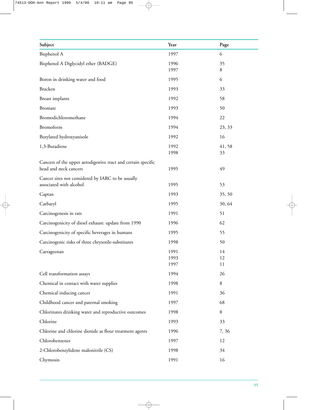| Subject                                                                                | Year                 | Page           |
|----------------------------------------------------------------------------------------|----------------------|----------------|
| Bisphenol A                                                                            | 1997                 | 6              |
| Bisphenol A Diglycidyl ether (BADGE)                                                   | 1996<br>1997         | 35<br>8        |
| Boron in drinking water and food                                                       | 1995                 | 6              |
| <b>Bracken</b>                                                                         | 1993                 | 33             |
| Breast implants                                                                        | 1992                 | 58             |
| <b>Bromate</b>                                                                         | 1993                 | 50             |
| Bromodichloromethane                                                                   | 1994                 | 22             |
| Bromoform                                                                              | 1994                 | 23, 33         |
| Butylated hydroxyanisole                                                               | 1992                 | 16             |
| 1,3-Butadiene                                                                          | 1992<br>1998         | 41,58<br>33    |
| Cancers of the upper aerodigestive tract and certain specific<br>head and neck cancers | 1995                 | 49             |
| Cancer sites not considered by IARC to be usually<br>associated with alcohol           | 1995                 | 53             |
| Captan                                                                                 | 1993                 | 35, 50         |
| Carbaryl                                                                               | 1995                 | 30, 64         |
| Carcinogenesis in rats                                                                 | 1991                 | 51             |
| Carcinogenicity of diesel exhaust: update from 1990                                    | 1996                 | 62             |
| Carcinogenicity of specific beverages in humans                                        | 1995                 | 55             |
| Carcinogenic risks of three chrysotile-substitutes                                     | 1998                 | 50             |
| Carrageenan                                                                            | 1991<br>1993<br>1997 | 14<br>12<br>11 |
| Cell transformation assays                                                             | 1994                 | 26             |
| Chemical in contact with water supplies                                                | 1998                 | 8              |
| Chemical inducing cancer                                                               | 1991                 | 36             |
| Childhood cancer and paternal smoking                                                  | 1997                 | 68             |
| Chlorinates drinking water and reproductive outcomes                                   | 1998                 | 8              |
| Chlorine                                                                               | 1993                 | 33             |
| Chlorine and chlorine dioxide as flour treatment agents                                | 1996                 | 7,36           |
| Chlorobenzenes                                                                         | 1997                 | 12             |
| 2-Chlorobenzylidene malonitrile (CS)                                                   | 1998                 | 34             |
| Chymosin                                                                               | 1991                 | 16             |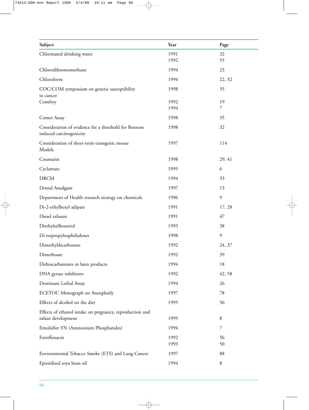| Subject                                                                          | Year         | Page           |
|----------------------------------------------------------------------------------|--------------|----------------|
| Chlorinated drinking water                                                       | 1991         | 32             |
|                                                                                  | 1992         | 55             |
| Chlorodibromomethane                                                             | 1994         | 23             |
| Chloroform                                                                       | 1994         | 22, 32         |
| COC/COM symposium on genetic susceptibility<br>to cancer                         | 1998         | 35             |
| Comfrey                                                                          | 1992<br>1994 | 19             |
|                                                                                  |              | $\overline{7}$ |
| Comet Assay                                                                      | 1998         | 35             |
| Consideration of evidence for a threshold for Benzene<br>induced carcinogenicity | 1998         | 32             |
| Consideration of short-term transgenic mouse<br>Models                           | 1997         | 114            |
| Coumarin                                                                         | 1998         | 29, 41         |
| Cyclamate                                                                        | 1995         | 6              |
| <b>DBCM</b>                                                                      | 1994         | 33             |
| Dental Amalgam                                                                   | 1997         | 13             |
| Department of Health research strategy on chemicals                              | 1996         | 9              |
| Di-2-ethylhexyl adipate                                                          | 1991         | 17, 28         |
| Diesel exhaust                                                                   | 1991         | 47             |
| Diethylstilboestrol                                                              | 1993         | 38             |
| Di-isopropylnaphthalenes                                                         | 1998         | 9              |
| Dimethyldicarbonate                                                              | 1992         | 24, 37         |
| Dimethoate                                                                       | 1992         | 39             |
| Dithiocarbamates in latex products                                               | 1994         | 18             |
| DNA gyrase inhibitors                                                            | 1992         | 42, 58         |
| Dominant Lethal Assay                                                            | 1994         | 26             |
| ECETOC Monograph on Aneuploidy                                                   | 1997         | 78             |
| Effects of alcohol on the diet                                                   | 1995         | 56             |
| Effects of ethanol intake on pregnancy, reproduction and<br>infant development   | 1995         | 8              |
| Emulsifier YN (Ammonium Phosphatides)                                            | 1994         | 7              |
| Enrofloxacin                                                                     | 1992         | 56             |
|                                                                                  | 1993         | 50             |
| Environmental Tobacco Smoke (ETS) and Lung Cancer                                | 1997         | 88             |
| Epoxidised soya bean oil                                                         | 1994         | 8              |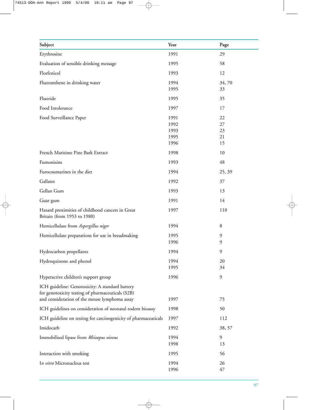| Subject                                                                                                                                               | Year                                 | Page                       |
|-------------------------------------------------------------------------------------------------------------------------------------------------------|--------------------------------------|----------------------------|
| Erythrosine                                                                                                                                           | 1991                                 | 29                         |
| Evaluation of sensible drinking message                                                                                                               | 1995                                 | 58                         |
| Florfenicol                                                                                                                                           | 1993                                 | 12                         |
| Fluoranthene in drinking water                                                                                                                        | 1994<br>1995                         | 34,70<br>33                |
| Fluoride                                                                                                                                              | 1995                                 | 35                         |
| Food Intolerance                                                                                                                                      | 1997                                 | 17                         |
| Food Surveillance Paper                                                                                                                               | 1991<br>1992<br>1993<br>1995<br>1996 | 22<br>27<br>23<br>21<br>15 |
| French Maritime Pine Bark Extract                                                                                                                     | 1998                                 | 10                         |
| Fumonisins                                                                                                                                            | 1993                                 | 48                         |
| Furocoumarines in the diet                                                                                                                            | 1994                                 | 25, 39                     |
| Gallates                                                                                                                                              | 1992                                 | 37                         |
| Gellan Gum                                                                                                                                            | 1993                                 | 13                         |
| Guar gum                                                                                                                                              | 1991                                 | 14                         |
| Hazard proximities of childhood cancers in Great<br>Britain (from 1953 to 1980)                                                                       | 1997                                 | 110                        |
| Hemicellulase from Aspergillus niger                                                                                                                  | 1994                                 | 8                          |
| Hemicellulase preparations for use in breadmaking                                                                                                     | 1995<br>1996                         | 9<br>9                     |
| Hydrocarbon propellants                                                                                                                               | 1994                                 | 9                          |
| Hydroquinone and phenol                                                                                                                               | 1994<br>1995                         | 20<br>34                   |
| Hyperactive children's support group                                                                                                                  | 1996                                 | 9                          |
| ICH guideline: Genotoxicity: A standard battery<br>for genotoxicity testing of pharmaceuticals (S2B)<br>and consideration of the mouse lymphoma assay | 1997                                 | 75                         |
| ICH guidelines on consideration of neonatal rodent bioassy                                                                                            | 1998                                 | 50                         |
| ICH guideline on testing for carcinogenicity of pharmaceaticals                                                                                       | 1997                                 | 112                        |
| Imidocarb                                                                                                                                             | 1992                                 | 38, 57                     |
| Immobilised lipase from Rhizopus niveus                                                                                                               | 1994<br>1998                         | 9<br>13                    |
| Interaction with smoking                                                                                                                              | 1995                                 | 56                         |
| In vitro Micronucleus test                                                                                                                            | 1994<br>1996                         | 26<br>47                   |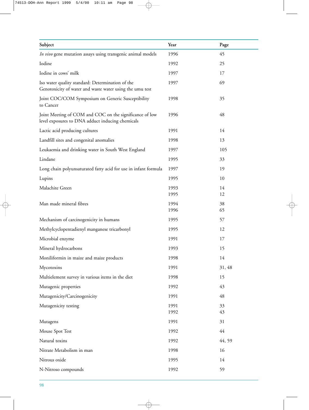| Subject                                                                                                      | Year         | Page     |
|--------------------------------------------------------------------------------------------------------------|--------------|----------|
| In vivo gene mutation assays using transgenic animal models                                                  | 1996         | 45       |
| Iodine                                                                                                       | 1992         | 25       |
| Iodine in cows' milk                                                                                         | 1997         | 17       |
| Iso water quality standard: Determination of the<br>Genotoxicity of water and waste water using the umu test | 1997         | 69       |
| Joint COC/COM Symposium on Generic Susceptibility<br>to Cancer                                               | 1998         | 35       |
| Joint Meeting of COM and COC on the significance of low<br>level exposures to DNA adduct inducing chemicals  | 1996         | 48       |
| Lactic acid producing cultures                                                                               | 1991         | 14       |
| Landfill sites and congenital anomalies                                                                      | 1998         | 13       |
| Leukaemia and drinking water in South West England                                                           | 1997         | 105      |
| Lindane                                                                                                      | 1995         | 33       |
| Long chain polyunsaturated fatty acid for use in infant formula                                              | 1997         | 19       |
| Lupins                                                                                                       | 1995         | 10       |
| Malachite Green                                                                                              | 1993<br>1995 | 14<br>12 |
| Man made mineral fibres                                                                                      | 1994<br>1996 | 38<br>65 |
| Mechanism of carcinogenicity in humans                                                                       | 1995         | 57       |
| Methylcyclopentadienyl manganese tricarbonyl                                                                 | 1995         | 12       |
| Microbial enzyme                                                                                             | 1991         | 17       |
| Mineral hydrocarbons                                                                                         | 1993         | 15       |
| Moniliformin in maize and maize products                                                                     | 1998         | 14       |
| Mycotoxins                                                                                                   | 1991         | 31, 48   |
| Multielement survey in various items in the diet                                                             | 1998         | 15       |
| Mutagenic properties                                                                                         | 1992         | 43       |
| Mutagenicity/Carcinogenicity                                                                                 | 1991         | 48       |
| Mutagenicity testing                                                                                         | 1991<br>1992 | 33<br>43 |
| Mutagens                                                                                                     | 1991         | 31       |
| Mouse Spot Test                                                                                              | 1992         | 44       |
| Natural toxins                                                                                               | 1992         | 44, 59   |
| Nitrate Metabolism in man                                                                                    | 1998         | 16       |
| Nitrous oxide                                                                                                | 1995         | 14       |
| N-Nitroso compounds                                                                                          | 1992         | 59       |
|                                                                                                              |              |          |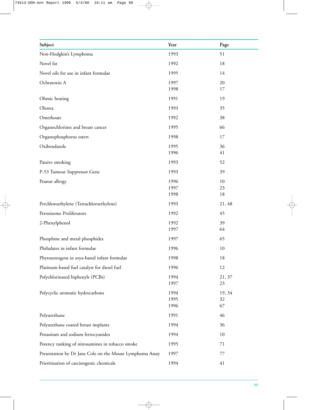| Subject                                                  | Year         | Page     |
|----------------------------------------------------------|--------------|----------|
| Non-Hodgkin's Lymphoma                                   | 1993         | 51       |
| Novel fat                                                | 1992         | 18       |
| Novel oils for use in infant formulae                    | 1995         | 14       |
| Ochratoxin A                                             | 1997         | 20       |
|                                                          | 1998         | 17       |
| Ohmic heating                                            | 1991         | 19       |
| Olestra                                                  | 1993         | 35       |
| Omethoate                                                | 1992         | 38       |
| Organochlorines and breast cancer                        | 1995         | 66       |
| Organophosphorus esters                                  | 1998         | 17       |
| Oxibendazole                                             | 1995         | 36       |
|                                                          | 1996         | 41       |
| Passive smoking                                          | 1993         | 52       |
| P-53 Tumour Suppressor Gene                              | 1993         | 39       |
| Peanut allergy                                           | 1996         | 10       |
|                                                          | 1997         | 23       |
|                                                          | 1998         | 18       |
| Perchloroethylene (Tetrachloroethylene)                  | 1993         | 21, 48   |
| Peroxisome Proliferators                                 | 1992         | 45       |
| 2-Phenylphenol                                           | 1992         | 39       |
|                                                          | 1997         | 64       |
| Phosphine and metal phosphides                           | 1997         | 65       |
| Phthalates in infant formulae                            | 1996         | 10       |
| Phytoestrogens in soya-based infant formulae             | 1998         | 18       |
| Platinum-based fuel catalyst for diesel fuel             | 1996         | 12       |
| Polychlorinated biphenyls (PCBs)                         | 1994         | 21, 37   |
|                                                          | 1997         | 23       |
| Polycyclic aromatic hydrocarbons                         | 1994         | 19, 34   |
|                                                          | 1995<br>1996 | 32<br>67 |
|                                                          |              |          |
| Polyurethane                                             | 1991         | 46       |
| Polyurethane coated breast implants                      | 1994         | 36       |
| Potassium and sodium ferrocyanides                       | 1994         | 10       |
| Potency ranking of nitrosamines in tobacco smoke         | 1995         | 71       |
| Presentation by Dr Jane Cole on the Mouse Lymphoma Assay | 1997         | 77       |
| Prioritisation of carcinogenic chemicals                 | 1994         | 41       |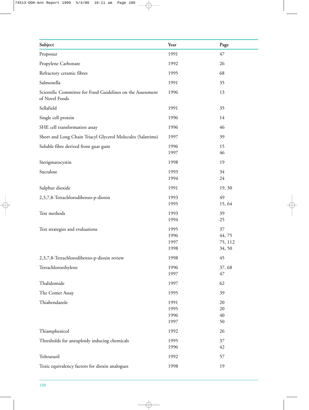| Subject                                                                      | Year | Page    |
|------------------------------------------------------------------------------|------|---------|
|                                                                              |      |         |
| Propoxur                                                                     | 1991 | 47      |
| Propylene Carbonate                                                          | 1992 | 26      |
| Refractory ceramic fibres                                                    | 1995 | 68      |
| Salmonella                                                                   | 1991 | 35      |
| Scientific Committee for Food Guidelines on the Assessment<br>of Novel Foods | 1996 | 13      |
| Sellafield                                                                   | 1991 | 35      |
| Single cell protein                                                          | 1996 | 14      |
| SHE cell transformation assay                                                | 1996 | 46      |
| Short and Long Chain Triacyl Glycerol Molecules (Salatrims)                  | 1997 | 39      |
| Soluble fibre derived from guar gum                                          | 1996 | 15      |
|                                                                              | 1997 | 46      |
| Sterigmatocystin                                                             | 1998 | 19      |
| Sucralose                                                                    | 1993 | 34      |
|                                                                              | 1994 | 24      |
| Sulphur dioxide                                                              | 1991 | 19, 30  |
| 2,3,7,8-Tetrachlorodibenzo-p-dioxin                                          | 1993 | 49      |
|                                                                              | 1995 | 15,64   |
| Test methods                                                                 | 1993 | 39      |
|                                                                              | 1994 | 25      |
| Test strategies and evaluations                                              | 1995 | 37      |
|                                                                              | 1996 | 44,75   |
|                                                                              | 1997 | 75, 112 |
|                                                                              | 1998 | 34,50   |
| 2,3,7,8-Tetrachlorodibenzo-p-dioxin review                                   | 1998 | 45      |
| Tetrachloroethylene                                                          | 1996 | 37,68   |
|                                                                              | 1997 | 47      |
| Thalidomide                                                                  | 1997 | 62      |
| The Comet Assay                                                              | 1995 | 39      |
| Thiabendazole                                                                | 1991 | 20      |
|                                                                              | 1995 | 20      |
|                                                                              | 1996 | 40      |
|                                                                              | 1997 | 50      |
| Thiamphenicol                                                                | 1992 | 26      |
| Thresholds for aneuploidy inducing chemicals                                 | 1995 | 37      |
|                                                                              | 1996 | 42      |
| Toltrazuril                                                                  | 1992 | 57      |
| Toxic equivalency factors for dioxin analogues                               | 1998 | 19      |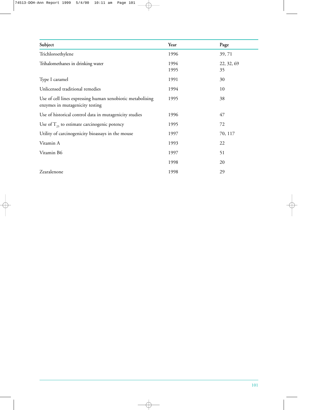| Subject                                                                                       | Year         | Page             |
|-----------------------------------------------------------------------------------------------|--------------|------------------|
| Trichloroethylene                                                                             | 1996         | 39,71            |
| Trihalomethanes in drinking water                                                             | 1994<br>1995 | 22, 32, 69<br>35 |
| Type I caramel                                                                                | 1991         | 30               |
| Unlicensed traditional remedies                                                               | 1994         | 10               |
| Use of cell lines expressing human xenobiotic metabolising<br>enzymes in mutagenicity testing | 1995         | 38               |
| Use of historical control data in mutagenicity studies                                        | 1996         | 47               |
| Use of $T_{25}$ to estimate carcinogenic potency                                              | 1995         | 72               |
| Utility of carcinogenicity bioassays in the mouse                                             | 1997         | 70, 117          |
| Vitamin A                                                                                     | 1993         | 22               |
| Vitamin B6                                                                                    | 1997         | 51               |
|                                                                                               | 1998         | 20               |
| Zearalenone                                                                                   | 1998         | 29               |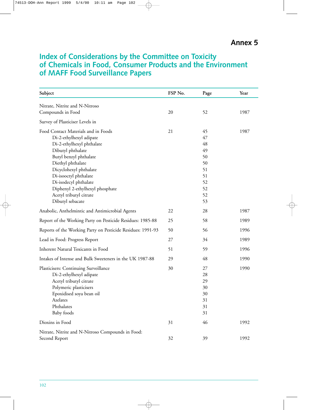## **Index of Considerations by the Committee on Toxicity of Chemicals in Food, Consumer Products and the Environment of MAFF Food Surveillance Papers**

| Subject                                                                                                                                                                                                                                                                                                                       | FSP No. | Page                                                                 | Year |
|-------------------------------------------------------------------------------------------------------------------------------------------------------------------------------------------------------------------------------------------------------------------------------------------------------------------------------|---------|----------------------------------------------------------------------|------|
| Nitrate, Nitrite and N-Nitroso                                                                                                                                                                                                                                                                                                |         |                                                                      |      |
| Compounds in Food                                                                                                                                                                                                                                                                                                             | 20      | 52                                                                   | 1987 |
| Survey of Plasticiser Levels in                                                                                                                                                                                                                                                                                               |         |                                                                      |      |
| Food Contact Materials and in Foods<br>Di-2-ethylhexyl adipate<br>Di-2-ethylhexyl phthalate<br>Dibutyl phthalate<br>Butyl benzyl phthalate<br>Diethyl phthalate<br>Dicyclohexyl phthalate<br>Di-isooctyl phthalate<br>Di-isodecyl phthalate<br>Diphenyl 2-ethylhexyl phosphate<br>Acetyl tributyl citrate<br>Dibutyl sebacate | 21      | 45<br>47<br>48<br>49<br>50<br>50<br>51<br>51<br>52<br>52<br>52<br>53 | 1987 |
| Anabolic, Anthelmintic and Antimicrobial Agents                                                                                                                                                                                                                                                                               | 22      | 28                                                                   | 1987 |
| Report of the Working Party on Pesticide Residues: 1985-88                                                                                                                                                                                                                                                                    | 25      | 58                                                                   | 1989 |
| Reports of the Working Party on Pesticide Residues: 1991-93                                                                                                                                                                                                                                                                   | 50      | 56                                                                   | 1996 |
| Lead in Food: Progress Report                                                                                                                                                                                                                                                                                                 | 27      | 34                                                                   | 1989 |
| <b>Inherent Natural Toxicants in Food</b>                                                                                                                                                                                                                                                                                     | 51      | 59                                                                   | 1996 |
| Intakes of Intense and Bulk Sweeteners in the UK 1987-88                                                                                                                                                                                                                                                                      | 29      | 48                                                                   | 1990 |
| Plasticisers: Continuing Surveillance<br>Di-2-ethylhexyl adipate<br>Acetyl tributyl citrate<br>Polymeric plasticisers<br>Epoxidised soya bean oil<br>Azelates<br>Phthalates<br><b>Baby</b> foods                                                                                                                              | 30      | 27<br>28<br>29<br>30<br>30<br>31<br>31<br>31                         | 1990 |
| Dioxins in Food                                                                                                                                                                                                                                                                                                               | 31      | 46                                                                   | 1992 |
| Nitrate, Nitrite and N-Nitroso Compounds in Food:<br>Second Report                                                                                                                                                                                                                                                            | 32      | 39                                                                   | 1992 |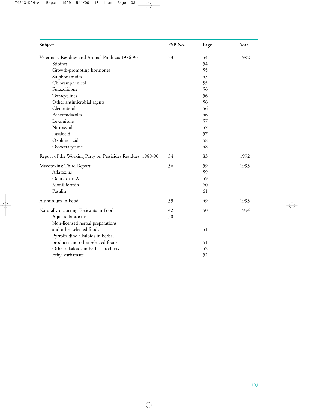| Subject                                                     | FSP No. | Page | Year |
|-------------------------------------------------------------|---------|------|------|
| Veterinary Residues and Animal Products 1986-90             | 33      | 54   | 1992 |
| Stibines                                                    |         | 54   |      |
| Growth-promoting hormones                                   |         | 55   |      |
| Sulphonamides                                               |         | 55   |      |
| Chloramphenicol                                             |         | 55   |      |
| Furazolidone                                                |         | 56   |      |
| Tetracyclines                                               |         | 56   |      |
| Other antimicrobial agents                                  |         | 56   |      |
| Clenbuterol                                                 |         | 56   |      |
| Benzimidazoles                                              |         | 56   |      |
| Levamisole                                                  |         | 57   |      |
| Nitroxynil                                                  |         | 57   |      |
| Lasalocid                                                   |         | 57   |      |
| Oxolinic acid                                               |         | 58   |      |
| Oxytetracycline                                             |         | 58   |      |
| Report of the Working Party on Pesticides Residues: 1988-90 | 34      | 83   | 1992 |
| Mycotoxins: Third Report                                    | 36      | 59   | 1993 |
| Aflatoxins                                                  |         | 59   |      |
| Ochratoxin A                                                |         | 59   |      |
| Moniliformin                                                |         | 60   |      |
| Patulin                                                     |         | 61   |      |
| Aluminium in Food                                           | 39      | 49   | 1993 |
| Naturally occurring Toxicants in Food                       | 42      | 50   | 1994 |
| Aquatic biotoxins                                           | 50      |      |      |
| Non-licensed herbal preparations                            |         |      |      |
| and other selected foods                                    |         | 51   |      |
| Pyrrolizidine alkaloids in herbal                           |         |      |      |
| products and other selected foods                           |         | 51   |      |
| Other alkaloids in herbal products                          |         | 52   |      |
| Ethyl carbamate                                             |         | 52   |      |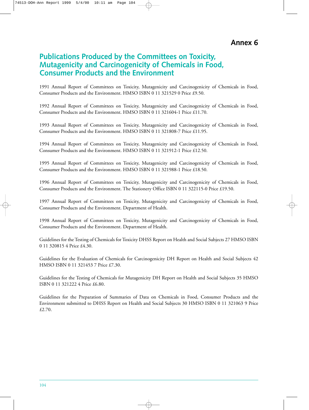**Annex 6**

### **Publications Produced by the Committees on Toxicity, Mutagenicity and Carcinogenicity of Chemicals in Food, Consumer Products and the Environment**

1991 Annual Report of Committees on Toxicity, Mutagenicity and Carcinogenicity of Chemicals in Food, Consumer Products and the Environment. HMSO ISBN 0 11 321529 0 Price £9.50.

1992 Annual Report of Committees on Toxicity, Mutagenicity and Carcinogenicity of Chemicals in Food, Consumer Products and the Environment. HMSO ISBN 0 11 321604-1 Price £11.70.

1993 Annual Report of Committees on Toxicity, Mutagenicity and Carcinogenicity of Chemicals in Food, Consumer Products and the Environment. HMSO ISBN 0 11 321808-7 Price £11.95.

1994 Annual Report of Committees on Toxicity, Mutagenicity and Carcinogenicity of Chemicals in Food, Consumer Products and the Environment. HMSO ISBN 0 11 321912-1 Price £12.50.

1995 Annual Report of Committees on Toxicity, Mutagenicity and Carcinogenicity of Chemicals in Food, Consumer Products and the Environment. HMSO ISBN 0 11 321988-1 Price £18.50.

1996 Annual Report of Committees on Toxicity, Mutagenicity and Carcinogenicity of Chemicals in Food, Consumer Products and the Environment. The Stationery Office ISBN 0 11 322115-0 Price £19.50.

1997 Annual Report of Committees on Toxicity, Mutagenicity and Carcinogenicity of Chemicals in Food, Consumer Products and the Environment. Department of Health.

1998 Annual Report of Committees on Toxicity, Mutagenicity and Carcinogenicity of Chemicals in Food, Consumer Products and the Environment. Department of Health.

Guidelines for the Testing of Chemicals for Toxicity DHSS Report on Health and Social Subjects 27 HMSO ISBN 0 11 320815 4 Price £4.30.

Guidelines for the Evaluation of Chemicals for Carcinogenicity DH Report on Health and Social Subjects 42 HMSO ISBN 0 11 321453 7 Price £7.30.

Guidelines for the Testing of Chemicals for Mutagenicity DH Report on Health and Social Subjects 35 HMSO ISBN 0 11 321222 4 Price £6.80.

Guidelines for the Preparation of Summaries of Data on Chemicals in Food, Consumer Products and the Environment submitted to DHSS Report on Health and Social Subjects 30 HMSO ISBN 0 11 321063 9 Price £2.70.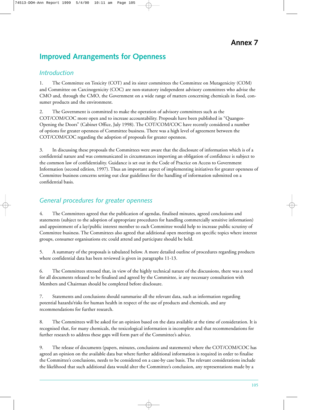# **Improved Arrangements for Openness**

### *Introduction*

1. The Committee on Toxicity (COT) and its sister committees the Committee on Mutagenicity (COM) and Committee on Carcinogenicity (COC) are non-statutory independent advisory committees who advise the CMO and, through the CMO, the Government on a wide range of matters concerning chemicals in food, consumer products and the environment.

2. The Government is committed to make the operation of advisory committees such as the COT/COM/COC more open and to increase accountability. Proposals have been published in "Quangos-Opening the Doors" (Cabinet Office, July 1998). The COT/COM/COC have recently considered a number of options for greater openness of Committee business. There was a high level of agreement between the COT/COM/COC regarding the adoption of proposals for greater openness.

3. In discussing these proposals the Committees were aware that the disclosure of information which is of a confidential nature and was communicated in circumstances importing an obligation of confidence is subject to the common law of confidentiality. Guidance is set out in the Code of Practice on Access to Government Information (second edition, 1997). Thus an important aspect of implementing initiatives for greater openness of Committee business concerns setting out clear guidelines for the handling of information submitted on a confidential basis.

### *General procedures for greater openness*

4. The Committees agreed that the publication of agendas, finalised minutes, agreed conclusions and statements (subject to the adoption of appropriate procedures for handling commercially sensitive information) and appointment of a lay/public interest member to each Committee would help to increase public scrutiny of Committee business. The Committees also agreed that additional open meetings on specific topics where interest groups, consumer organisations etc could attend and participate should be held.

5. A summary of the proposals is tabulated below. A more detailed outline of procedures regarding products where confidential data has been reviewed is given in paragraphs 11-13.

6. The Committees stressed that, in view of the highly technical nature of the discussions, there was a need for all documents released to be finalised and agreed by the Committee, ie any necessary consultation with Members and Chairman should be completed before disclosure.

7. Statements and conclusions should summarise all the relevant data, such as information regarding potential hazards/risks for human health in respect of the use of products and chemicals, and any recommendations for further research.

8. The Committees will be asked for an opinion based on the data available at the time of consideration. It is recognised that, for many chemicals, the toxicological information is incomplete and that recommendations for further research to address these gaps will form part of the Committee's advice.

9. The release of documents (papers, minutes, conclusions and statements) where the COT/COM/COC has agreed an opinion on the available data but where further additional information is required in order to finalise the Committee's conclusions, needs to be considered on a case-by case basis. The relevant considerations include the likelihood that such additional data would alter the Committee's conclusion, any representations made by a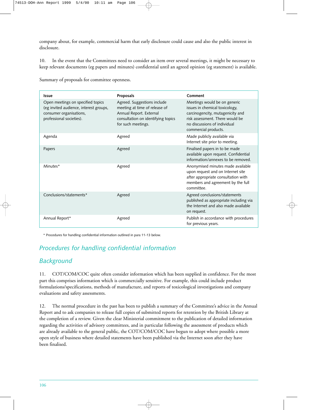company about, for example, commercial harm that early disclosure could cause and also the public interest in disclosure.

10. In the event that the Committees need to consider an item over several meetings, it might be necessary to keep relevant documents (eg papers and minutes) confidential until an agreed opinion (eg statement) is available.

|  |  | Summary of proposals for committee openness. |  |
|--|--|----------------------------------------------|--|
|  |  |                                              |  |

| <b>Issue</b>                                                                                                                       | Proposals                                                                                                                                           | Comment                                                                                                                                                                                       |
|------------------------------------------------------------------------------------------------------------------------------------|-----------------------------------------------------------------------------------------------------------------------------------------------------|-----------------------------------------------------------------------------------------------------------------------------------------------------------------------------------------------|
| Open meetings on specified topics<br>(eg invited audience, interest groups,<br>consumer organisations,<br>professional societies). | Agreed. Suggestions include<br>meeting at time of release of<br>Annual Report. External<br>consultation on identifying topics<br>for such meetings. | Meetings would be on generic<br>issues in chemical toxicology,<br>carcinogencity, mutagenicity and<br>risk assessment. There would be<br>no discussions of individual<br>commercial products. |
| Agenda                                                                                                                             | Agreed                                                                                                                                              | Made publicly available via<br>Internet site prior to meeting.                                                                                                                                |
| Papers                                                                                                                             | Agreed                                                                                                                                              | Finalised papers in to be made<br>available upon request. Confidential<br>information/annexes to be removed.                                                                                  |
| Minutes*                                                                                                                           | Agreed                                                                                                                                              | Anonymised minutes made available<br>upon request and on Internet site<br>after appropriate consultation with<br>members and agreement by the full<br>committee.                              |
| Conclusions/statements*                                                                                                            | Agreed                                                                                                                                              | Agreed conclusions/statements<br>published as appropriate including via<br>the Internet and also made available<br>on request.                                                                |
| Annual Report*                                                                                                                     | Agreed                                                                                                                                              | Publish in accordance with procedures<br>for previous years.                                                                                                                                  |

\* Procedures for handling confidential information outlined in para 11-13 below.

## *Procedures for handling confidential information*

### *Background*

11. COT/COM/COC quite often consider information which has been supplied in confidence. For the most part this comprises information which is commercially sensitive. For example, this could include product formulations/specifications, methods of manufacture, and reports of toxicological investigations and company evaluations and safety assessments.

12. The normal procedure in the past has been to publish a summary of the Committee's advice in the Annual Report and to ask companies to release full copies of submitted reports for retention by the British Library at the completion of a review. Given the clear Ministerial commitment to the publication of detailed information regarding the activities of advisory committees, and in particular following the assessment of products which are already available to the general public, the COT/COM/COC have begun to adopt where possible a more open style of business where detailed statements have been published via the Internet soon after they have been finalised.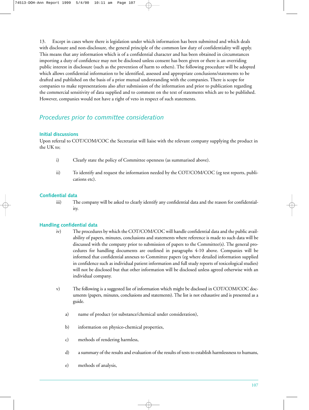13. Except in cases where there is legislation under which information has been submitted and which deals with disclosure and non-disclosure, the general principle of the common law duty of confidentiality will apply. This means that any information which is of a confidential character and has been obtained in circumstances importing a duty of confidence may not be disclosed unless consent has been given or there is an overriding public interest in disclosure (such as the prevention of harm to others). The following procedure will be adopted which allows confidential information to be identified, assessed and appropriate conclusions/statements to be drafted and published on the basis of a prior mutual understanding with the companies. There is scope for companies to make representations also after submission of the information and prior to publication regarding the commercial sensitivity of data supplied and to comment on the text of statements which are to be published. However, companies would not have a right of veto in respect of such statements.

### *Procedures prior to committee consideration*

#### **Initial discussions**

Upon referral to COT/COM/COC the Secretariat will liaise with the relevant company supplying the product in the UK to;

- i) Clearly state the policy of Committee openness (as summarised above).
- ii) To identify and request the information needed by the COT/COM/COC (eg test reports, publications etc).

#### **Confidential data**

iii) The company will be asked to clearly identify any confidential data and the reason for confidentiality.

#### **Handling confidential data**

- iv) The procedures by which the COT/COM/COC will handle confidential data and the public availability of papers, minutes, conclusions and statements where reference is made to such data will be discussed with the company prior to submission of papers to the Committee(s). The general procedures for handling documents are outlined in paragraphs 4-10 above. Companies will be informed that confidential annexes to Committee papers (eg where detailed information supplied in confidence such as individual patient information and full study reports of toxicological studies) will not be disclosed but that other information will be disclosed unless agreed otherwise with an individual company.
- v) The following is a suggested list of information which might be disclosed in COT/COM/COC documents (papers, minutes, conclusions and statements). The list is not exhaustive and is presented as a guide.
	- a) name of product (or substance/chemical under consideration),
	- b) information on physico-chemical properties,
	- c) methods of rendering harmless,
	- d) a summary of the results and evaluation of the results of tests to establish harmlessness to humans,
	- e) methods of analysis,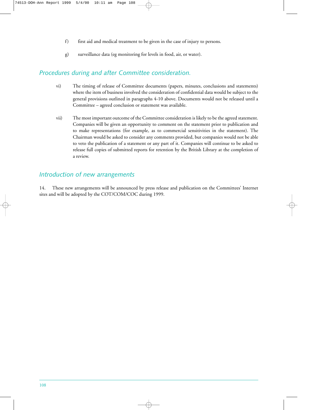- f) first aid and medical treatment to be given in the case of injury to persons.
- g) surveillance data (eg monitoring for levels in food, air, or water).

### *Procedures during and after Committee consideration.*

- vi) The timing of release of Committee documents (papers, minutes, conclusions and statements) where the item of business involved the consideration of confidential data would be subject to the general provisions outlined in paragraphs 4-10 above. Documents would not be released until a Committee – agreed conclusion or statement was available.
- vii) The most important outcome of the Committee consideration is likely to be the agreed statement. Companies will be given an opportunity to comment on the statement prior to publication and to make representations (for example, as to commercial sensitivities in the statement). The Chairman would be asked to consider any comments provided, but companies would not be able to veto the publication of a statement or any part of it. Companies will continue to be asked to release full copies of submitted reports for retention by the British Library at the completion of a review.

### *Introduction of new arrangements*

14. These new arrangements will be announced by press release and publication on the Committees' Internet sites and will be adopted by the COT/COM/COC during 1999.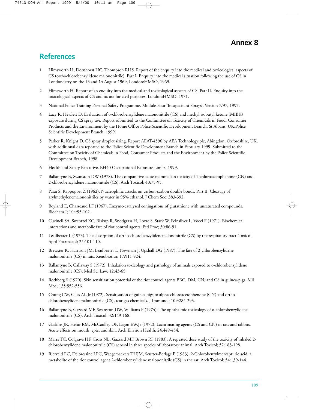## **References**

- 1 Himsworth H, Dornhorst HC, Thompson RHS. Report of the enquiry into the medical and toxicological aspects of CS (orthochlorobenzylidene malononitrile). Part I. Enquiry into the medical situation following the use of CS in Londonderry on the 13 and 14 August 1969, London:HMSO, 1969.
- 2 Himsworth H. Report of an enquiry into the medical and toxicological aspects of CS. Part II. Enquiry into the toxicological aspects of CS and its use for civil purposes, London:HMSO, 1971.
- 3 National Police Training Personal Safety Programme. Module Four 'Incapacitant Sprays', Version 7/97, 1997.
- 4 Lacy R, Hewlett D. Evaluation of o-chlorobenzylidene malononitrile (CS) and methyl isobutyl ketone (MIBK) exposure during CS spray use. Report submitted to the Committee on Toxicity of Chemicals in Food, Consumer Products and the Environment by the Home Office Police Scientific Development Branch, St Albans, UK:Police Scientific Development Branch, 1999.
- 5 Parker R, Knight D. CS spray droplet sizing. Report AEAT-4596 by AEA Technology plc, Abingdon, Oxfordshire, UK, with additional data reported to the Police Scientific Development Branch in February 1999. Submitted to the Committee on Toxicity of Chemicals in Food, Consumer Products and the Environment by the Police Scientific Development Branch, 1998.
- 6 Health and Safety Executive. EH40 Occupational Exposure Limits, 1999.
- 7 Ballantyne B, Swanston DW (1978). The comparative acute mammalian toxicity of 1-chloroacetophenone (CN) and 2-chlorobenzylidene malononitrile (CS). Arch Toxicol; 40:75-95.
- 8 Patai S, Rappoport Z (1962). Nucleophilic attacks on carbon-carbon double bonds. Part II. Cleavage of arylmethylenemalononitriles by water in 95% ethanol. J Chem Soc; 383-392.
- 9 Boyland E, Chasseaud LF (1967). Enzyme-catalysed conjugations of glutathione with unsaturated compounds. Biochem J; 104:95-102.
- 10 Cucinell SA, Swentzel KC, Biskup R, Snodgrass H, Lovre S, Stark W, Feinsilver L, Vocci F (1971). Biochemical interactions and metabolic fate of riot control agents. Fed Proc; 30:86-91.
- 11 Leadbeater L (1973). The absorption of ortho-chlorobenzylidenemalononitrile (CS) by the respiratory tract. Toxicol Appl Pharmacol; 25:101-110.
- 12 Brewster K, Harrison JM, Leadbeater L, Newman J, Upshall DG (1987). The fate of 2-chlorobenzylidene malononitrile (CS) in rats. Xenobiotica; 17:911-924.
- 13 Ballantyne B, Callaway S (1972). Inhalation toxicology and pathology of animals exposed to o-chlorobenzylidene malononitrile (CS). Med Sci Law; 12:43-65.
- 14 Rothberg S (1970). Skin sensitization potential of the riot control agents BBC, DM, CN, and CS in guinea-pigs. Mil Med; 135:552-556.
- 15 Chung CW, Giles AL,Jr (1972). Sensitisation of guinea pigs to alpha-chloroacetophenone (CN) and orthochlorobenzylidenemalononitrile (CS), tear gas chemicals. J Immunol; 109:284-293.
- 16 Ballantyne B, Gazzard MF, Swanston DW, Williams P (1974). The ophthalmic toxicology of o-chlorobenzylidene malononitrile (CS). Arch Toxicol; 32:149-168.
- 17 Gaskins JR, Hehir RM, McCaulley DF, Ligon EW,Jr (1972). Lachrimating agents (CS and CN) in rats and rabbits. Acute effects on mouth, eyes, and skin. Arch Environ Health; 24:449-454.
- 18 Marrs TC, Colgrave HF, Cross NL, Gazzard MF, Brown RF (1983). A repeated dose study of the toxicity of inhaled 2 chlorobenzylidene malononitrile (CS) aerosol in three species of laboratory animal. Arch Toxicol; 52:183-198.
- 19 Rietveld EC, Delbressine LPC, Waegemaekers THJM, Seutter-Berlage F (1983). 2-Chlorobenzylmercapturic acid, a metabolite of the riot control agent 2-chlorobenzylidene malononitrile (CS) in the rat. Arch Toxicol; 54:139-144.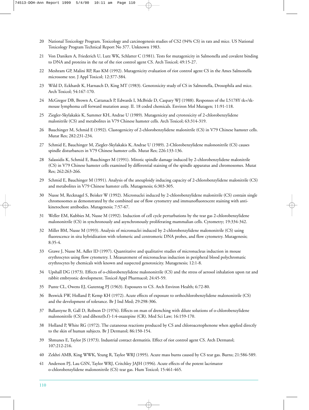- 20 National Toxicology Program. Toxicology and carcinogenesis studies of CS2 (94% CS) in rats and mice. US National Toxicology Program Technical Report No 377. Unknown 1983.
- 21 Von Daniken A, Friederich U, Lutz WK, Schlatter C (1981). Tests for mutagenicity in Salmonella and covalent binding to DNA and proteins in the rat of the riot control agent CS. Arch Toxicol; 49:15-27.
- 22 Meshram GP, Malini RP, Rao KM (1992). Mutagenicity evaluation of riot control agent CS in the Ames Salmonella microsome test. J Appl Toxicol; 12:377-384.
- 23 Wild D, Eckhardt K, Harnasch D, King MT (1983). Genotoxicity study of CS in Salmonella, Drosophila and mice. Arch Toxicol; 54:167-170.
- 24 McGregor DB, Brown A, Cattanach P, Edwards I, McBride D, Caspary WJ (1988). Responses of the L5178Y tk+/tkmouse lymphoma cell forward mutation assay. II. 18 coded chemicals. Environ Mol Mutagen; 11:91-118.
- 25 Ziegler-Skylakakis K, Summer KH, Andrae U (1989). Mutagenicity and cytotoxicity of 2-chlorobenzylidene malonitrile (CS) and metabolites in V79 Chinese hamster cells. Arch Toxicol; 63:314-319.
- 26 Bauchinger M, Schmid E (1992). Clastogenicity of 2-chlorobenzylidene malonitrile (CS) in V79 Chinese hamster cells. Mutat Res; 282:231-234.
- 27 Schmid E, Bauchinger M, Ziegler-Skylakakis K, Andrae U (1989). 2-Chlorobenzylidene malononitrile (CS) causes spindle disturbances in V79 Chinese hamster cells. Mutat Res; 226:133-136.
- 28 Salassidis K, Schmid E, Bauchinger M (1991). Mitotic spindle damage induced by 2-chlorobenzylidene malonitrile (CS) in V79 Chinese hamster cells examined by differential staining of the spindle apparatus and chromosomes. Mutat Res; 262:263-266.
- 29 Schmid E, Bauchinger M (1991). Analysis of the aneuploidy inducing capacity of 2-chlorobenzylidene malonitrile (CS) and metabolites in V79 Chinese hamster cells. Mutagenesis; 6:303-305.
- 30 Nusse M, Recknagel S, Beisker W (1992). Micronuclei induced by 2-chlorobenzylidene malonitrile (CS) contain single chromosomes as demonstrated by the combined use of flow cytometry and immunofluorescent staining with antikinetochore antibodies. Mutagenesis; 7:57-67.
- 31 Weller EM, Kubbies M, Nusse M (1992). Induction of cell cycle perturbations by the tear gas 2-chlorobenzylidene malononitrile (CS) in synchronously and asynchronously proliferating mammalian cells. Cytometry; 19:334-342.
- 32 Miller BM, Nusse M (1993). Analysis of micronuclei induced by 2-chlorobenzylidene malononitrile (CS) using fluorescence in situ hybridization with telomeric and centromeric DNA probes, and flow cytometry. Mutagenesis; 8:35-4.
- 33 Grawe J, Nusse M, Adler ID (1997). Quantitative and qualitative studies of micronucleus induction in mouse erythrocytes using flow cytometry. I. Measurement of micronucleus induction in peripheral blood polychromatic erythrocytes by chemicals with known and suspected genotoxicity. Mutagenesis; 12:1-8.
- 34 Upshall DG (1973). Effects of o-chlorobenzylidene malononitrile (CS) and the stress of aerosol inhalation upon rat and rabbit embryonic development. Toxicol Appl Pharmacol; 24:45-59.
- 35 Punte CL, Owens EJ, Gutentag PJ (1963). Exposures to CS. Arch Environ Health; 6:72-80.
- 36 Beswick FW, Holland P, Kemp KH (1972). Acute effects of exposure to orthochlorobenzylidene malononitrile (CS) and the development of tolerance. Br J Ind Med; 29:298-306.
- 37 Ballantyne B, Gall D, Robson D (1976). Effects on man of drenching with dilute solutions of o-chlorobenzylidene malononitrile (CS) and dibenz(b.f)-1:4-oxazepine (CR). Med Sci Law; 16:159-170.
- 38 Holland P, White RG (1972). The cutaneous reactions produced by CS and chloroacetophenone when applied directly to the skin of human subjects. Br J Dermatol; 86:150-154.
- 39 Shmunes E, Taylor JS (1973). Industrial contact dermatitis. Effect of riot control agent CS. Arch Dermatol; 107:212-216.
- 40 Zekhri AMB, King WWK, Yeung R, Taylor WRJ (1995). Acute mass burns caused by CS tear gas. Burns; 21:586-589.
- 41 Anderson PJ, Lau GSN, Taylor WRJ, Critchley JAJH (1996). Acute effects of the potent lacrimator o-chlorobenzylidene malononitrile (CS) tear gas. Hum Toxicol; 15:461-465.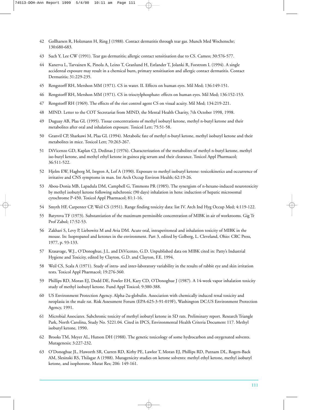- 42 Gollharsen R, Holzmann H, Ring J (1988). Contact dermatitis through tear gas. Munch Med Wochenschr; 130:680-683.
- 43 Such Y, Lee CW (1991). Tear gas dermatitis; allergic contact sensitisation due to CS. Cameo; 30:576-577.
- 44 Kanerva L, Tarvainen K, Pinola A, Leino T, Granlund H, Estlander T, Jolanki R, Forstrom L (1994). A single accidental exposure may result in a chemical burn, primary sensitisation and allergic contact dermatitis. Contact Dermatitis; 31:229-235.
- 45 Rengstorff RH, Mershon MM (1971). CS in water. II. Effects on human eyes. Mil Med; 136:149-151.
- 46 Rengstorff RH, Mershon MM (1971). CS in trioctylphosphate: effects on human eyes. Mil Med; 136:152-153.
- 47 Rengstorff RH (1969). The effects of the riot control agent CS on visual acuity. Mil Med; 134:219-221.
- 48 MIND. Letter to the COT Secretariat from MIND, the Mental Health Charity, 7th October 1998, 1998.
- 49 Duguay AB, Plaa GL (1995). Tissue concentrations of methyl isobutyl ketone, methyl n-butyl ketone and their metabolites after oral and inhalation exposure. Toxicol Lett; 75:51-58.
- 50 Granvil CP, Sharkawi M, Plaa GL (1994). Metabolic fate of methyl n-butyl ketone, methyl isobutyl ketone and their metabolites in mice. Toxicol Lett; 70:263-267.
- 51 DiVicenzo GD, Kaplan CJ, Dedinas J (1976). Characterization of the metabolites of methyl n-butyl ketone, methyl iso-butyl ketone, and methyl ethyl ketone in guinea pig serum and their clearance. Toxicol Appl Pharmacol; 36:511-522.
- 52 Hjelm EW, Hagberg M, Iregren A, Lof A (1990). Exposure to methyl isobutyl ketone: toxicokinetics and occurrence of irritative and CNS symptoms in man. Int Arch Occup Environ Health; 62:19-26.
- 53 Abou-Donia MB, Lapadula DM, Campbell G, Timmons PR (1985). The synergism of n-hexane-induced neurotoxicity by methyl isobutyl ketone following subchronic (90 days) inhalation in hens: induction of hepatic microsomal cytochrome P-450. Toxicol Appl Pharmacol; 81:1-16.
- 54 Smyth HF, Carpenter CP, Weil CS (1951). Range finding toxicity data: list IV. Arch Ind Hyg Occup Med; 4:119-122.
- 55 Batyrova TF (1973). Substantiation of the maximum permissible concentration of MIBK in air of workrooms. Gig Tr Prof Zabol; 17:52-53.
- 56 Zakhari S, Levy P, Liebowitz M and Avia DM. Acute oral, intraperitoneal and inhalation toxicity of MIBK in the mouse. In: Isopropanol and ketones in the environment. Part 3, edited by Golberg, L. Cleveland, Ohio: CRC Press, 1977, p. 93-133.
- 57 Krasavage, W.J., O'Donoghue, J.L. and DiVicenzo, G.D. Unpublished data on MIBK cited in: Patty's Industrial Hygiene and Toxicity, edited by Clayton, G.D. and Clayton, F.E. 1994.
- 58 Weil CS, Scala A (1971). Study of intra- and inter-laboratory variability in the results of rabbit eye and skin irritation tests. Toxicol Appl Pharmacol; 19:276-360.
- 59 Phillips RD, Moran EJ, Dodd DE, Fowler EH, Kary CD, O'Donoghue J (1987). A 14-week vapor inhalation toxicity study of methyl isobutyl ketone. Fund Appl Toxicol; 9:380-388.
- 60 US Environment Protection Agency. Alpha-2u-globulin. Association with chemically induced renal toxicity and neoplasia in the male rat. Risk Assessment Forum (EPA-625-3-91-019F), Washington DC:US Environment Protection Agency, 1991.
- 61 Microbial Associates. Subchronic toxicity of methyl isobutyl ketone in SD rats. Preliminary report. Research Triangle Park, North Carolina, Study No. 5221.04. Cited in IPCS, Environmental Health Criteria Document 117. Methyl isobutyl ketone, 1990.
- 62 Brooks TM, Meyer AL, Hutson DH (1988). The genetic toxicology of some hydrocarbon and oxygenated solvents. Mutagenesis; 3:227-232.
- 63 O'Donoghue JL, Haworth SR, Curren RD, Kirby PE, Lawlor T, Moran EJ, Phillips RD, Putnam DL, Rogers-Back AM, Slesinski RS, Thilagar A (1988). Mutagenicity studies on ketone solvents: methyl ethyl ketone, methyl isobutyl ketone, and isophorone. Mutat Res; 206: 149-161.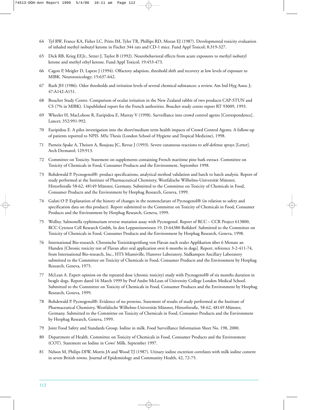- 64 Tyl RW, France KA, Fisher LC, Pritts IM, Tyler TR, Phillips RD, Moran EJ (1987). Developmental toxicity evaluation of inhaled methyl isobutyl ketone in Fischer 344 rats and CD-1 mice. Fund Appl Toxicol; 8:319-327.
- 65 Dick RB, Krieg EF,Jr., Setzer J, Taylor B (1992). Neurobehavioral effects from acute exposures to methyl isobutyl ketone and methyl ethyl ketone. Fund Appl Toxicol; 19:453-473.
- 66 Cagon P, Meigler D, Lapere J (1994). Olfactory adaption, threshold shift and recovery at low levels of exposure to MIBK. Neurotoxicology; 15:637-642.
- 67 Ruth JH (1986). Odor thresholds and irritation levels of several chemical substances: a review. Am Ind Hyg Assoc J; 47:A142-A151.
- 68 Bouchet Study Centre. Comparison of ocular irritation in the New Zealand rabbit of two products CAP-STUN and CS (7% in MIBK). Unpublished report for the French authorities. Bouchet study centre report RT 93009, 1993.
- 69 Wheeler H, MacLehose R, Euripidou E, Murray V (1998). Surveillance into crowd control agents [Correspondence]. Lancet; 352:991-992.
- 70 Euripidou E. A pilot investigation into the short/medium term health impacts of Crowd Control Agents. A follow-up of patients reported to NPIS. MSc Thesis (London School of Hygiene and Tropical Medicine), 1998.
- 71 Parneix-Spake A, Theisen A, Roujeau JC, Revuz J (1993). Severe cutaneous reactions to self-defense sprays [Letter]. Arch Dermatol; 129:913.
- 72 Committee on Toxicity. Statement on supplements containing French maritime pine bark extract. Committee on Toxicity of Chemicals in Food, Consumer Products and the Environment, September 1998.
- 73 Rohdewald P. Pycnogenol®: product specifications, analytical method validation and batch to batch analysis. Report of study performed at the Institute of Pharmaceutical Chemistry, Westfalische Wilhelms-Universität Münster, Hittorfstraße 58-62, 48149 Münster, Germany. Submitted to the Committee on Toxicity of Chemicals in Food, Consumer Products and the Environment by Horphag Research, Geneva, 1999.
- 74 Gulati O P. Explanation of the history of changes in the nomenclature of Pycnogenol® (in relation to safety and specification data on this product). Report submitted to the Committee on Toxicity of Chemicals in Food, Consumer Products and the Environment by Horphag Research, Geneva, 1999.
- 75 Wollny. Salmonella typhimurium reverse mutation assay with Pycnogenol. Report of RCC CCR Project 613800, RCC Cytotest Cell Research Gmbh, In den Leppsteinswiesen 19, D-64380 Roßdorf. Submitted to the Committee on Toxicity of Chemicals in Food, Consumer Products and the Environment by Horphag Research, Geneva, 1998.
- 76 International Bio-research. Chronische Toxizitätsprüfung von Flavan nach oraler Applikation über 6 Monate an Hunden [Chronic toxicity test of Flavan after oral application over 6 months in dogs]. Report, reference 3-2-411-74, from International Bio-research, Inc., HTS Miamiville, Hanover Laboratory, Südkampen Ancillary Laboratory submitted to the Committee on Toxicity of Chemicals in Food, Consumer Products and the Environment by Horphag Research, Geneva, 1975.
- 77 McLean A. Expert opinion on the repeated dose (chronic toxicity) study with Pycnogenol® of six months duration in beagle dogs. Report dated 16 March 1999 by Prof Andre McLean of University College London Medical School. Submitted to the Committee on Toxicity of Chemicals in Food, Consumer Products and the Environment by Horphag Research, Geneva, 1999.
- 78 Rohdewald P. Pycnogenol®: Evidence of no proteins. Statement of results of study performed at the Institute of Pharmaceutical Chemistry, Westfalische Wilhelms-Universität Münster, Hittorfstraße, 58-62, 48149 Münster, Germany. Submitted to the Committee on Toxicity of Chemicals in Food, Consumer Products and the Environment by Horphag Research, Geneva, 1999.
- 79 Joint Food Safety and Standards Group. Iodine in milk. Food Surveillance Information Sheet No. 198, 2000.
- 80 Department of Health. Committee on Toxicity of Chemicals in Food, Consumer Products and the Environment (COT). Statement on Iodine in Cows' Milk. September 1997.
- 81 Nelson M, Philips DIW, Morris JA and Wood TJ (1987). Urinary iodine excretion correlates with milk iodine content in seven British towns. Journal of Epidemiology and Community Health, 42, 72-75.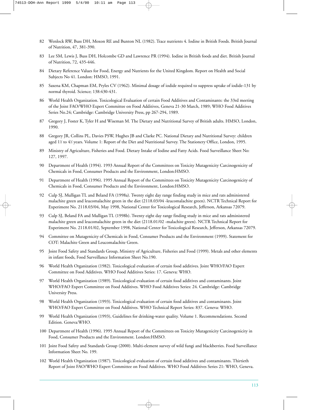- 82 Wenlock RW, Buss DH, Moxon RE and Bunton NL (1982). Trace nutrients 4. Iodine in British Foods. British Journal of Nutrition, 47, 381-390.
- 83 Lee SM, Lewis J, Buss DH, Holcombe GD and Lawrence PR (1994). Iodine in British foods and diet. British Journal of Nutrition, 72, 435-446.
- 84 Dietary Reference Values for Food, Energy and Nutrients for the United Kingdom. Report on Health and Social Subjects No 41. London: HMSO, 1991.
- 85 Saxena KM, Chapman EM, Pryles CV (1962). Minimal dosage of iodide required to suppress uptake of iodide-131 by normal thyroid. Science; 138:430-431.
- 86 World Health Organization. Toxicological Evaluation of certain Food Additives and Contaminants: the 33rd meeting of the Joint FAO/WHO Expert Committee on Food Additives, Geneva 21-30 March, 1989; WHO Food Additives Series No.24; Cambridge: Cambridge University Press, pp 267-294, 1989.
- 87 Gregory J, Foster K, Tyler H and Wiseman M. The Dietary and Nutritional Survey of British adults. HMSO, London, 1990.
- 88 Gregory JR, Collins PL, Davies PSW, Hughes JB and Clarke PC. National Dietary and Nutritional Survey: children aged 11 ⁄2 to 41 ⁄2 years. Volume 1: Report of the Diet and Nutritional Survey. The Stationery Office, London, 1995.
- 89 Ministry of Agriculture, Fisheries and Food. Dietary Intake of Iodine and Fatty Acids. Food Surveillance Sheet No: 127, 1997.
- 90 Department of Health (1994). 1993 Annual Report of the Committees on Toxicity Mutagenicity Carcinogenicity of Chemicals in Food, Consumer Products and the Environment, London:HMSO.
- 91 Department of Health (1996). 1995 Annual Report of the Committees on Toxicity Mutagenicity Carcinogenicity of Chemicals in Food, Consumer Products and the Environment, London:HMSO.
- 92 Culp SJ, Mulligan TL and Beland FA (1998a). Twenty eight day range finding study in mice and rats administered malachite green and leucomalachite green in the diet (2118.03/04 -leucomalachite green). NCTR Technical Report for Experiment No. 2118.03/04, May 1998, National Center for Toxicological Research, Jefferson, Arkansas 72079.
- 93 Culp SJ, Beland FA and Mulligan TL (1998b). Twenty eight day range finding study in mice and rats administered malachite green and leucomalachite green in the diet (2118.01/02 -malachite green). NCTR Technical Report for Experiment No. 2118.01/02, September 1998, National Center for Toxicological Research, Jefferson, Arkansas 72079.
- 94 Committee on Mutagenicity of Chemicals in Food, Consumer Products and the Environment (1999). Statement for COT: Malachite Green and Leucomalachite Green.
- 95 Joint Food Safety and Standards Group, Ministry of Agriculture, Fisheries and Food (1999). Metals and other elements in infant foods, Food Surveillance Information Sheet No.190.
- 96 World Health Organization (1982). Toxicological evaluation of certain food additives. Joint WHO/FAO Expert Committee on Food Additives. WHO Food Additives Series: 17. Geneva: WHO.
- 97 World Health Organization (1989). Toxicological evaluation of certain food additives and contaminants. Joint WHO/FAO Expert Committee on Food Additives. WHO Food Additives Series: 24. Cambridge: Cambridge University Press.
- 98 World Health Organization (1993). Toxicological evaluation of certain food additives and contaminants. Joint WHO/FAO Expert Committee on Food Additives. WHO Technical Report Series: 837. Geneva: WHO.
- 99 World Health Organization (1993), Guidelines for drinking-water quality. Volume 1. Recommendations. Second Edition. Geneva:WHO.
- 100 Department of Health (1996). 1995 Annual Report of the Committees on Toxicity Mutagenicity Carcinogenicity in Food, Consumer Products and the Environment. London:HMSO.
- 101 Joint Food Safety and Standards Group (2000). Multi-element survey of wild fungi and blackberries. Food Surveillance Information Sheet No. 199.
- 102 World Health Organization (1987). Toxicological evaluation of certain food additives and contaminants. Thirtieth Report of Joint FAO/WHO Expert Committee on Food Additives. WHO Food Additives Series 21: WHO, Geneva.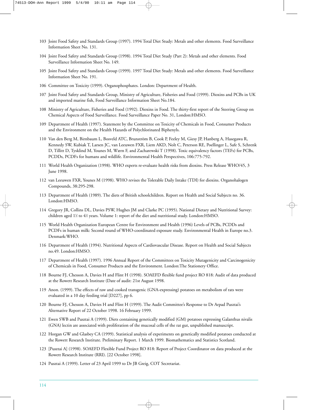- 103 Joint Food Safety and Standards Group (1997). 1994 Total Diet Study: Metals and other elements. Food Surveillance Information Sheet No. 131.
- 104 Joint Food Safety and Standards Group (1998). 1994 Total Diet Study (Part 2): Metals and other elements. Food Surveillance Information Sheet No. 149.
- 105 Joint Food Safety and Standards Group (1999). 1997 Total Diet Study: Metals and other elements. Food Surveillance Information Sheet No. 191.
- 106 Committee on Toxicity (1999). Organophosphates. London: Department of Health.
- 107 Joint Food Safety and Standards Group, Ministry of Agriculture, Fisheries and Food (1999). Dioxins and PCBs in UK and imported marine fish, Food Surveillance Information Sheet No.184.
- 108 Ministry of Agriculture, Fisheries and Food (1992). Dioxins in Food. The thirty-first report of the Steering Group on Chemical Aspects of Food Surveillance. Food Surveillance Paper No. 31, London:HMSO.
- 109 Department of Health (1997). Statement by the Committee on Toxicity of Chemicals in Food, Consumer Products and the Environment on the Health Hazards of Polychlorinated Biphenyls.
- 110 Van den Berg M, Birnbaum L, Bosveld ATC, Brunström B, Cook P, Feeley M, Giesy JP, Hanberg A, Hasegawa R, Kennedy SW, Kubiak T, Larsen JC, van Leeuwen FXR, Liem AKD, Nolt C, Peterson RE, Poellinger L, Safe S, Schrenk D, Tillitt D, Tysklind M, Younes M, Wærn F, and Zacharewski T (1998). Toxic equivalency factors (TEFs) for PCBs, PCDDs, PCDFs for humans and wildlife. Environmental Health Perspectives, 106:775-792.
- 111 World Health Organization (1998). WHO experts re-evaluate health risks from dioxins. Press Release WHO/45, 3 June 1998.
- 112 van Leeuwen FXR, Younes M (1998). WHO revises the Tolerable Daily Intake (TDI) for dioxins. Organohalogen Compounds, 38:295-298.
- 113 Department of Health (1989). The diets of British schoolchildren. Report on Health and Social Subjects no. 36. London:HMSO.
- 114 Gregory JR, Collins DL, Davies PSW, Hughes JM and Clarke PC (1995). National Dietary and Nutritional Survey: children aged 1½ to 4½ years. Volume 1: report of the diet and nutritional study. London:HMSO.
- 115 World Health Organization European Centre for Environment and Health (1996) Levels of PCBs, PCDDs and PCDFs in human milk: Second round of WHO-coordinated exposure study. Environmental Health in Europe no.3. Denmark:WHO.
- 116 Department of Health (1994). Nutritional Aspects of Cardiovascular Disease. Report on Health and Social Subjects no.49. London:HMSO.
- 117 Department of Health (1997). 1996 Annual Report of the Committees on Toxicity Mutagenicity and Carcinogenicity of Chemicals in Food, Consumer Products and the Environment. London:The Stationery Office.
- 118 Bourne FJ, Chesson A, Davies H and Flint H (1998). SOAEFD flexible fund project RO 818: Audit of data produced at the Rowett Research Institute (Date of audit: 21st August 1998.
- 119 Anon. (1999). The effects of raw and cooked transgenic (GNA-expressing) potatoes on metabolism of rats were evaluated in a 10 day feeding trial [D227], pp 6.
- 120 Bourne FJ, Chesson A, Davies H and Flint H (1999). The Audit Committee's Response to Dr Arpad Pusztai's Alternative Report of 22 October 1998. 16 February 1999.
- 121 Ewen SWB and Pusztai A (1999). Diets containing genetically modified (GM) potatoes expressing Galanthus nivalis (GNA) lectin are associated with proliferation of the mucosal cells of the rat gut, unpublished manuscript.
- 122 Horgan GW and Glasbey CA (1999). Statistical analysis of experiments on genetically modified potatoes conducted at the Rowett Research Institute. Preliminary Report. 1 March 1999. Biomathematics and Statistics Scotland.
- 123 [Pusztai A] (1998). SOAEFD Flexible Fund Project RO 818: Report of Project Coordinator on data produced at the Rowett Research Institute (RRI). [22 October 1998].
- 124 Pusztai A (1999). Letter of 23 April 1999 to Dr JB Greig, COT Secretariat.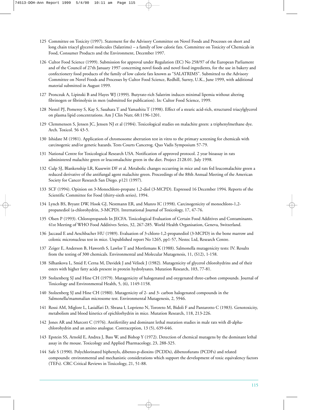- 125 Committee on Toxicity (1997). Statement for the Advisory Committee on Novel Foods and Processes on short and long chain triacyl glycerol molecules (Salatrims) – a family of low calorie fats. Committee on Toxicity of Chemicals in Food, Consumer Products and the Environment, December 1997.
- 126 Cultor Food Science (1999). Submission for approval under Regulation (EC) No 258/97 of the European Parliament and of the Council of 27th January 1997 concerning novel foods and novel food ingredients, for the use in bakery and confectionery food products of the family of low calorie fats known as "SALATRIMS". Submitted to the Advisory Committee on Novel Foods and Processes by Cultor Food Science, Redhill, Surrey, U.K., June 1999, with additional material submitted in August 1999.
- 127 Pronczuk A, Lipinski B and Hayes WJ (1999). Butyrate-rich Salatrim induces minimal lipemia without altering fibrinogen or fibrinolysis in men (submitted for publication). In: Cultor Food Science, 1999.
- 128 Nestel PJ, Pomeroy S, Kay S, Sasahara T and Yamashita T (1998). Effect of a stearic acid-rich, structured triacylglycerol on plasma lipid concentrations. Am J Clin Nutr, 68:1196-1201.
- 129 Clemmensen S, Jensen JC, Jensen NJ et al (1984). Toxicological studies on malachite green: a triphenylmethane dye. Arch. Toxicol. 56 43-5.
- 130 Ishidate M (1981). Application of chromosome aberration test in vitro to the primary screening for chemicals with carcinogenic and/or genetic hazards. Tests Courts Cancerog. Quo Vadis Symposium 57-79.
- 131 National Centre for Toxicological Research USA. Notification of approved protocol. 2 year bioassay in rats administered malachite green or leucomalachite green in the diet. Project 2128.01. July 1998.
- 132 Culp SJ, Blankenship LR, Kusewitt DF et al. Metabolic changes occurring in mice and rats fed leucomalachite green a reduced derivative of the antifungal agent malachite green. Proceedings of the 88th Annual Meeting of the American Society for Cancer Research San Diego. p121 (1997).
- 133 SCF (1994). Opinion on 3-Monochloro-propane 1,2-diol (3-MCPD). Expressed 16 December 1994. Reports of the Scientific Committee for Food (thirty-sixth series), 1994.
- 134 Lynch BS, Bryant DW, Hook GJ, Nestmann ER, and Munro IC (1998). Carcinogenicity of monochloro-1,2 propanediol (a-chlorohydrin, 3-MCPD). International Journal of Toxicology, 17, 47-76.
- 135 Olsen P (1993). Chloropropanols In JECFA. Toxicological Evaluation of Certain Food Additives and Contaminants. 41st Meeting of WHO Food Additives Series, 32, 267-285. World Health Organisation, Geneva, Switzerland.
- 136 Jaccaud E and Aeschbacher HU (1989). Evaluation of 3-chloro-1,2-propanediol (3-MCPD) in the bone marrow and colonic micronucleus test in mice. Unpublished report No 1265, pp1-57, Nestec Ltd, Research Centre.
- 137 Zeiger E, Anderson B, Haworth S, Lawlor T and Mortlemans K (1988). Salmonella mutagenicity tests: IV. Results from the testing of 300 chemicals. Environmental and Molecular Mutagenesis, 11, (S12), 1-158.
- 138 Silhankova L, Smid F, Cerna M, Davidek J and Velisek J (1982). Mutagenicity of glycerol chlorohydrins and of their esters with higher fatty acids present in protein hydrolysates. Mutation Research, 103, 77-81.
- 139 Stolzenberg SJ and Hine CH (1979). Mutagenicity of halogenated and oxygenated three-carbon compounds. Journal of Toxicology and Environmental Health, 5, (6), 1149-1158.
- 140 Stolzenberg SJ and Hine CH (1980). Mutagenicity of 2- and 3- carbon halogenated compounds in the Salmonella/mammalian microsome test. Environmental Mutagenesis, 2, 5946.
- 141 Rossi AM, Miglore L, Lasialfari D, Sbrana I, Loprieno N, Tororeto M, Bidoli F and Pantarotto C (1983). Genotoxicity, metabolism and blood kinetics of epichlorhydrin in mice. Mutation Research, 118, 213-226.
- 142 Jones AR and Murcott C (1976). Antifertility and dominant lethal mutation studies in male rats with dl-alphachlorohydrin and an amino analogue. Contraception, 13 (5), 639-646.
- 143 Epstein SS, Arnold E, Andrea J, Bass W, and Bishop Y (1972). Detection of chemical mutagens by the dominant lethal assay in the mouse. Toxicology and Applied Pharmacology, 23, 288-325.
- 144 Safe S (1990). Polychlorinated biphenyls, dibenzo-p-dioxins (PCDDs), dibenzofurans (PCDFs) and related compounds: environmental and mechanistic considerations which support the development of toxic equivalency factors (TEFs). CRC Critical Reviews in Toxicology, 21, 51-88.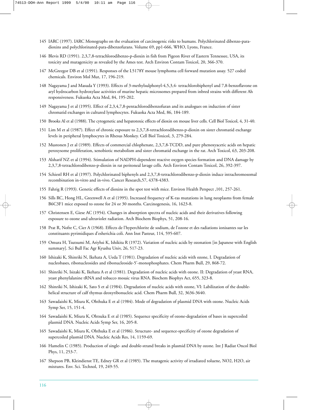- 145 IARC (1997). IARC Monographs on the evaluation of carcinogenic risks to humans. Polychlorinated dibenzo-paradioxins and polychlorinated-para-dibenzofurans. Volume 69, pp1-666, WHO, Lyons, France.
- 146 Blevis RD (1991). 2,3,7,8-tetrachlorodibenzo-p-dioxin in fish from Pigeon River of Eastern Tennessee, USA, its toxicity and mutagenicity as revealed by the Ames test. Arch Environ Contam Toxicol, 20, 366-370.
- 147 McGreegor DB et al (1991). Responses of the L5178Y mouse lymphoma cell forward mutation assay. 527 coded chemicals. Environ Mol Mut, 17, 196-219.
- 148 Nagayama J and Masuda Y (1993). Effects of 3-methylsulphonyl-4,5,3,4- tetrachlorobiphenyl and 7,8-benzoflavone on aryl hydrocarbon hydroxylase activities of murine hepatic microsomes prepared from inbred strains with different Ah responsiveness. Fukuoka Acta Med, 84, 195-202.
- 149 Nagayama J et al (1995). Effect of 2,3,4,7,8-pentachlorodibenzofuran and its analogues on induction of sister chromatid exchanges in cultured lymphocytes. Fukuoka Acta Med, 86, 184-189.
- 150 Brooks Al et al (1988). The cytogenetic and hepatotoxic effects of dioxin on mouse liver cells. Cell Biol Toxicol, 4, 31-40.
- 151 Lim M et al (1987). Effect of chronic exposure to 2,3,7,8-tetrachlorodibenzo-p-dioxin on sister chromatid exchange levels in peripheral lymphocytes in Rhesus Monkey. Cell Biol Toxicol, 3, 279-284.
- 152 Mustonen J et al (1989). Effects of commercial chlophenate, 2,3,7,8-TCDD, and pure phenoxyacetic acids on hepatic peroxysome proliferation, xenobiotic metabolism and sister chromatid exchange in the rat. Arch Toxicol, 63, 203-208.
- 153 Alsharif NZ et al (1994). Stimulation of NADPH-dependent reactive oxygen species formation and DNA damage by 2,3,7,8-tetrachlorodibenzo-p-dioxin in rat peritoneal lavage cells. Arch Environ Contam Toxicol, 26, 392-397.
- 154 Schiestl RH et al (1997). Polychlorinated biphenyls and 2,3,7,8-tetrachlorodibenzo-p-dioxin induce intrachromosomal recombination in-vitro and in-vivo. Cancer Research,57, 4378-4383.
- 155 Fahrig R (1993). Genetic effects of dioxins in the spot test with mice. Environ Health Perspect ,101, 257-261.
- 156 Sills RC, Hong HL, Greenwell A et al (1995). Increased frequency of K-ras mutations in lung neoplasms from female B6C3F1 mice exposed to ozone for 24 or 30 months. Carcinogenesis, 16, 1623-8.
- 157 Christensen E, Giese AC (1954). Changes in absorption spectra of nucleic acids and their derivatives following exposure to ozone and ultraviolet radiation. Arch Biochem Biophys, 51, 208-16.
- 158 Prat R, Nofre C, Cier A (1968). Effects de l'hyperchlorite de sodium, de l'ozone et des radiations ionisantes sur les constituants pyrimidiques d'esherichia coli. Ann Inst Pasteur, 114, 595-607.
- 159 Omura H, Tsutsumi M, Ariyhsi K, Ishikita R (1972). Variation of nucleic acids by ozonation [in Japanese with English summary]. Sci Bull Fac Agr Kyushu Univ, 26, 517-23.
- 160 Ishizaki K, Shinriki N, Ikehata A, Ueda T (1981). Degradation of nucleic acids with ozone, I. Degradation of nucleobases, ribonucleosides and ribonucleoside-5'-monophosphates. Chem Pharm Bull, 29, 868-72.
- 161 Shinriki N, Isizaki K, Ikehata A et al (1981). Degradation of nucleic acids with ozone. II: Degradation of yeast RNA, yeast phenylalanine tRNA and tobacco mosaic virus RNA. Biochem Biophys Act, 655, 323-8.
- 162 Shinriki N, Ishizaki K, Sato S et al (1984). Degradation of nucleic acids with ozone, VI: Labilization of the doublehelical structure of calf thymus deoxyribonucleic acid. Chem Pharm Bull, 32, 3636-3640.
- 163 Sawadaishi K, Miura K, Ohthuka E et al (1984). Mode of degradation of plasmid DNA with ozone. Nucleic Acids Symp Ser, 15, 151-4.
- 164 Sawadaishi K, Miura K, Ohtsuka E et al (1985). Sequence specificity of ozone-degradation of bases in supercoiled plasmid DNA. Nucleic Acids Symp Ser, 16, 205-8.
- 165 Sawadaishi K, Miura K, Ohthuka E et al (1986). Structure- and sequence-specificity of ozone degradation of supercoiled plasmid DNA. Nucleic Acids Res, 14, 1159-69.
- 166 Hamelin C (1985). Production of single- and double-strand breaks in plasmid DNA by ozone. Int J Radiat Oncol Biol Phys, 11, 253-7.
- 167 Shepson PB, Kleindienst TE, Edney GR et al (1985). The mutagenic activity of irradiated toluene, NO2, H2O, air mixtures. Env. Sci. Technol, 19, 249-55.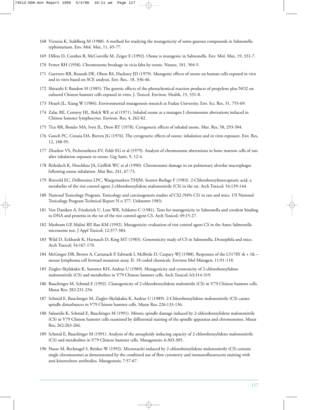- 168 Victoria K, Stahlberg M (1988). A method for studying the mutagenicity of some gaseous compounds in Salmonella typhimurium. Env. Mol. Mut, 11, 65-77.
- 169 Dillon D, Combes R, McConville M, Zeiger E (1992). Ozone is mutagenic in Salmonella. Env. Mol. Mut, 19, 331-7.
- 170 Fetner RH (1958). Chromosome breakage in vicia faba by ozone. Nature, 181, 504-5.
- 171 Guerrero RR, Rounds DE, Olson RS, Hackney JD (1979). Mutagenic effects of ozone on human cells exposed in vivo and in vitro based on SCE analysis. Env. Res,. 18, 336-46.
- 172 Shiraishi F, Bandow H (1985). The genetic effects of the photochemical reaction products of propylene plus NO2 on cultured Chinese hamster cells exposed in vitro. J. Toxicol. Environ. Health, 15, 531-8.
- 173 Hsueh JL, Xiang W (1984). Environmental mutagenesis research at Fudan University. Env. Sci. Res, 31, 755-69.
- 174 Zalac RE, Comroy HL, Bolch WE et al (1971). Inhaled ozone as a mutagen I chromosome aberrations induced in Chinese hamster lymphocytes. Environ. Res, 4, 262-82.
- 175 Tice RR, Bender MA, Ivett JL, Drew RT (1978). Cytogenetic effects of inhaled ozone. Mut. Res, 58, 293-304.
- 176 Gooch PC, Creasia DA, Breven JG (1976). The cytogenetic effects of ozone: inhalation and in vitro exposure. Env. Res, 12, 188-95.
- 177 Zhurkov VS, Pechennikova EV, Feldt EG et al (1979). Analysis of chromosome aberrations in bone marrow cells of rats after inhalation exposure to ozone. Gig Sanit, 9, 12-4.
- 178 Rithidech K, Hotchkiss JA, Griffith WC et al (1990). Chromosome damage in rat pulmonary alveolar macrophages following ozone inhalation. Mut Res, 241, 67-73.
- 179 Rietveld EC, Delbressine LPC, Waegemaekers THJM, Seutter-Berlage F (1983). 2-Chlorobenzylmercapturic acid, a metabolite of the riot control agent 2-chlorobenzylidene malononitrile (CS) in the rat. Arch Toxicol; 54:139-144.
- 180 National Toxicology Program. Toxicology and carcinogenesis studies of CS2 (94% CS) in rats and mice. US National Toxicology Program Technical Report N o 377. Unknown 1983;
- 181 Von Daniken A, Friederich U, Lutz WK, Schlatter C (1981). Tests for mutagenicity in Salmonella and covalent binding to DNA and proteins in the rat of the riot control agent CS. Arch Toxicol; 49:15-27.
- 182 Meshram GP, Malini RP, Rao KM (1992). Mutagenicity evaluation of riot control agent CS in the Ames Salmonella microsome test. J Appl Toxicol; 12:377-384.
- 183 Wild D, Eckhardt K, Harnasch D, King MT (1983). Genotoxicity study of CS in Salmonella, Drosophila and mice. Arch Toxicol; 54:167-170.
- 184 McGregor DB, Brown A, Cattanach P, Edwards I, McBride D, Caspary WJ (1988). Responses of the L5178Y tk + /tk mouse lymphoma cell forward mutation assay. II. 18 coded chemicals. Environ Mol Mutagen; 11:91-118.
- 185 Ziegler-Skylakakis K, Summer KH, Andrae U (1989). Mutagenicity and cytotoxicity of 2-chlorobenzylidene malononitrile (CS) and metabolites in V79 Chinese hamster cells. Arch Toxicol; 63:314-319.
- 186 Bauchinger M, Schmid E (1992). Clastogenicity of 2-chlorobenzylidene malonitrile (CS) in V79 Chinese hamster cells. Mutat Res; 282:231-234.
- 187 Schmid E, Bauchinger M, Ziegler-Skylakakis K, Andrae U (1989). 2-Chlorobenzylidene malononitrile (CS) causes spindle disturbances in V79 Chinese hamster cells. Mutat Res; 226:133-136.
- 188 Salassidis K, Schmid E, Bauchinger M (1991). Mitotic spindle damage induced by 2-chlorobenzylidene malononitrile (CS) in V79 Chinese hamster cells examined by differential staining of the spindle apparatus and chromosomes. Mutat Res; 262:263-266.
- 189 Schmid E, Bauchinger M (1991). Analysis of the aneuploidy inducing capacity of 2-chlorobenzylidene malononitrile (CS) and metabolites in V79 Chinese hamster cells. Mutagenesis; 6:303-305.
- 190 Nusse M, Recknagel S, Beisker W (1992). Micronuclei induced by 2-chlorobenzylidene malononitrile (CS) contain single chromosomes as demonstrated by the combined use of flow cytometry and immunofluorescent staining with anti-kinetochore antibodies. Mutagenesis; 7:57-67.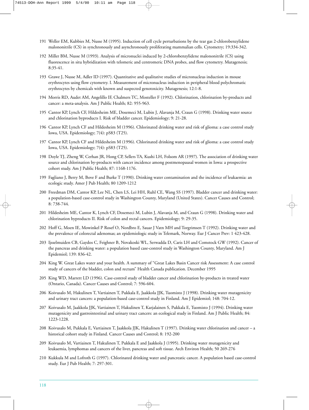- 191 Weller EM, Kubbies M, Nusse M (1995). Induction of cell cycle perturbations by the tear gas 2-chlorobenzylidene malononitrile (CS) in synchronously and asynchronously proliferating mammalian cells. Cytometry; 19:334-342.
- 192 Miller BM, Nusse M (1993). Analysis of micronuclei induced by 2-chlorobenzylidene malononitrile (CS) using fluorescence in situ hybridization with telomeric and centromeric DNA probes, and flow cytometry. Mutagenesis; 8:35-41.
- 193 Grawe J, Nusse M, Adler ID (1997). Quantitative and qualitative studies of micronucleus induction in mouse erythrocytes using flow cytometry. I. Measurement of micronucleus induction in peripheral blood polychromatic erythrocytes by chemicals with known and suspected genotoxicity. Mutagenesis; 12:1-8.
- 194 Morris RD, Audet AM, Angelillo IF, Chalmers TC, Mosteller F (1992). Chlorination, chlorination by-products and cancer: a meta-analysis. Am J Public Health; 82: 955-963.
- 195 Cantor KP, Lynch CF, Hildesheim ME, Dosemeci M, Lubin J, Alavanja M, Craun G (1998). Drinking water source and chlorination byproducts I. Risk of bladder cancer. Epidemiology; 9: 21-28.
- 196 Cantor KP, Lynch CF and Hildesheim M (1996). Chlorinated drinking water and risk of glioma: a case control study Iowa, USA. Epidemiology; 7(4): pS83 (T25).
- 197 Cantor KP, Lynch CF and Hildesheim M (1996). Chlorinated drinking water and risk of glioma: a case control study Iowa, USA. Epidemiology; 7(4): pS83 (T25).
- 198 Doyle TJ, Zheng W, Cerhan JR, Hong CP, Sellers TA, Kushi LH, Folsom AR (1997). The association of drinking water source and chlorination by-products with cancer incidence among postmenopausal women in Iowa: a prospective cohort study. Am J Public Health; 87: 1168-1176.
- 199 Fagliano J, Berry M, Bove F and Burke T (1990). Drinking water contamination and the incidence of leukaemia: an ecologic study. Amer J Pub Health; 80 1209-1212
- 200 Freedman DM, Cantor KP, Lee NL, Chen LS, Lei HH, Ruhl CE, Wang SS (1997). Bladder cancer and drinking water: a population-based case-control study in Washington County, Maryland (United States). Cancer Causes and Control; 8: 738-744.
- 201 Hildesheim ME, Cantor K, Lynch CF, Dosemeci M, Lubin J, Alavanja M, and Craun G (1998). Drinking water and chlorination byproducts II. Risk of colon and rectal cancers. Epidemiology; 9: 29-35.
- 202 Hoff G, Moen IE, Mowinkel P Rosef O, Nordbro E, Sauar J Vatn MH and Torgrimsen T (1992). Drinking water and the prevalence of colorectal adenomas; an epidemiologic study in Telemark, Norway. Eur J Cancer Prev: 1 423-428.
- 203 Ijsselmuiden CB, Gaydos C, Feighner B, Novakoski WL, Serwadda D, Caris LH and Comstock GW (1992). Cancer of the pancreas and drinking water: a population based case-control study in Washington County, Maryland. Am J Epidemiol; 139: 836-42.
- 204 King W. Great Lakes water and your health. A summary of "Great Lakes Basin Cancer risk Assessment: A case control study of cancers of the bladder, colon and rectum" Health Canada publication. December 1995
- 205 King WD, Marrett LD (1996). Case-control study of bladder cancer and chlorination by-products in treated water (Ontario, Canada). Cancer Causes and Control; 7: 596-604.
- 206 Koivusalo M, Hakulinen T, Vartiainen T, Pukkala E, Jaakkola JJK, Tuomisto J (1998). Drinking water mutagenicity and urinary tract cancers: a population-based case-control study in Finland. Am J Epidemiol; 148: 704-12.
- 207 Koivusalo M, Jaakkola JJK, Vartiainen T, Hakulinen T, Karjalainen S, Pukkala E, Tuomisto J (1994). Drinking water mutagenicity and gastrointestinal and urinary tract cancers: an ecological study in Finland. Am J Public Health; 84: 1223-1228.
- 208 Koivusalo M, Pukkala E, Vartiainen T, Jaakkola JJK, Hakulinen T (1997). Drinking water chlorination and cancer a historical cohort study in Finland. Cancer Causes and Control; 8: 192-200
- 209 Koivusalo M, Vartiainen T, Hakulinen T, Pukkala E and Jaakkola J (1995). Drinking water mutagenicity and leukaemia, lymphomas and cancers of the liver, pancreas and soft tissue. Arch Environ Health; 50 269-276
- 210 Kukkula M and Lofroth G (1997). Chlorinated drinking water and pancreatic cancer. A population based case-control study. Eur J Pub Health; 7: 297-301.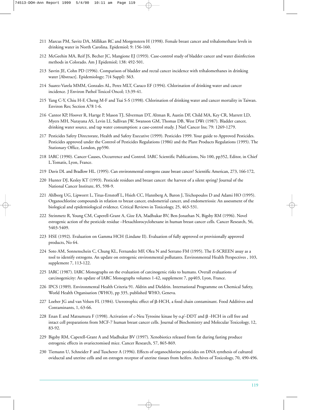- 211 Marcus PM, Savitz DA, Millikan RC and Morgenstern H (1998). Female breast cancer and trihalomethane levels in drinking water in North Carolina. Epidemiol; 9: 156-160.
- 212 McGeehin MA, Reif JS, Becher JC, Mangione EJ (1993). Case-control study of bladder cancer and water disinfection methods in Colorado. Am J Epidemiol; 138: 492-501.
- 213 Savrin JE, Cohn PD (1996). Comparison of bladder and rectal cancer incidence with trihalomethanes in drinking water [Abstract]. Epidemiology; 7(4 Suppl): S63.
- 214 Suarez-Varela MMM, Gonzales AL, Perez MLT, Caraco EF (1994). Chlorination of drinking water and cancer incidence. J Environ Pathol Toxicol Oncol; 13:39-41.
- 215 Yang C-Y, Chiu H-F, Cheng M-F and Tsai S-S (1998). Chlorination of drinking water and cancer mortality in Taiwan. Environ Res; Section A78 1-6.
- 216 Cantor KP, Hoover R, Hartge P, Mason TJ, Silverman DT, Altman R, Austin DF, Child MA, Key CR, Marrett LD, Myers MH, Narayana AS, Levin LI, Sullivan JW, Swanson GM, Thomas DB, West DWt (1987). Bladder cancer, drinking water source, and tap water consumption: a case-control study. J Natl Cancer Ins; 79: 1269-1279.
- 217 Pesticides Safety Directorate, Health and Safety Executive (1999). Pesticides 1999. Your guide to Approved Pesticides. Pesticides approved under the Control of Pesticides Regulations (1986) and the Plant Products Regulations (1995). The Stationary Office, London, pp590.
- 218 IARC (1990). Cancer Causes, Occurrence and Control. IARC Scientific Publications, No 100, pp352, Editor, in Chief L.Tomatis, Lyon, France.
- 219 Davis DL and Bradlow HL. (1995). Can environmental estrogens cause breast cancer? Scientific American, 273, 166-172,
- 220 Hunter DJ, Kesley KT (1993). Pesticide residues and breast cancer: the harvest of a silent spring? Journal of the National Cancer Institute, 85, 598-9.
- 221 Ahlborg UG, Lipworrt L, Titus-Ernstoff L, Hsieh CC, Hannberg A, Baron J, Trichopoulos D and Adami HO (1995). Organochlorine compounds in relation to breast cancer, endometrial cancer, and endometriosis: An assessment of the biological and epidemiological evidence. Critical Reviews in Toxicology, 25, 463-531.
- 222 Steinmetz R, Young CM, Caperell-Grant A, Gize EA, Madhukar BV, Ben-Jonathan N, Bigsby RM (1996). Novel estrogenic action of the pesticide residue –Hexachlorocyclohexane in human breast cancer cells. Cancer Research, 56, 5403-5409.
- 223 HSE (1992). Evaluation on Gamma HCH (Lindane II). Evaluation of fully approved or provisionally approved products, No 64.
- 224 Soto AM, Sonnenschein C, Chung KL, Fernandez MF, Olea N and Serrano FM (1995). The E-SCREEN assay as a tool to identify estrogens. An update on estrogenic environmental pollutants. Environmental Health Perspectives , 103, supplement 7, 113-122.
- 225 IARC (1987). IARC Monographs on the evaluation of carcinogenic risks to humans. Overall evaluations of carcinogenicity: An update of IARC Monographs volumes 1-42, supplement 7, pp403, Lyon, France.
- 226 IPCS (1989). Environmental Health Criteria 91. Aldrin and Dieldrin. International Programme on Chemical Safety, World Health Organisation (WHO), pp 335, published WHO, Geneva.
- 227 Loeber JG and van Velsen FL (1984). Uterotrophic effect of β-HCH, a food chain contaminant. Food Additives and Contaminants, 1, 63-66.
- 228 Enan E and Matsumura F (1998). Activation of c-Neu Tyrosine kinase by 0,p'-DDT and  $\beta$  -HCH in cell free and intact cell preparations from MCF-7 human breast cancer cells. Journal of Biochemistry and Molecular Toxicology, 12, 83-92.
- 229 Bigsby RM, Caperell-Grant A and Madhukar BV (1997). Xenobiotics released from fat during fasting produce estrogenic effects in ovariectomised mice. Cancer Research, 57, 865-869.
- 230 Tiemann U, Schneider F and Tuscherer A (1996). Effects of organochlorine pesticides on DNA synthesis of cultured oviductal and uterine cells and on estrogen receptor of uterine tissues from heifers. Archives of Toxicology, 70, 490-496.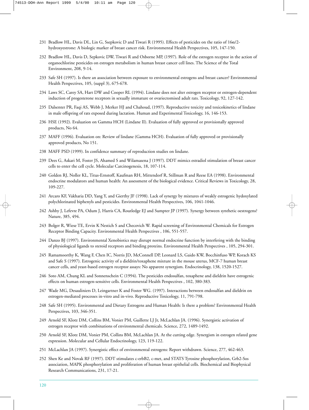- 231 Bradlow HL, Davis DL, Lin G, Ssepkovic D and Tiwari R (1995). Effects of pesticides on the ratio of  $16\alpha/2$ hydroxyestrone: A biologic marker of breast cancer risk. Environmental Health Perspectives, 105, 147-150.
- 232 Bradlow HL, Davis D, Sepkovic DW, Tiwari R and Osborne MP, (1997). Role of the estrogen receptor in the action of organochlorine pesticides on estrogen metabolism in human breast cancer cell lines. The Science of the Total Environment, 208, 9-14.
- 233 Safe SH (1997). Is there an association between exposure to environmental estrogens and breast cancer? Environmental Health Perspectives, 105, (suppl 3), 675-678.
- 234 Laws SC, Carey SA, Hart DW and Cooper RL (1994). Lindane does not alter estrogen receptor or estrogen-dependent induction of progesterone receptors in sexually immature or ovariectomised adult rats. Toxicology, 92, 127-142.
- 235 Dalsenter PR, Faqi AS, Webb J, Merker HJ and Chahoud, (1997). Reproductive toxicity and toxicokinetics of lindane in male offspring of rats exposed during lactation. Human and Experimental Toxicology, 16, 146-153.
- 236 HSE (1992). Evaluation on Gamma HCH (Lindane II). Evaluation of fully approved or provisionally approved products, No 64.
- 237 MAFF (1996). Evaluation on: Review of lindane (Gamma HCH). Evaluation of fully approved or provisionally approved products, No 151.
- 238 MAFF PSD (1999). In confidence summary of reproduction studies on lindane.
- 239 Dees G, Askari M, Foster JS, Ahamed S and Wilamasena J (1997). DDT mimics estradiol stimulation of breast cancer cells to enter the cell cycle. Molecular Carcinogenesis, 18, 107-114.
- 240 Golden RJ, Noller KL, Titus-Ernstoff, Kaufman RH, Mittendorf R, Stillman R and Reese EA (1998). Environmental endocrine modulators and human health: An assessment of the biological evidence. Critical Reviews in Toxicology, 28, 109-227.
- 241 Arcaro KF, Vakharia DD, Yang Y, and Gierthy JF (1998). Lack of synergy by mixtures of weakly estrogenic hydoxylated polychlorinated biphenyls and pesticides. Environmental Health Perspectives, 106, 1041-1046.
- 242 Ashby J, Lefevre PA, Odum J, Harris CA, Routledge EJ and Sumpter JP (1997). Synergy between synthetic oestrogens? Nature, 385, 494.
- 243 Bolger R, Wiese TE, Ervin K Nestich S and Checovich W. Rapid screening of Environmental Chemicals for Estrogen Receptor Binding Capacity. Environmental Health Perspectives , 106, 551-557.
- 244 Danzo BJ (1997). Environmental Xenobiotics may disrupt normal endocrine function by interfering with the binding of physiological ligands to steroid receptors and binding proteins. Environmental Health Perspectives , 105, 294-301.
- 245 Ramamoorthy K, Wang F, Chen IC, Norris JD, McConnell DP, Leonard LS, Gaido KW, Bocchinfuso WP, Korach KS and Safe S (1997). Estrogenic activity of a dieldrin/toxaphene mixture in the mouse uterus, MCF-7 human breast cancer cells, and yeast-based estrogen receptor assays: No apparent synergism. Endocrinology, 138, 1520-1527.
- 246 Soto AM, Chung KL and Sonnenschein C (1994). The pesticides endosulfan, toxaphene and dieldrin have estrogenic effects on human estrogen-sensitive cells. Environmental Health Perspectives , 102, 380-383.
- 247 Wade MG, Desauliniers D, Leingartner K and Foster WG. (1997). Interactions between endosulfan and dieldrin on estrogen-mediated processes in-vitro and in-vivo. Reproductive Toxicology, 11, 791-798.
- 248 Safe SH (1995). Environmental and Dietary Estrogens and Human Health: Is there a problem? Environmental Health Perspectives, 103, 346-351.
- 249 Arnold SF, Klotz DM, Collins BM, Vonier PM, Guillette LJ Jr, McLachlan JA. (1996). Synergistic activation of estrogen receptor with combinations of environmental chemicals. Science, 272, 1489-1492.
- 250 Arnold SF, Klotz DM, Vonier PM, Collins BM, McLachlan JA. At the cutting edge. Synergism in estrogen related gene expression. Molecular and Cellular Endocrinology, 123, 119-122.
- 251 McLachlan JA (1997). Synergistic effect of environmental estrogens: Report withdrawn. Science, 277, 462-463.
- 252 Shen Ke and Novak RF (1997). DDT stimulates c-erbB2, c-met, and STATS Tyrosine phosphorylation, Grb2-Sos association, MAPK phosphorylation and proliferation of human breast epithelial cells. Biochemical and Biophysical Research Communications, 231, 17-21.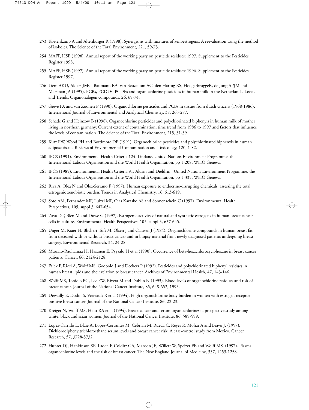- 253 Kortenkamp A and Altenburger R (1998). Synergisms with mixtures of xenoestrogens: A reevaluation using the method of isoboles. The Science of the Total Environment, 221, 59-73.
- 254 MAFF, HSE (1998). Annual report of the working party on pesticide residues: 1997. Supplement to the Pesticides Register 1998,
- 255 MAFF, HSE (1997). Annual report of the working party on pesticide residues: 1996. Supplement to the Pesticides Register 1997,
- 256 Liem AKD, Alders JMC, Baumann RA, van Beuzekom AC, den Hartog RS, HoogerbruggeR, de Jong APJM and Marsman JA (1995). PCBs, PCDDs, PCDFs and organochlorine pesticides in human milk in the Netherlands. Levels and Trends. Organohalogen compounds, 26, 69-74.
- 257 Greve PA and van Zoonen P (1990). Organochlorine pesticides and PCBs in tissues from dutch citizens (1968-1986). International Journal of Environmental and Analytical Chemistry, 38, 265-277.
- 258 Schade G and Heinzow B (1998). Organochlorine pesticides and polychlorinated biphenyls in human milk of mother living in northern germany: Current extent of contamination, time trend from 1986 to 1997 and factors that influence the levels of contamination. The Science of the Total Environment, 215, 31-39.
- 259 Kutz FW, Wood PH and Bottimore DP (1991). Organochlorine pesticides and polychlorinated biphenyls in human adipose tissue. Reviews of Environmental Contamination and Toxicology, 120, 1-82.
- 260 IPCS (1991). Environmental Health Criteria 124. Lindane. United Nations Environment Programme, the International Labour Organisation and the World Health Organisation, pp 1-208, WHO Geneva.
- 261 IPCS (1989). Environmental Health Criteria 91. Aldrin and Dieldrin . United Nations Environment Programme, the International Labour Organisation and the World Health Organisation, pp 1-335, WHO Geneva.
- 262 Riva A, Olea N and Olea-Serrano F (1997). Human exposure to endocrine-disrupting chemicals: assessing the total estrogenic xenobiotic burden. Trends in Analytical Chemistry, 16, 613-619.
- 263 Soto AM, Fernandez MF, Luizzi MF, Oles Karasko AS and Sonnenschein C (1997). Environmental Health Perspectives, 105, suppl 3, 647-654.
- 264 Zava DT, Blen M and Duwe G (1997). Estrogenic activity of natural and synthetic estrogens in human breast cancer cells in culture. Environmental Health Perspectives, 105, suppl 3, 637-645.
- 265 Unger M, Kiaer H, Blichert-Toft M, Olsen J and Clausen J (1984). Organochlorine compounds in human breast fat from deceased with or without breast cancer and in biopsy material from newly diagnosed patients undergoing breast surgery. Environmental Research, 34, 24-28.
- 266 Mussalo-Rauhamaa H, Hasanen E, Pyysalo H et al (1990). Occurrence of beta-hexachlorocyclohexane in breast cancer patients. Cancer, 66, 2124-2128.
- 267 Falck F, Ricci A, Wolff MS, Godbold J and Deckers P (1992). Pesticides and polychlorinated biphenyl residues in human breast lipids and their relation to breast cancer. Archives of Environmental Health, 47, 143-146.
- 268 Wolff MS, Toniolo PG, Lee EW, Rivera M and Dublin N (1993). Blood levels of organochlorine residues and risk of breast cancer. Journal of the National Cancer Institute, 85, 648-652, 1993.
- 269 Dewailly E, Dodin S, Verreault R et al (1994). High organochlorine body burden in women with estrogen receptorpositive breast cancer. Journal of the National Cancer Institute, 86, 22-23.
- 270 Kreiger N, Wolff MS, Hiatt RA et al (1994). Breast cancer and serum organochlorines: a prospective study among white, black and asian women. Journal of the National Cancer Institute, 86, 589-599.
- 271 Lopez-Carrillo L, Blaie A, Lopez-Cervantes M, Cebrian M, Rueda C, Reyes R, Mohar A and Bravo J. (1997). Dichlorodiphenyltrichloroethane serum levels and breast cancer risk: A case-control study from Mexico. Cancer Research, 57, 3728-3732.
- 272 Hunter DJ, Hankinson SE, Laden F, Colditz GA, Manson JE, Willett W, Speizer FE and Wolff MS. (1997). Plasma organochlorine levels and the risk of breast cancer. The New England Journal of Medicine, 337, 1253-1258.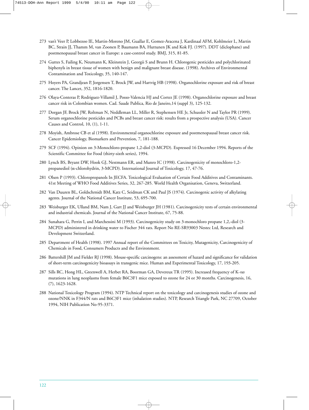- 273 van't Veer P, Lobbezoo IE, Martin-Moreno JM, Guallar E, Gomez-Aracena J, Kardinaal AFM, Kohlmeier L, Martin BC, Strain JJ, Thamm M, van Zoonen P, Baumann BA, Huttunen JK and Kok FJ. (1997). DDT (diclophane) and postmenopausal breast cancer in Europe: a case-control study. BMJ, 315, 81-85.
- 274 Guttes S, Failing K, Neumann K, Kleinstein J, Georgii S and Brunn H. Chlorogenic pesticides and polychlorinated biphenyls in breast tissue of women with benign and malignant breast disease. (1998). Archives of Environmental Contamination and Toxicology, 35, 140-147.
- 275 Hoyers PA, Grandjean P, Jorgensen T, Brock JW, and Hartvig HB (1998). Organochlorine exposure and risk of breast cancer. The Lancet, 352, 1816-1820.
- 276 Olaya-Conteras P, Rodriguez-Villamil J, Posso-Valencia HJ and Cortez JE (1998). Organochlorine exposure and breast cancer risk in Colombian women. Cad. Saude Publica, Rio de Janeiro,14 (suppl 3), 125-132.
- 277 Dorgan JF, Brock JW, Roltman N, Neddleman LL, Miller R, Stephensen HE Jr, Schussler N and Taylor PR (1999). Serum organochlorine pesticides and PCBs and breast cancer risk: results from a prospective analysis (USA). Cancer Causes and Control, 10, (1), 1-11.
- 278 Moyish, Ambrose CB et al (1998). Environmental organochlorine exposure and postmenopausal breast cancer risk. Cancer Epidemiology, Biomarkers and Prevention, 7, 181-188.
- 279 SCF (1994). Opinion on 3-Monochloro-propane 1,2-diol (3-MCPD). Expressed 16 December 1994. Reports of the Scientific Committee for Food (thirty-sixth series), 1994.
- 280 Lynch BS, Bryant DW, Hook GJ, Nestmann ER, and Munro IC (1998). Carcinogenicity of monochloro-1,2 propanediol ( $\alpha$ -chlorohydrin, 3-MCPD). International Journal of Toxicology, 17, 47-76.
- 281 Olsen P (1993). Chloropropanols In JECFA. Toxicological Evaluation of Certain Food Additives and Contaminants. 41st Meeting of WHO Food Additives Series, 32, 267-285. World Health Organisation, Geneva, Switzerland.
- 282 Van Duuren BL, Goldschrnidt BM, Katz C, Seidman CK and Paul JS (1974). Carcinogenic activity of alkylating agents. Journal of the National Cancer Institute, 53, 695-700.
- 283 Weisburger EK, Ulland BM, Nam J, Gart JJ and Weisburger JH (1981). Carcinogenicity tests of certain environmental and industrial chemicals. Journal of the National Cancer Institute, 67, 75-88.
- 284 Sunahara G, Perrin I, and Marchessini M (1993). Carcinogenicity study on 3-monochloro propane 1,2,-diol (3- MCPD) administered in drinking water to Fischer 344 rats. Report No RE-SR93003 Nestec Ltd, Research and Development Switzerland.
- 285 Department of Health (1998). 1997 Annual report of the Committees on Toxicity, Mutagenicity, Carcinogenicity of Chemicals in Food, Consumers Products and the Environment.
- 286 Battershill JM and Fielder RJ (1998). Mouse-specific carcinogens: an assessment of hazard and significance for validation of short-term carcinogenicity bioassays in transgenic mice. Human and Experimental Toxicology, 17, 193-205.
- 287 Sills RC, Hong HL, Greenwell A, Herbet RA, Boorman GA, Devereux TR (1995). Increased frequency of K-*ras* mutations in lung neoplasms from female B6C3F1 mice exposed to ozone for 24 or 30 months. Carcinogenesis, 16, (7), 1623-1628.
- 288 National Toxicology Program (1994). NTP Technical report on the toxicology and carcinogenesis studies of ozone and ozone/NNK in F344/N rats and B6C3F1 mice (inhalation studies). NTP, Research Triangle Park, NC 27709, October 1994, NIH Publication No-95-3371.